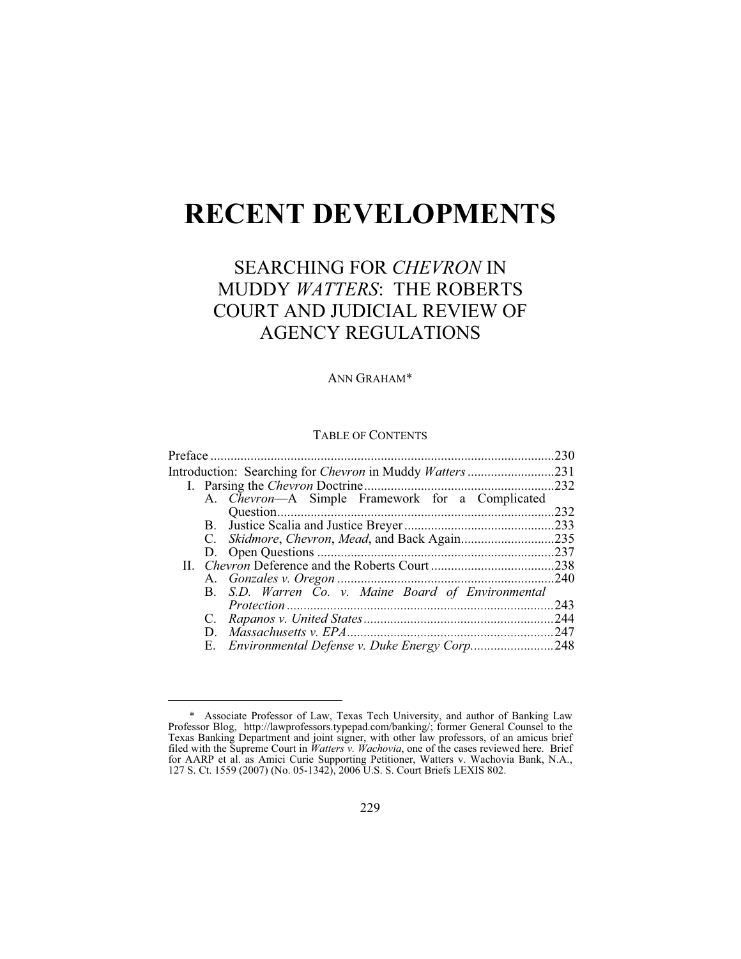# **RECENT DEVELOPMENTS**

## SEARCHING FOR *CHEVRON* IN MUDDY *WATTERS*: THE ROBERTS COURT AND JUDICIAL REVIEW OF AGENCY REGULATIONS

## ANN GRAHAM\*

## TABLE OF CONTENTS

| A. Chevron-A Simple Framework for a Complicated    |      |
|----------------------------------------------------|------|
|                                                    | 232  |
|                                                    |      |
| C. Skidmore, Chevron, Mead, and Back Again235      |      |
|                                                    |      |
|                                                    |      |
|                                                    |      |
| B. S.D. Warren Co. v. Maine Board of Environmental |      |
|                                                    | .243 |
|                                                    |      |
|                                                    |      |
|                                                    |      |
|                                                    |      |

 $\overline{a}$ 

 <sup>\*</sup> Associate Professor of Law, Texas Tech University, and author of Banking Law Professor Blog, http://lawprofessors.typepad.com/banking/; former General Counsel to the Texas Banking Department and joint signer, with other law professors, of an amicus brief filed with the Supreme Court in *Watters v. Wachovia*, one of the cases reviewed here. Brief for AARP et al. as Amici Curie Supporting Petitioner, Watters v. Wachovia Bank, N.A., 127 S. Ct. 1559 (2007) (No. 05-1342), 2006 U.S. S. Court Briefs LEXIS 802.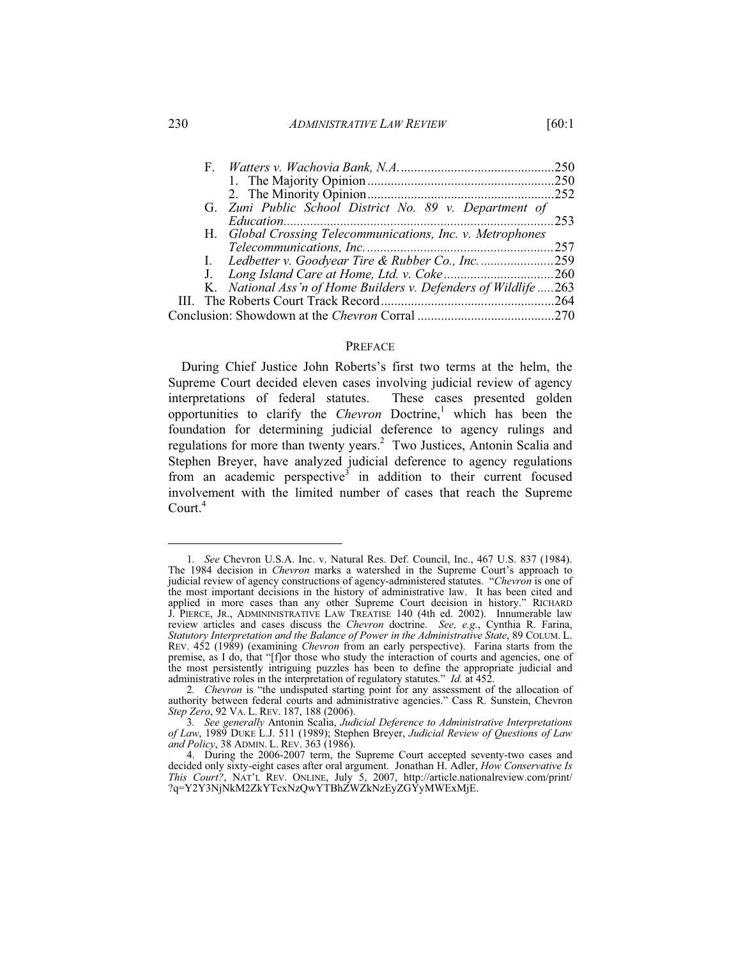#### 230 *ADMINISTRATIVE LAW REVIEW* [60:1

|  | G. Zuni Public School District No. 89 v. Department of          |     |
|--|-----------------------------------------------------------------|-----|
|  |                                                                 | 253 |
|  | H. Global Crossing Telecommunications, Inc. v. Metrophones      |     |
|  |                                                                 |     |
|  |                                                                 |     |
|  |                                                                 |     |
|  | K. National Ass'n of Home Builders v. Defenders of Wildlife 263 |     |
|  |                                                                 |     |
|  |                                                                 |     |
|  |                                                                 |     |

## PREFACE

During Chief Justice John Roberts's first two terms at the helm, the Supreme Court decided eleven cases involving judicial review of agency interpretations of federal statutes. These cases presented golden opportunities to clarify the *Chevron* Doctrine,<sup>1</sup> which has been the foundation for determining judicial deference to agency rulings and regulations for more than twenty years.<sup>2</sup> Two Justices, Antonin Scalia and Stephen Breyer, have analyzed judicial deference to agency regulations from an academic perspective<sup>3</sup> in addition to their current focused involvement with the limited number of cases that reach the Supreme Court.<sup>4</sup>

<sup>1</sup>*. See* Chevron U.S.A. Inc. v. Natural Res. Def. Council, Inc., 467 U.S. 837 (1984). The 1984 decision in *Chevron* marks a watershed in the Supreme Court's approach to judicial review of agency constructions of agency-administered statutes. "*Chevron* is one of the most important decisions in the history of administrative law. It has been cited and applied in more cases than any other Supreme Court decision in history." RICHARD J. PIERCE, JR., ADMININISTRATIVE LAW TREATISE 140 (4th ed. 2002). Innumerable law review articles and cases discuss the *Chevron* doctrine. *See, e.g.*, Cynthia R. Farina, *Statutory Interpretation and the Balance of Power in the Administrative State*, 89 COLUM. L. REV. 452 (1989) (examining *Chevron* from an early perspective). Farina starts from the premise, as I do, that "[f]or those who study the interaction of courts and agencies, one of the most persistently intriguing puzzles has been to define the appropriate judicial and administrative roles in the interpretation of regulatory statutes." *Id.* at 452.

<sup>2</sup>*. Chevron* is "the undisputed starting point for any assessment of the allocation of authority between federal courts and administrative agencies." Cass R. Sunstein, Chevron *Step Zero*, 92 VA. L. REV. 187, 188 (2006).

<sup>3</sup>*. See generally* Antonin Scalia, *Judicial Deference to Administrative Interpretations of Law*, 1989 DUKE L.J. 511 (1989); Stephen Breyer, *Judicial Review of Questions of Law and Policy*, 38 ADMIN. L. REV. 363 (1986).

 <sup>4.</sup> During the 2006-2007 term, the Supreme Court accepted seventy-two cases and decided only sixty-eight cases after oral argument. Jonathan H. Adler, *How Conservative Is This Court?*, NAT'L REV. ONLINE, July 5, 2007, http://article.nationalreview.com/print/ ?q=Y2Y3NjNkM2ZkYTcxNzQwYTBhZWZkNzEyZGYyMWExMjE.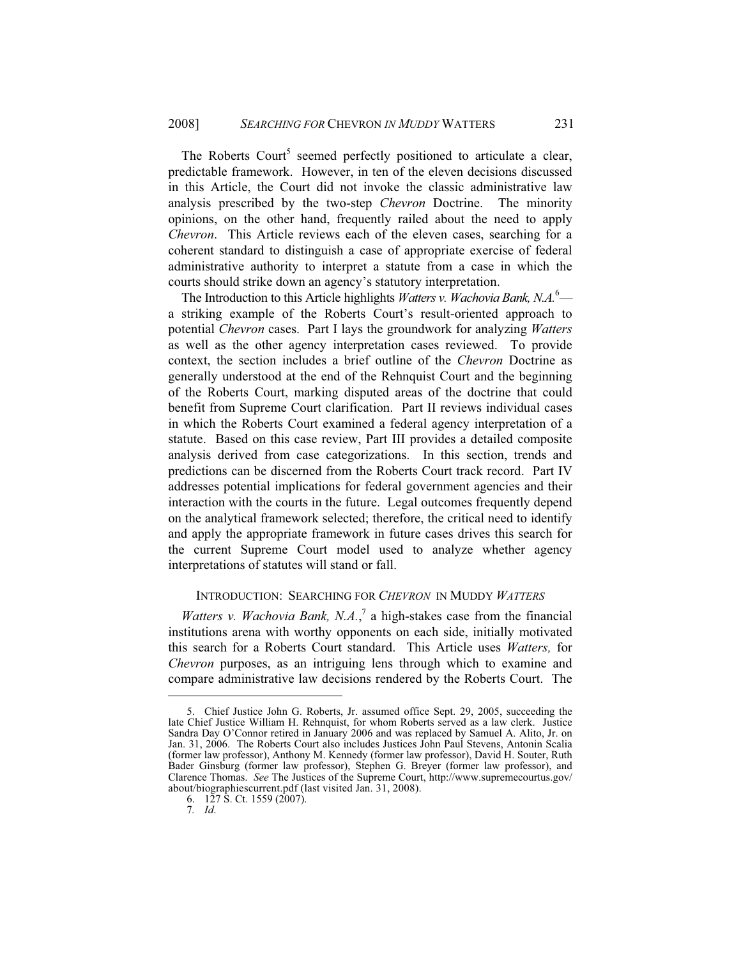The Roberts Court<sup>5</sup> seemed perfectly positioned to articulate a clear, predictable framework. However, in ten of the eleven decisions discussed in this Article, the Court did not invoke the classic administrative law analysis prescribed by the two-step *Chevron* Doctrine. The minority opinions, on the other hand, frequently railed about the need to apply *Chevron*. This Article reviews each of the eleven cases, searching for a coherent standard to distinguish a case of appropriate exercise of federal administrative authority to interpret a statute from a case in which the courts should strike down an agency's statutory interpretation.

The Introduction to this Article highlights *Watters v. Wachovia Bank*, N.A.<sup>6</sup> a striking example of the Roberts Court's result-oriented approach to potential *Chevron* cases. Part I lays the groundwork for analyzing *Watters* as well as the other agency interpretation cases reviewed. To provide context, the section includes a brief outline of the *Chevron* Doctrine as generally understood at the end of the Rehnquist Court and the beginning of the Roberts Court, marking disputed areas of the doctrine that could benefit from Supreme Court clarification. Part II reviews individual cases in which the Roberts Court examined a federal agency interpretation of a statute. Based on this case review, Part III provides a detailed composite analysis derived from case categorizations. In this section, trends and predictions can be discerned from the Roberts Court track record. Part IV addresses potential implications for federal government agencies and their interaction with the courts in the future. Legal outcomes frequently depend on the analytical framework selected; therefore, the critical need to identify and apply the appropriate framework in future cases drives this search for the current Supreme Court model used to analyze whether agency interpretations of statutes will stand or fall.

## INTRODUCTION: SEARCHING FOR *CHEVRON* IN MUDDY *WATTERS*

*Watters v. Wachovia Bank, N.A.*,<sup>7</sup> a high-stakes case from the financial institutions arena with worthy opponents on each side, initially motivated this search for a Roberts Court standard. This Article uses *Watters,* for *Chevron* purposes, as an intriguing lens through which to examine and compare administrative law decisions rendered by the Roberts Court. The

 <sup>5.</sup> Chief Justice John G. Roberts, Jr. assumed office Sept. 29, 2005, succeeding the late Chief Justice William H. Rehnquist, for whom Roberts served as a law clerk. Justice Sandra Day O'Connor retired in January 2006 and was replaced by Samuel A. Alito, Jr. on Jan. 31, 2006. The Roberts Court also includes Justices John Paul Stevens, Antonin Scalia (former law professor), Anthony M. Kennedy (former law professor), David H. Souter, Ruth Bader Ginsburg (former law professor), Stephen G. Breyer (former law professor), and Clarence Thomas. *See* The Justices of the Supreme Court, http://www.supremecourtus.gov/ about/biographiescurrent.pdf (last visited Jan. 31, 2008).

 <sup>6. 127</sup> S. Ct. 1559 (2007).

<sup>7</sup>*. Id*.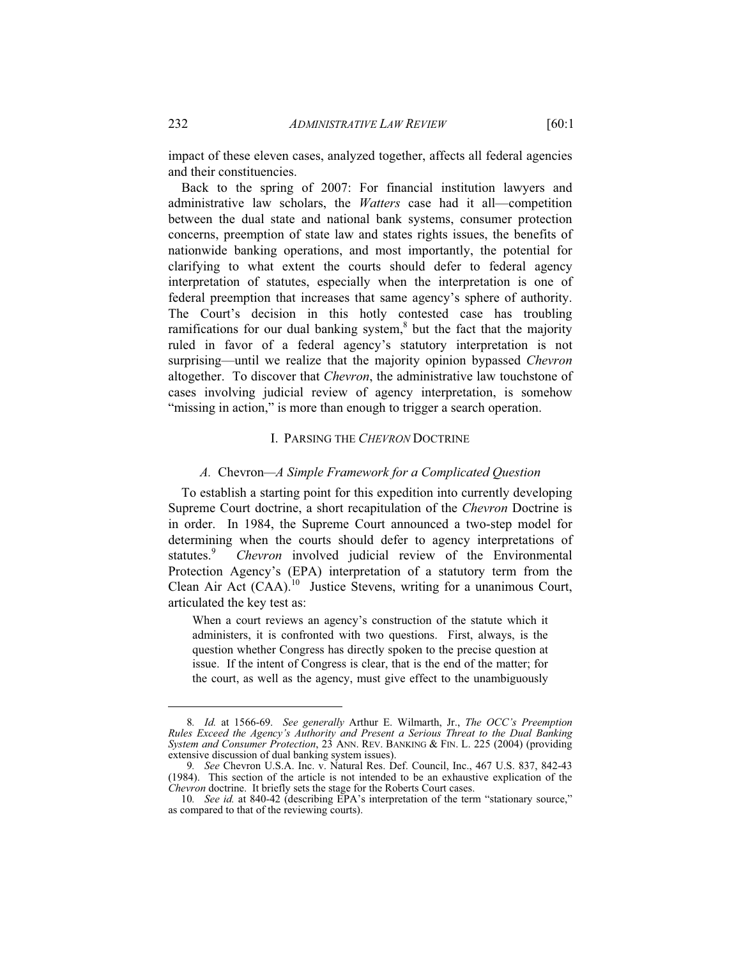impact of these eleven cases, analyzed together, affects all federal agencies and their constituencies.

Back to the spring of 2007: For financial institution lawyers and administrative law scholars, the *Watters* case had it all—competition between the dual state and national bank systems, consumer protection concerns, preemption of state law and states rights issues, the benefits of nationwide banking operations, and most importantly, the potential for clarifying to what extent the courts should defer to federal agency interpretation of statutes, especially when the interpretation is one of federal preemption that increases that same agency's sphere of authority. The Court's decision in this hotly contested case has troubling ramifications for our dual banking system, $8$  but the fact that the majority ruled in favor of a federal agency's statutory interpretation is not surprising—until we realize that the majority opinion bypassed *Chevron* altogether. To discover that *Chevron*, the administrative law touchstone of cases involving judicial review of agency interpretation, is somehow "missing in action," is more than enough to trigger a search operation.

#### I. PARSING THE *CHEVRON* DOCTRINE

#### *A.* Chevron*—A Simple Framework for a Complicated Question*

To establish a starting point for this expedition into currently developing Supreme Court doctrine, a short recapitulation of the *Chevron* Doctrine is in order. In 1984, the Supreme Court announced a two-step model for determining when the courts should defer to agency interpretations of statutes.<sup>9</sup> *Chevron* involved judicial review of the Environmental Protection Agency's (EPA) interpretation of a statutory term from the Clean Air Act  $(CAA)$ <sup>10</sup> Justice Stevens, writing for a unanimous Court, articulated the key test as:

When a court reviews an agency's construction of the statute which it administers, it is confronted with two questions. First, always, is the question whether Congress has directly spoken to the precise question at issue. If the intent of Congress is clear, that is the end of the matter; for the court, as well as the agency, must give effect to the unambiguously

<sup>8</sup>*. Id.* at 1566-69. *See generally* Arthur E. Wilmarth, Jr., *The OCC's Preemption Rules Exceed the Agency's Authority and Present a Serious Threat to the Dual Banking System and Consumer Protection*, 23 ANN. REV. BANKING & FIN. L. 225 (2004) (providing extensive discussion of dual banking system issues).

<sup>9</sup>*. See* Chevron U.S.A. Inc. v. Natural Res. Def. Council, Inc., 467 U.S. 837, 842-43 (1984). This section of the article is not intended to be an exhaustive explication of the *Chevron* doctrine. It briefly sets the stage for the Roberts Court cases.

<sup>10</sup>*. See id.* at 840-42 (describing EPA's interpretation of the term "stationary source," as compared to that of the reviewing courts).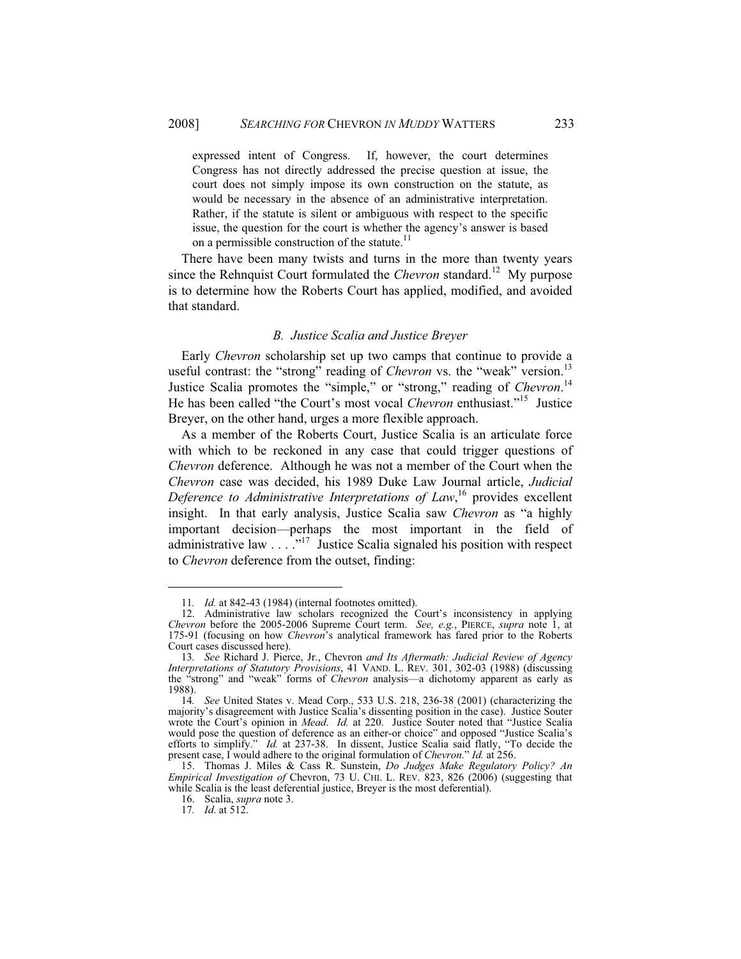expressed intent of Congress. If, however, the court determines Congress has not directly addressed the precise question at issue, the court does not simply impose its own construction on the statute, as would be necessary in the absence of an administrative interpretation. Rather, if the statute is silent or ambiguous with respect to the specific issue, the question for the court is whether the agency's answer is based on a permissible construction of the statute. $^{11}$ 

There have been many twists and turns in the more than twenty years since the Rehnquist Court formulated the *Chevron* standard.<sup>12</sup> My purpose is to determine how the Roberts Court has applied, modified, and avoided that standard.

#### *B. Justice Scalia and Justice Breyer*

Early *Chevron* scholarship set up two camps that continue to provide a useful contrast: the "strong" reading of *Chevron* vs. the "weak" version.<sup>13</sup> Justice Scalia promotes the "simple," or "strong," reading of *Chevron*. 14 He has been called "the Court's most vocal *Chevron* enthusiast."15 Justice Breyer, on the other hand, urges a more flexible approach.

As a member of the Roberts Court, Justice Scalia is an articulate force with which to be reckoned in any case that could trigger questions of *Chevron* deference. Although he was not a member of the Court when the *Chevron* case was decided, his 1989 Duke Law Journal article, *Judicial Deference to Administrative Interpretations of Law*, 16 provides excellent insight. In that early analysis, Justice Scalia saw *Chevron* as "a highly important decision—perhaps the most important in the field of administrative law  $\ldots$  ...<sup>1,17</sup> Justice Scalia signaled his position with respect to *Chevron* deference from the outset, finding:

<sup>11</sup>*. Id.* at 842-43 (1984) (internal footnotes omitted).

 <sup>12.</sup> Administrative law scholars recognized the Court's inconsistency in applying *Chevron* before the 2005-2006 Supreme Court term. *See, e.g.*, PIERCE, *supra* note 1, at 175-91 (focusing on how *Chevron*'s analytical framework has fared prior to the Roberts Court cases discussed here).

<sup>13</sup>*. See* Richard J. Pierce, Jr., Chevron *and Its Aftermath: Judicial Review of Agency Interpretations of Statutory Provisions*, 41 VAND. L. REV. 301, 302-03 (1988) (discussing the "strong" and "weak" forms of *Chevron* analysis—a dichotomy apparent as early as 1988).

<sup>14</sup>*. See* United States v. Mead Corp., 533 U.S. 218, 236-38 (2001) (characterizing the majority's disagreement with Justice Scalia's dissenting position in the case). Justice Souter wrote the Court's opinion in *Mead*. *Id.* at 220. Justice Souter noted that "Justice Scalia would pose the question of deference as an either-or choice" and opposed "Justice Scalia's efforts to simplify." *Id.* at 237-38. In dissent, Justice Scalia said flatly, "To decide the present case, I would adhere to the original formulation of *Chevron*." *Id.* at 256.

 <sup>15.</sup> Thomas J. Miles & Cass R. Sunstein, *Do Judges Make Regulatory Policy? An Empirical Investigation of* Chevron, 73 U. CHI. L. REV. 823, 826 (2006) (suggesting that while Scalia is the least deferential justice, Breyer is the most deferential).

 <sup>16.</sup> Scalia, *supra* note 3.

<sup>17</sup>*. Id*. at 512.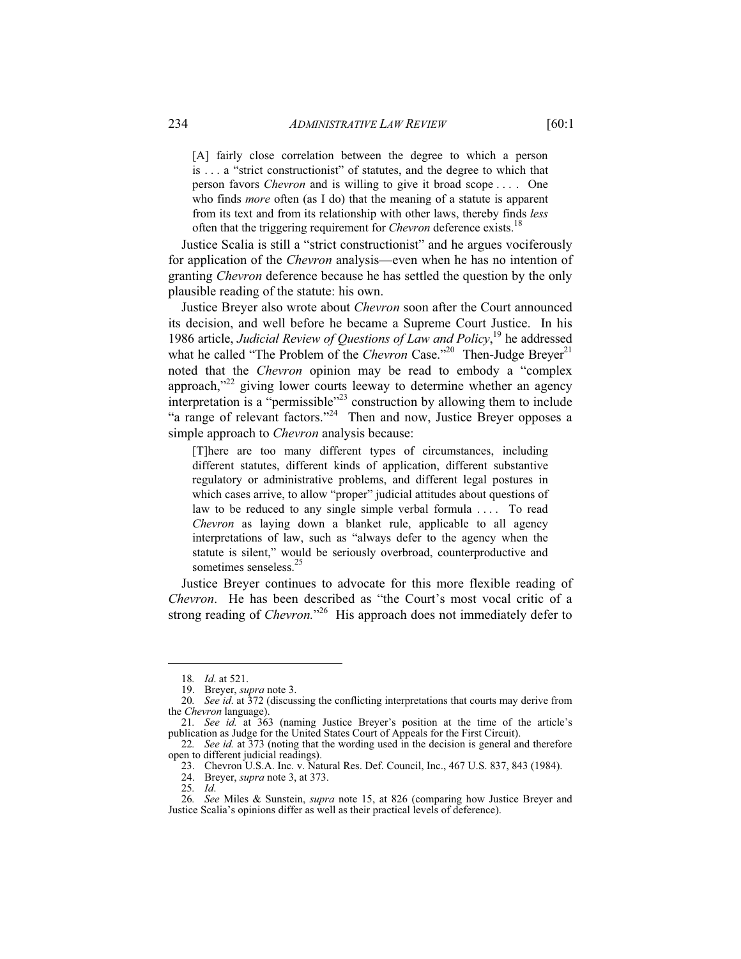[A] fairly close correlation between the degree to which a person is . . . a "strict constructionist" of statutes, and the degree to which that person favors *Chevron* and is willing to give it broad scope . . . . One who finds *more* often (as I do) that the meaning of a statute is apparent from its text and from its relationship with other laws, thereby finds *less* often that the triggering requirement for *Chevron* deference exists.<sup>18</sup>

Justice Scalia is still a "strict constructionist" and he argues vociferously for application of the *Chevron* analysis—even when he has no intention of granting *Chevron* deference because he has settled the question by the only plausible reading of the statute: his own.

Justice Breyer also wrote about *Chevron* soon after the Court announced its decision, and well before he became a Supreme Court Justice. In his 1986 article, *Judicial Review of Questions of Law and Policy*, 19 he addressed what he called "The Problem of the *Chevron* Case."<sup>20</sup> Then-Judge Breyer<sup>21</sup> noted that the *Chevron* opinion may be read to embody a "complex approach," $22$  giving lower courts leeway to determine whether an agency interpretation is a "permissible"23 construction by allowing them to include "a range of relevant factors."24 Then and now, Justice Breyer opposes a simple approach to *Chevron* analysis because:

[T]here are too many different types of circumstances, including different statutes, different kinds of application, different substantive regulatory or administrative problems, and different legal postures in which cases arrive, to allow "proper" judicial attitudes about questions of law to be reduced to any single simple verbal formula .... To read *Chevron* as laying down a blanket rule, applicable to all agency interpretations of law, such as "always defer to the agency when the statute is silent," would be seriously overbroad, counterproductive and sometimes senseless.<sup>25</sup>

Justice Breyer continues to advocate for this more flexible reading of *Chevron*. He has been described as "the Court's most vocal critic of a strong reading of *Chevron*."<sup>26</sup> His approach does not immediately defer to

<sup>18</sup>*. Id*. at 521.

 <sup>19.</sup> Breyer, *supra* note 3.

<sup>20</sup>*. See id*. at 372 (discussing the conflicting interpretations that courts may derive from the *Chevron* language).

<sup>21</sup>*. See id.* at 363 (naming Justice Breyer's position at the time of the article's publication as Judge for the United States Court of Appeals for the First Circuit).

<sup>22</sup>*. See id.* at 373 (noting that the wording used in the decision is general and therefore open to different judicial readings).

 <sup>23.</sup> Chevron U.S.A. Inc. v. Natural Res. Def. Council, Inc., 467 U.S. 837, 843 (1984).

 <sup>24.</sup> Breyer, *supra* note 3, at 373.

<sup>25</sup>*. Id*.

<sup>26</sup>*. See* Miles & Sunstein, *supra* note 15, at 826 (comparing how Justice Breyer and Justice Scalia's opinions differ as well as their practical levels of deference).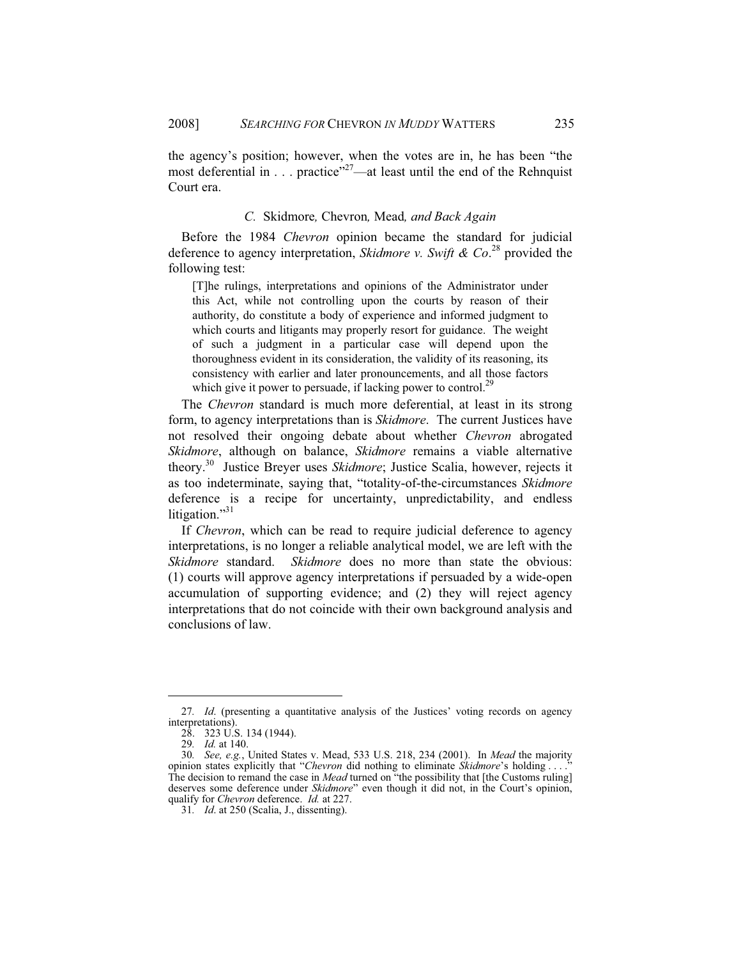the agency's position; however, when the votes are in, he has been "the most deferential in  $\ldots$  practice"<sup>27</sup>—at least until the end of the Rehnquist Court era.

## *C.* Skidmore*,* Chevron*,* Mead*, and Back Again*

Before the 1984 *Chevron* opinion became the standard for judicial deference to agency interpretation, *Skidmore v. Swift & Co*. 28 provided the following test:

[T]he rulings, interpretations and opinions of the Administrator under this Act, while not controlling upon the courts by reason of their authority, do constitute a body of experience and informed judgment to which courts and litigants may properly resort for guidance. The weight of such a judgment in a particular case will depend upon the thoroughness evident in its consideration, the validity of its reasoning, its consistency with earlier and later pronouncements, and all those factors which give it power to persuade, if lacking power to control.<sup>29</sup>

The *Chevron* standard is much more deferential, at least in its strong form, to agency interpretations than is *Skidmore*. The current Justices have not resolved their ongoing debate about whether *Chevron* abrogated *Skidmore*, although on balance, *Skidmore* remains a viable alternative theory.30 Justice Breyer uses *Skidmore*; Justice Scalia, however, rejects it as too indeterminate, saying that, "totality-of-the-circumstances *Skidmore* deference is a recipe for uncertainty, unpredictability, and endless litigation." $31$ 

If *Chevron*, which can be read to require judicial deference to agency interpretations, is no longer a reliable analytical model, we are left with the *Skidmore* standard. *Skidmore* does no more than state the obvious: (1) courts will approve agency interpretations if persuaded by a wide-open accumulation of supporting evidence; and (2) they will reject agency interpretations that do not coincide with their own background analysis and conclusions of law.

<sup>27</sup>*. Id*. (presenting a quantitative analysis of the Justices' voting records on agency interpretations).

 <sup>28. 323</sup> U.S. 134 (1944).

<sup>29</sup>*. Id.* at 140.

<sup>30</sup>*. See, e.g.*, United States v. Mead, 533 U.S. 218, 234 (2001). In *Mead* the majority opinion states explicitly that "*Chevron* did nothing to eliminate *Skidmore*'s holding . . . ." The decision to remand the case in *Mead* turned on "the possibility that [the Customs ruling] deserves some deference under *Skidmore*" even though it did not, in the Court's opinion, qualify for *Chevron* deference. *Id.* at 227.

<sup>31</sup>*. Id*. at 250 (Scalia, J., dissenting).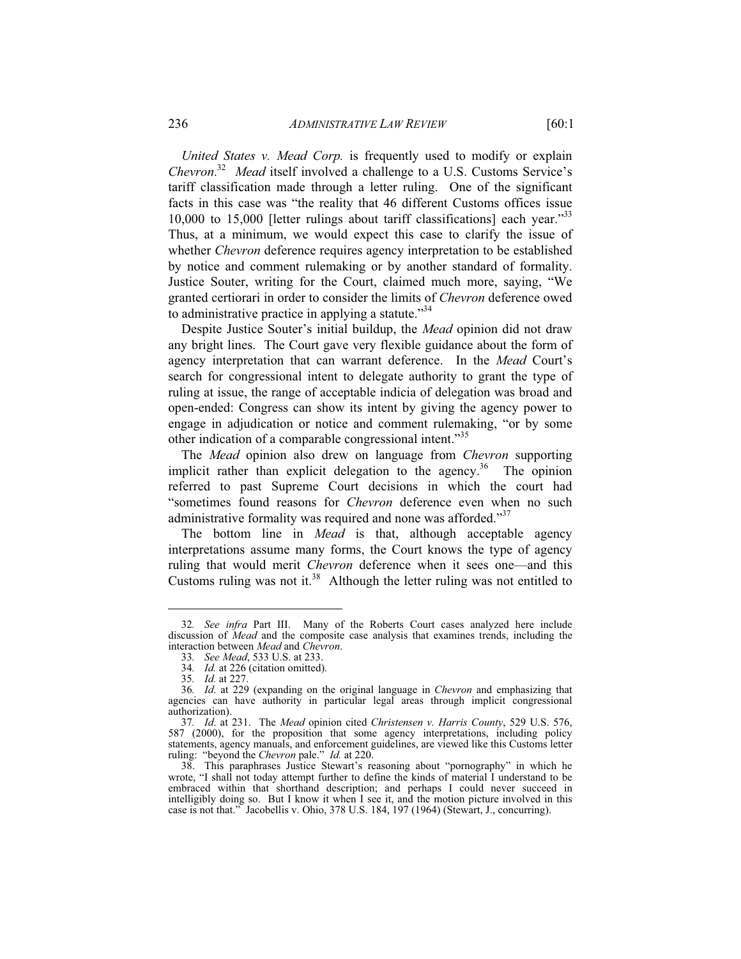*United States v. Mead Corp.* is frequently used to modify or explain *Chevron*. <sup>32</sup> *Mead* itself involved a challenge to a U.S. Customs Service's tariff classification made through a letter ruling. One of the significant facts in this case was "the reality that 46 different Customs offices issue 10,000 to 15,000 [letter rulings about tariff classifications] each year."33 Thus, at a minimum, we would expect this case to clarify the issue of whether *Chevron* deference requires agency interpretation to be established by notice and comment rulemaking or by another standard of formality. Justice Souter, writing for the Court, claimed much more, saying, "We granted certiorari in order to consider the limits of *Chevron* deference owed to administrative practice in applying a statute."<sup>34</sup>

Despite Justice Souter's initial buildup, the *Mead* opinion did not draw any bright lines. The Court gave very flexible guidance about the form of agency interpretation that can warrant deference. In the *Mead* Court's search for congressional intent to delegate authority to grant the type of ruling at issue, the range of acceptable indicia of delegation was broad and open-ended: Congress can show its intent by giving the agency power to engage in adjudication or notice and comment rulemaking, "or by some other indication of a comparable congressional intent."35

The *Mead* opinion also drew on language from *Chevron* supporting implicit rather than explicit delegation to the agency.<sup>36</sup> The opinion referred to past Supreme Court decisions in which the court had "sometimes found reasons for *Chevron* deference even when no such administrative formality was required and none was afforded."<sup>37</sup>

The bottom line in *Mead* is that, although acceptable agency interpretations assume many forms, the Court knows the type of agency ruling that would merit *Chevron* deference when it sees one—and this Customs ruling was not it.<sup>38</sup> Although the letter ruling was not entitled to

<sup>32</sup>*. See infra* Part III. Many of the Roberts Court cases analyzed here include discussion of *Mead* and the composite case analysis that examines trends, including the interaction between *Mead* and *Chevron*.

<sup>33</sup>*. See Mead*, 533 U.S. at 233.

<sup>34</sup>*. Id.* at 226 (citation omitted).

<sup>35</sup>*. Id.* at 227.

<sup>36</sup>*. Id*. at 229 (expanding on the original language in *Chevron* and emphasizing that agencies can have authority in particular legal areas through implicit congressional authorization).

<sup>37</sup>*. Id*. at 231. The *Mead* opinion cited *Christensen v. Harris County*, 529 U.S. 576, 587 (2000), for the proposition that some agency interpretations, including policy statements, agency manuals, and enforcement guidelines, are viewed like this Customs letter ruling: "beyond the *Chevron* pale." *Id.* at 220.

 <sup>38.</sup> This paraphrases Justice Stewart's reasoning about "pornography" in which he wrote, "I shall not today attempt further to define the kinds of material I understand to be embraced within that shorthand description; and perhaps I could never succeed in intelligibly doing so. But I know it when I see it, and the motion picture involved in this case is not that." Jacobellis v. Ohio, 378 U.S. 184, 197 (1964) (Stewart, J., concurring).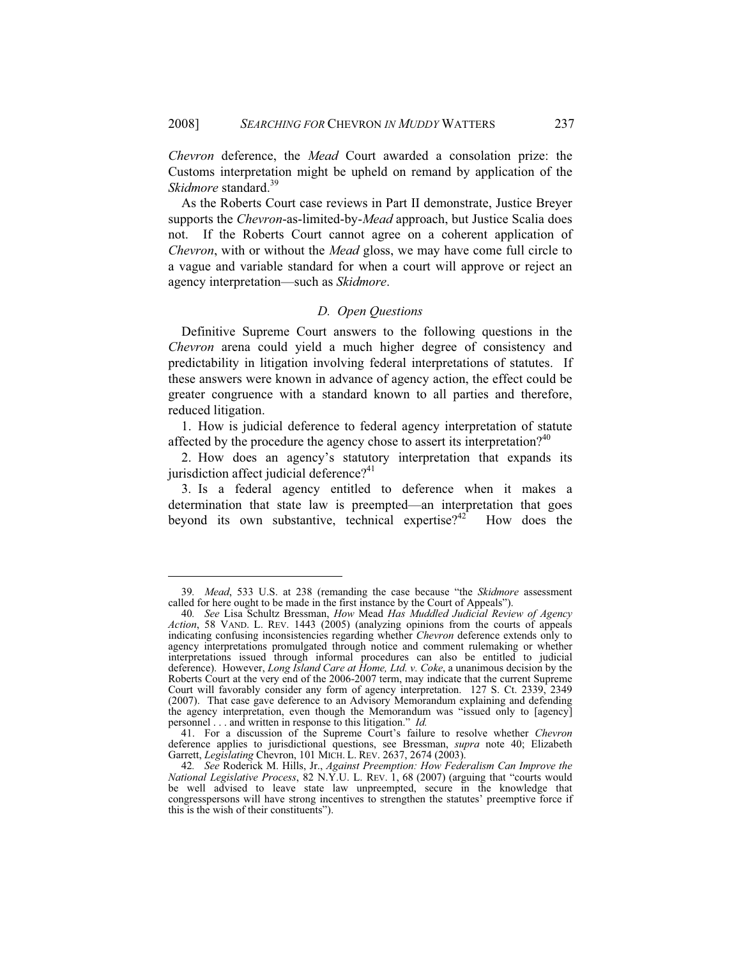*Chevron* deference, the *Mead* Court awarded a consolation prize: the Customs interpretation might be upheld on remand by application of the *Skidmore* standard.<sup>39</sup>

As the Roberts Court case reviews in Part II demonstrate, Justice Breyer supports the *Chevron*-as-limited-by-*Mead* approach, but Justice Scalia does not. If the Roberts Court cannot agree on a coherent application of *Chevron*, with or without the *Mead* gloss, we may have come full circle to a vague and variable standard for when a court will approve or reject an agency interpretation—such as *Skidmore*.

#### *D. Open Questions*

Definitive Supreme Court answers to the following questions in the *Chevron* arena could yield a much higher degree of consistency and predictability in litigation involving federal interpretations of statutes. If these answers were known in advance of agency action, the effect could be greater congruence with a standard known to all parties and therefore, reduced litigation.

1. How is judicial deference to federal agency interpretation of statute affected by the procedure the agency chose to assert its interpretation?<sup>40</sup>

2. How does an agency's statutory interpretation that expands its jurisdiction affect judicial deference? $41$ 

3. Is a federal agency entitled to deference when it makes a determination that state law is preempted—an interpretation that goes beyond its own substantive, technical expertise?<sup>42</sup> How does the

<sup>39</sup>*. Mead*, 533 U.S. at 238 (remanding the case because "the *Skidmore* assessment called for here ought to be made in the first instance by the Court of Appeals").

<sup>40</sup>*. See* Lisa Schultz Bressman, *How* Mead *Has Muddled Judicial Review of Agency Action*, 58 VAND. L. REV. 1443 (2005) (analyzing opinions from the courts of appeals indicating confusing inconsistencies regarding whether *Chevron* deference extends only to agency interpretations promulgated through notice and comment rulemaking or whether interpretations issued through informal procedures can also be entitled to judicial deference). However, *Long Island Care at Home, Ltd. v. Coke*, a unanimous decision by the Roberts Court at the very end of the 2006-2007 term, may indicate that the current Supreme Court will favorably consider any form of agency interpretation. 127 S. Ct. 2339, 2349 (2007). That case gave deference to an Advisory Memorandum explaining and defending the agency interpretation, even though the Memorandum was "issued only to [agency] personnel . . . and written in response to this litigation." *Id.*

 <sup>41.</sup> For a discussion of the Supreme Court's failure to resolve whether *Chevron* deference applies to jurisdictional questions, see Bressman, *supra* note 40; Elizabeth Garrett, *Legislating* Chevron, 101 MICH. L. REV. 2637, 2674 (2003).

<sup>42</sup>*. See* Roderick M. Hills, Jr., *Against Preemption: How Federalism Can Improve the National Legislative Process*, 82 N.Y.U. L. REV. 1, 68 (2007) (arguing that "courts would be well advised to leave state law unpreempted, secure in the knowledge that congresspersons will have strong incentives to strengthen the statutes' preemptive force if this is the wish of their constituents").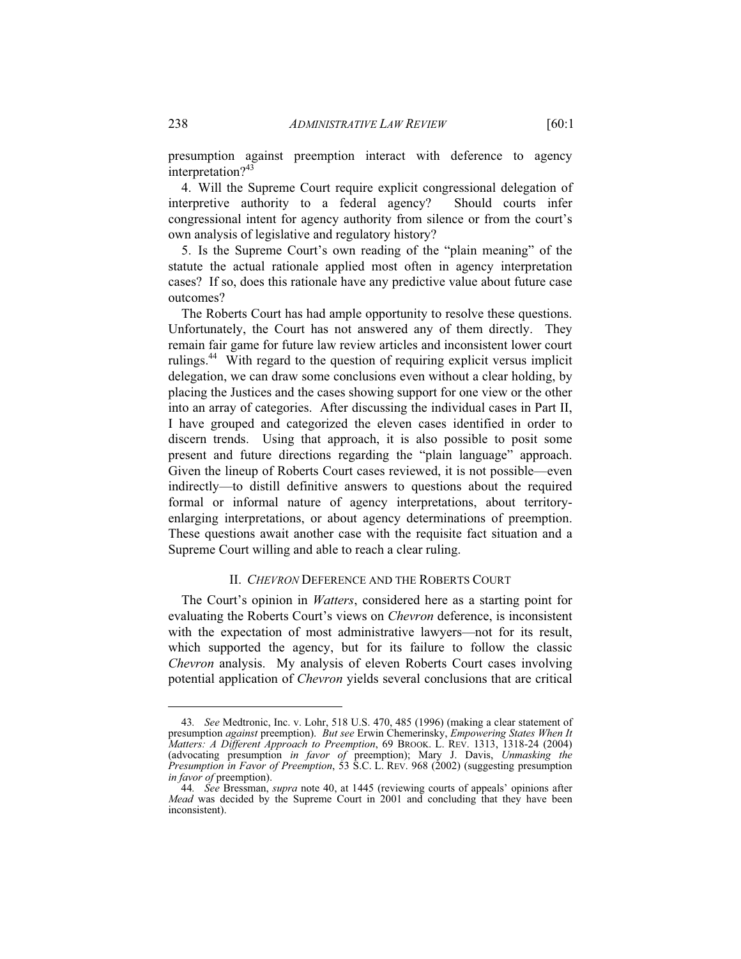presumption against preemption interact with deference to agency interpretation?<sup>43</sup>

4. Will the Supreme Court require explicit congressional delegation of interpretive authority to a federal agency? Should courts infer congressional intent for agency authority from silence or from the court's own analysis of legislative and regulatory history?

5. Is the Supreme Court's own reading of the "plain meaning" of the statute the actual rationale applied most often in agency interpretation cases? If so, does this rationale have any predictive value about future case outcomes?

The Roberts Court has had ample opportunity to resolve these questions. Unfortunately, the Court has not answered any of them directly. They remain fair game for future law review articles and inconsistent lower court rulings.44 With regard to the question of requiring explicit versus implicit delegation, we can draw some conclusions even without a clear holding, by placing the Justices and the cases showing support for one view or the other into an array of categories. After discussing the individual cases in Part II, I have grouped and categorized the eleven cases identified in order to discern trends. Using that approach, it is also possible to posit some present and future directions regarding the "plain language" approach. Given the lineup of Roberts Court cases reviewed, it is not possible—even indirectly—to distill definitive answers to questions about the required formal or informal nature of agency interpretations, about territoryenlarging interpretations, or about agency determinations of preemption. These questions await another case with the requisite fact situation and a Supreme Court willing and able to reach a clear ruling.

## II. *CHEVRON* DEFERENCE AND THE ROBERTS COURT

The Court's opinion in *Watters*, considered here as a starting point for evaluating the Roberts Court's views on *Chevron* deference, is inconsistent with the expectation of most administrative lawyers—not for its result, which supported the agency, but for its failure to follow the classic *Chevron* analysis. My analysis of eleven Roberts Court cases involving potential application of *Chevron* yields several conclusions that are critical

<sup>43</sup>*. See* Medtronic, Inc. v. Lohr, 518 U.S. 470, 485 (1996) (making a clear statement of presumption *against* preemption). *But see* Erwin Chemerinsky, *Empowering States When It Matters: A Different Approach to Preemption*, 69 BROOK. L. REV. 1313, 1318-24 (2004) (advocating presumption *in favor of* preemption); Mary J. Davis, *Unmasking the Presumption in Favor of Preemption*, 53 S.C. L. REV. 968 (2002) (suggesting presumption *in favor of* preemption).

<sup>44</sup>*. See* Bressman, *supra* note 40, at 1445 (reviewing courts of appeals' opinions after *Mead* was decided by the Supreme Court in 2001 and concluding that they have been inconsistent).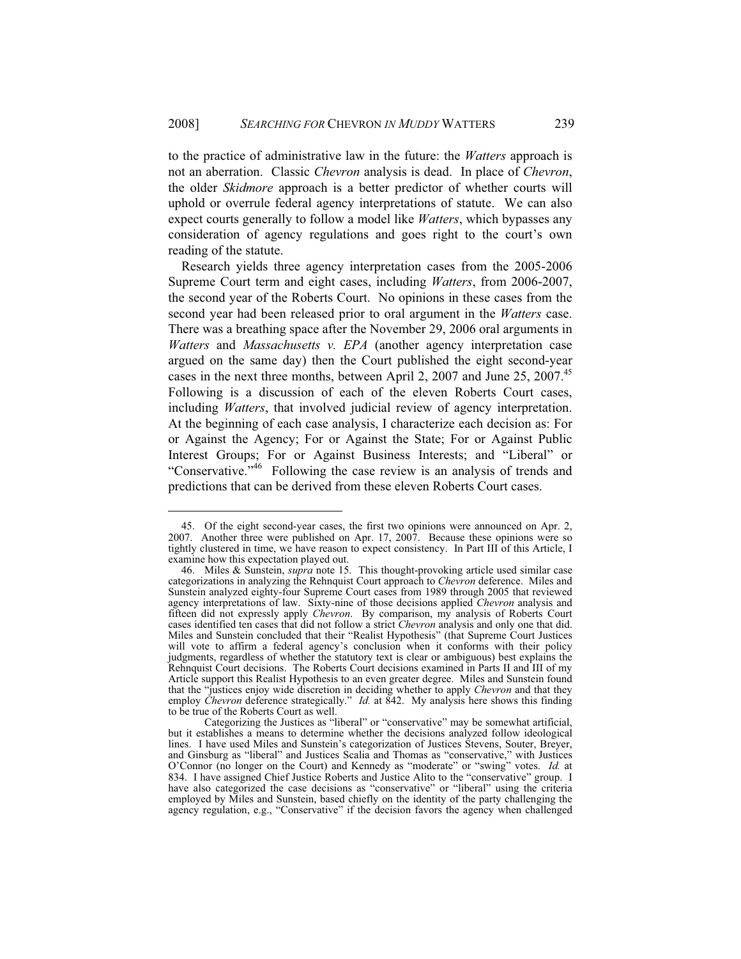to the practice of administrative law in the future: the *Watters* approach is not an aberration. Classic *Chevron* analysis is dead. In place of *Chevron*, the older *Skidmore* approach is a better predictor of whether courts will uphold or overrule federal agency interpretations of statute. We can also expect courts generally to follow a model like *Watters*, which bypasses any consideration of agency regulations and goes right to the court's own reading of the statute.

Research yields three agency interpretation cases from the 2005-2006 Supreme Court term and eight cases, including *Watters*, from 2006-2007, the second year of the Roberts Court. No opinions in these cases from the second year had been released prior to oral argument in the *Watters* case. There was a breathing space after the November 29, 2006 oral arguments in *Watters* and *Massachusetts v. EPA* (another agency interpretation case argued on the same day) then the Court published the eight second-year cases in the next three months, between April 2, 2007 and June 25, 2007.<sup>45</sup> Following is a discussion of each of the eleven Roberts Court cases, including *Watters*, that involved judicial review of agency interpretation. At the beginning of each case analysis, I characterize each decision as: For or Against the Agency; For or Against the State; For or Against Public Interest Groups; For or Against Business Interests; and "Liberal" or "Conservative."46 Following the case review is an analysis of trends and predictions that can be derived from these eleven Roberts Court cases.

 <sup>45.</sup> Of the eight second-year cases, the first two opinions were announced on Apr. 2, 2007. Another three were published on Apr. 17, 2007. Because these opinions were so tightly clustered in time, we have reason to expect consistency. In Part III of this Article, I examine how this expectation played out.

 <sup>46.</sup> Miles & Sunstein, *supra* note 15. This thought-provoking article used similar case categorizations in analyzing the Rehnquist Court approach to *Chevron* deference. Miles and Sunstein analyzed eighty-four Supreme Court cases from 1989 through 2005 that reviewed agency interpretations of law. Sixty-nine of those decisions applied *Chevron* analysis and fifteen did not expressly apply *Chevron*. By comparison, my analysis of Roberts Court cases identified ten cases that did not follow a strict *Chevron* analysis and only one that did. Miles and Sunstein concluded that their "Realist Hypothesis" (that Supreme Court Justices will vote to affirm a federal agency's conclusion when it conforms with their policy judgments, regardless of whether the statutory text is clear or ambiguous) best explains the Rehnquist Court decisions. The Roberts Court decisions examined in Parts II and III of my Article support this Realist Hypothesis to an even greater degree. Miles and Sunstein found that the "justices enjoy wide discretion in deciding whether to apply *Chevron* and that they employ *Chevron* deference strategically." *Id.* at 842. My analysis here shows this finding to be true of the Roberts Court as well.

Categorizing the Justices as "liberal" or "conservative" may be somewhat artificial, but it establishes a means to determine whether the decisions analyzed follow ideological lines. I have used Miles and Sunstein's categorization of Justices Stevens, Souter, Breyer, and Ginsburg as "liberal" and Justices Scalia and Thomas as "conservative," with Justices O'Connor (no longer on the Court) and Kennedy as "moderate" or "swing" votes. *Id.* at 834. I have assigned Chief Justice Roberts and Justice Alito to the "conservative" group. I have also categorized the case decisions as "conservative" or "liberal" using the criteria employed by Miles and Sunstein, based chiefly on the identity of the party challenging the agency regulation, e.g., "Conservative" if the decision favors the agency when challenged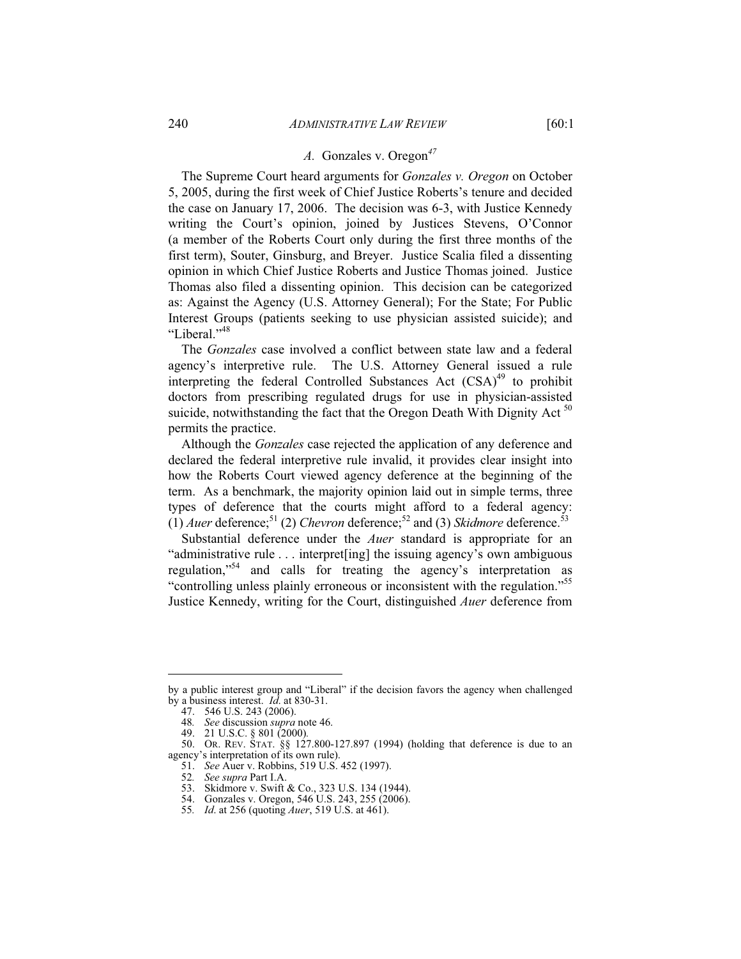## *A.* Gonzales v. Oregon*<sup>47</sup>*

The Supreme Court heard arguments for *Gonzales v. Oregon* on October 5, 2005, during the first week of Chief Justice Roberts's tenure and decided the case on January 17, 2006. The decision was 6-3, with Justice Kennedy writing the Court's opinion, joined by Justices Stevens, O'Connor (a member of the Roberts Court only during the first three months of the first term), Souter, Ginsburg, and Breyer. Justice Scalia filed a dissenting opinion in which Chief Justice Roberts and Justice Thomas joined. Justice Thomas also filed a dissenting opinion. This decision can be categorized as: Against the Agency (U.S. Attorney General); For the State; For Public Interest Groups (patients seeking to use physician assisted suicide); and "Liberal."<sup>48</sup>

The *Gonzales* case involved a conflict between state law and a federal agency's interpretive rule. The U.S. Attorney General issued a rule interpreting the federal Controlled Substances Act  $(CSA)^{49}$  to prohibit doctors from prescribing regulated drugs for use in physician-assisted suicide, notwithstanding the fact that the Oregon Death With Dignity Act  $^{50}$ permits the practice.

Although the *Gonzales* case rejected the application of any deference and declared the federal interpretive rule invalid, it provides clear insight into how the Roberts Court viewed agency deference at the beginning of the term. As a benchmark, the majority opinion laid out in simple terms, three types of deference that the courts might afford to a federal agency:  $(1)$  *Auer* deference;<sup>51</sup> (2) *Chevron* deference;<sup>52</sup> and (3) *Skidmore* deference.<sup>53</sup>

Substantial deference under the *Auer* standard is appropriate for an "administrative rule . . . interpret[ing] the issuing agency's own ambiguous regulation,"54 and calls for treating the agency's interpretation as "controlling unless plainly erroneous or inconsistent with the regulation."55 Justice Kennedy, writing for the Court, distinguished *Auer* deference from

by a public interest group and "Liberal" if the decision favors the agency when challenged by a business interest. *Id*. at 830-31.

 <sup>47. 546</sup> U.S. 243 (2006).

<sup>48</sup>*. See* discussion *supra* note 46.

 <sup>49. 21</sup> U.S.C. § 801 (2000)*.*

 <sup>50.</sup> OR. REV. STAT. §§ 127.800-127.897 (1994) (holding that deference is due to an agency's interpretation of its own rule).

 <sup>51.</sup> *See* Auer v. Robbins, 519 U.S. 452 (1997).

<sup>52</sup>*. See supra* Part I.A.

 <sup>53.</sup> Skidmore v. Swift & Co., 323 U.S. 134 (1944).

 <sup>54.</sup> Gonzales v. Oregon, 546 U.S. 243, 255 (2006).

<sup>55</sup>*. Id*. at 256 (quoting *Auer*, 519 U.S. at 461).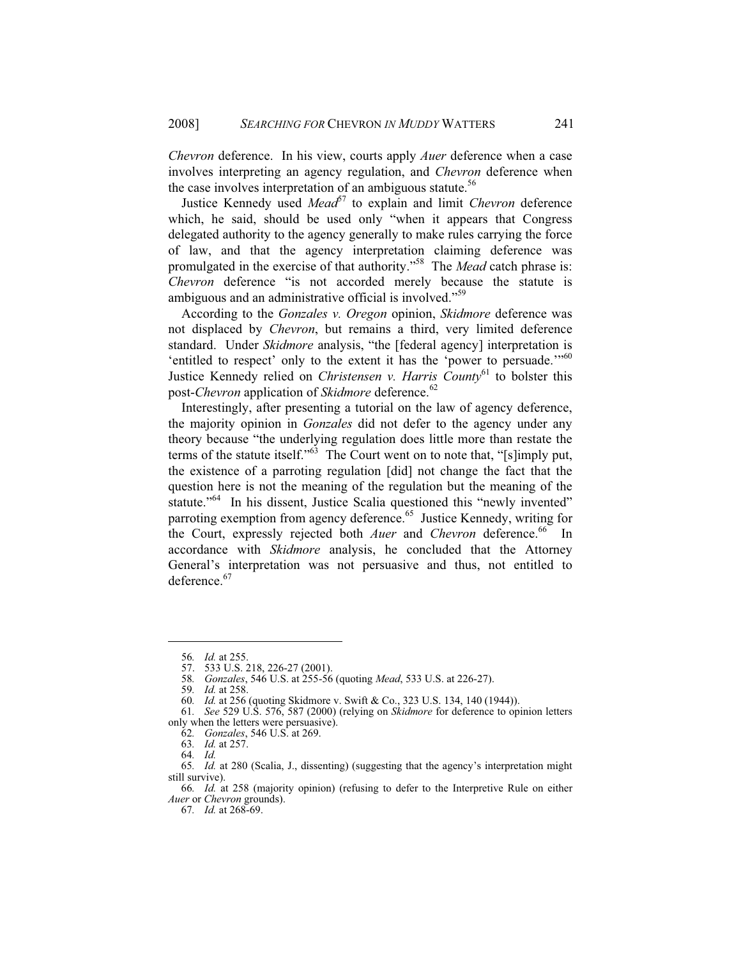*Chevron* deference. In his view, courts apply *Auer* deference when a case involves interpreting an agency regulation, and *Chevron* deference when the case involves interpretation of an ambiguous statute.<sup>56</sup>

Justice Kennedy used *Mead*<sup>57</sup> to explain and limit *Chevron* deference which, he said, should be used only "when it appears that Congress delegated authority to the agency generally to make rules carrying the force of law, and that the agency interpretation claiming deference was promulgated in the exercise of that authority."58 The *Mead* catch phrase is: *Chevron* deference "is not accorded merely because the statute is ambiguous and an administrative official is involved."<sup>59</sup>

According to the *Gonzales v. Oregon* opinion, *Skidmore* deference was not displaced by *Chevron*, but remains a third, very limited deference standard. Under *Skidmore* analysis, "the [federal agency] interpretation is 'entitled to respect' only to the extent it has the 'power to persuade.'"<sup>60</sup> Justice Kennedy relied on *Christensen v. Harris County*<sup>61</sup> to bolster this post-*Chevron* application of *Skidmore* deference.<sup>62</sup>

Interestingly, after presenting a tutorial on the law of agency deference, the majority opinion in *Gonzales* did not defer to the agency under any theory because "the underlying regulation does little more than restate the terms of the statute itself." $\frac{63}{100}$  The Court went on to note that, "[s]imply put, the existence of a parroting regulation [did] not change the fact that the question here is not the meaning of the regulation but the meaning of the statute."<sup>64</sup> In his dissent, Justice Scalia questioned this "newly invented" parroting exemption from agency deference.<sup>65</sup> Justice Kennedy, writing for the Court, expressly rejected both *Auer* and *Chevron* deference.<sup>66</sup> In accordance with *Skidmore* analysis, he concluded that the Attorney General's interpretation was not persuasive and thus, not entitled to deference.<sup>67</sup>

<sup>56</sup>*. Id.* at 255.

 <sup>57. 533</sup> U.S. 218, 226-27 (2001).

<sup>58</sup>*. Gonzales*, 546 U.S. at 255-56 (quoting *Mead*, 533 U.S. at 226-27).

<sup>59</sup>*. Id.* at 258.

<sup>60</sup>*. Id.* at 256 (quoting Skidmore v. Swift & Co., 323 U.S. 134, 140 (1944)).

<sup>61</sup>*. See* 529 U.S. 576, 587 (2000) (relying on *Skidmore* for deference to opinion letters only when the letters were persuasive).

<sup>62</sup>*. Gonzales*, 546 U.S. at 269.

<sup>63</sup>*. Id.* at 257.

<sup>64</sup>*. Id.*

<sup>65</sup>*. Id.* at 280 (Scalia, J., dissenting) (suggesting that the agency's interpretation might still survive).

<sup>66</sup>*. Id.* at 258 (majority opinion) (refusing to defer to the Interpretive Rule on either *Auer* or *Chevron* grounds).

<sup>67</sup>*. Id.* at 268-69.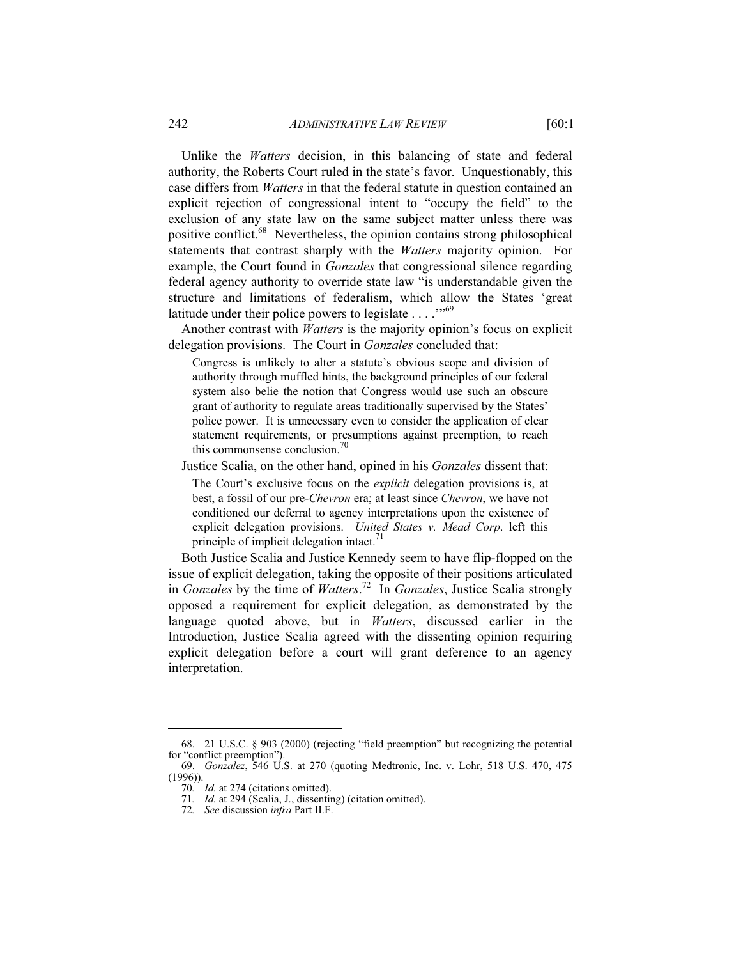Unlike the *Watters* decision, in this balancing of state and federal authority, the Roberts Court ruled in the state's favor. Unquestionably, this case differs from *Watters* in that the federal statute in question contained an explicit rejection of congressional intent to "occupy the field" to the exclusion of any state law on the same subject matter unless there was positive conflict.68 Nevertheless, the opinion contains strong philosophical statements that contrast sharply with the *Watters* majority opinion. For example, the Court found in *Gonzales* that congressional silence regarding federal agency authority to override state law "is understandable given the structure and limitations of federalism, which allow the States 'great latitude under their police powers to legislate  $\dots$ ."<sup>69</sup>

Another contrast with *Watters* is the majority opinion's focus on explicit delegation provisions. The Court in *Gonzales* concluded that:

Congress is unlikely to alter a statute's obvious scope and division of authority through muffled hints, the background principles of our federal system also belie the notion that Congress would use such an obscure grant of authority to regulate areas traditionally supervised by the States' police power. It is unnecessary even to consider the application of clear statement requirements, or presumptions against preemption, to reach this commonsense conclusion.<sup>70</sup>

Justice Scalia, on the other hand, opined in his *Gonzales* dissent that:

The Court's exclusive focus on the *explicit* delegation provisions is, at best, a fossil of our pre-*Chevron* era; at least since *Chevron*, we have not conditioned our deferral to agency interpretations upon the existence of explicit delegation provisions. *United States v. Mead Corp*. left this principle of implicit delegation intact. $71$ 

Both Justice Scalia and Justice Kennedy seem to have flip-flopped on the issue of explicit delegation, taking the opposite of their positions articulated in *Gonzales* by the time of *Watters*. 72 In *Gonzales*, Justice Scalia strongly opposed a requirement for explicit delegation, as demonstrated by the language quoted above, but in *Watters*, discussed earlier in the Introduction, Justice Scalia agreed with the dissenting opinion requiring explicit delegation before a court will grant deference to an agency interpretation.

 <sup>68. 21</sup> U.S.C. § 903 (2000) (rejecting "field preemption" but recognizing the potential for "conflict preemption").

 <sup>69.</sup> *Gonzalez*, 546 U.S. at 270 (quoting Medtronic, Inc. v. Lohr, 518 U.S. 470, 475 (1996)).

<sup>70</sup>*. Id.* at 274 (citations omitted).

<sup>71</sup>*. Id.* at 294 (Scalia, J., dissenting) (citation omitted).

<sup>72</sup>*. See* discussion *infra* Part II.F.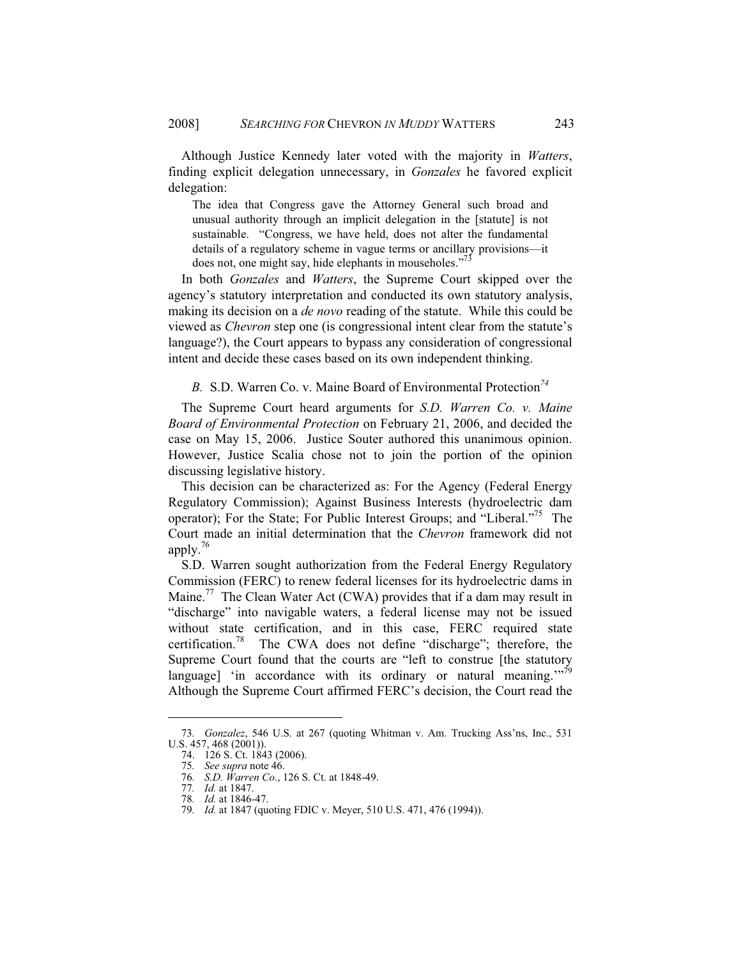Although Justice Kennedy later voted with the majority in *Watters*, finding explicit delegation unnecessary, in *Gonzales* he favored explicit delegation:

The idea that Congress gave the Attorney General such broad and unusual authority through an implicit delegation in the [statute] is not sustainable. "Congress, we have held, does not alter the fundamental details of a regulatory scheme in vague terms or ancillary provisions—it does not, one might say, hide elephants in mouseholes."<sup>73</sup>

In both *Gonzales* and *Watters*, the Supreme Court skipped over the agency's statutory interpretation and conducted its own statutory analysis, making its decision on a *de novo* reading of the statute. While this could be viewed as *Chevron* step one (is congressional intent clear from the statute's language?), the Court appears to bypass any consideration of congressional intent and decide these cases based on its own independent thinking.

*B.* S.D. Warren Co. v. Maine Board of Environmental Protection*<sup>74</sup>*

The Supreme Court heard arguments for *S.D. Warren Co. v. Maine Board of Environmental Protection* on February 21, 2006, and decided the case on May 15, 2006. Justice Souter authored this unanimous opinion. However, Justice Scalia chose not to join the portion of the opinion discussing legislative history.

This decision can be characterized as: For the Agency (Federal Energy Regulatory Commission); Against Business Interests (hydroelectric dam operator); For the State; For Public Interest Groups; and "Liberal."75 The Court made an initial determination that the *Chevron* framework did not apply.76

S.D. Warren sought authorization from the Federal Energy Regulatory Commission (FERC) to renew federal licenses for its hydroelectric dams in Maine.<sup>77</sup> The Clean Water Act (CWA) provides that if a dam may result in "discharge" into navigable waters, a federal license may not be issued without state certification, and in this case, FERC required state certification.<sup>78</sup> The CWA does not define "discharge"; therefore, the Supreme Court found that the courts are "left to construe [the statutory language] 'in accordance with its ordinary or natural meaning. $1779$ Although the Supreme Court affirmed FERC's decision, the Court read the

<sup>73</sup>*. Gonzalez*, 546 U.S. at 267 (quoting Whitman v. Am. Trucking Ass'ns, Inc., 531 U.S. 457, 468 (2001)).

<sup>74. 126</sup> S. Ct. 1843 (2006).

<sup>75</sup>*. See supra* note 46.

<sup>76</sup>*. S.D. Warren Co*., 126 S. Ct. at 1848-49.

<sup>77</sup>*. Id.* at 1847.

<sup>78</sup>*. Id.* at 1846-47.

<sup>79</sup>*. Id.* at 1847 (quoting FDIC v. Meyer, 510 U.S. 471, 476 (1994)).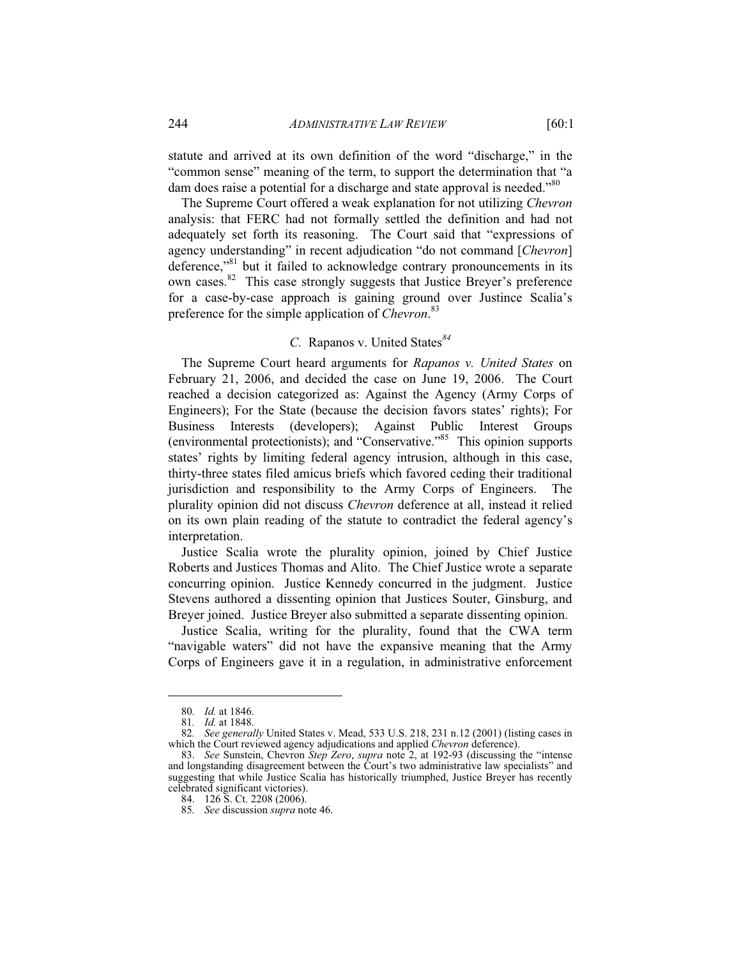statute and arrived at its own definition of the word "discharge," in the "common sense" meaning of the term, to support the determination that "a dam does raise a potential for a discharge and state approval is needed."<sup>80</sup>

The Supreme Court offered a weak explanation for not utilizing *Chevron* analysis: that FERC had not formally settled the definition and had not adequately set forth its reasoning. The Court said that "expressions of agency understanding" in recent adjudication "do not command [*Chevron*] deference,"<sup>81</sup> but it failed to acknowledge contrary pronouncements in its own cases.82 This case strongly suggests that Justice Breyer's preference for a case-by-case approach is gaining ground over Justince Scalia's preference for the simple application of *Chevron*. 83

## *C.* Rapanos v. United States*<sup>84</sup>*

The Supreme Court heard arguments for *Rapanos v. United States* on February 21, 2006, and decided the case on June 19, 2006. The Court reached a decision categorized as: Against the Agency (Army Corps of Engineers); For the State (because the decision favors states' rights); For Business Interests (developers); Against Public Interest Groups (environmental protectionists); and "Conservative."85 This opinion supports states' rights by limiting federal agency intrusion, although in this case, thirty-three states filed amicus briefs which favored ceding their traditional jurisdiction and responsibility to the Army Corps of Engineers. The plurality opinion did not discuss *Chevron* deference at all, instead it relied on its own plain reading of the statute to contradict the federal agency's interpretation.

Justice Scalia wrote the plurality opinion, joined by Chief Justice Roberts and Justices Thomas and Alito. The Chief Justice wrote a separate concurring opinion. Justice Kennedy concurred in the judgment. Justice Stevens authored a dissenting opinion that Justices Souter, Ginsburg, and Breyer joined. Justice Breyer also submitted a separate dissenting opinion.

Justice Scalia, writing for the plurality, found that the CWA term "navigable waters" did not have the expansive meaning that the Army Corps of Engineers gave it in a regulation, in administrative enforcement

<sup>80</sup>*. Id.* at 1846.

<sup>81</sup>*. Id.* at 1848.

<sup>82</sup>*. See generally* United States v. Mead, 533 U.S. 218, 231 n.12 (2001) (listing cases in which the Court reviewed agency adjudications and applied *Chevron* deference).

 <sup>83.</sup> *See* Sunstein, Chevron *Step Zero*, *supra* note 2, at 192-93 (discussing the "intense and longstanding disagreement between the Court's two administrative law specialists" and suggesting that while Justice Scalia has historically triumphed, Justice Breyer has recently celebrated significant victories).

 <sup>84. 126</sup> S. Ct. 2208 (2006).

<sup>85</sup>*. See* discussion *supra* note 46.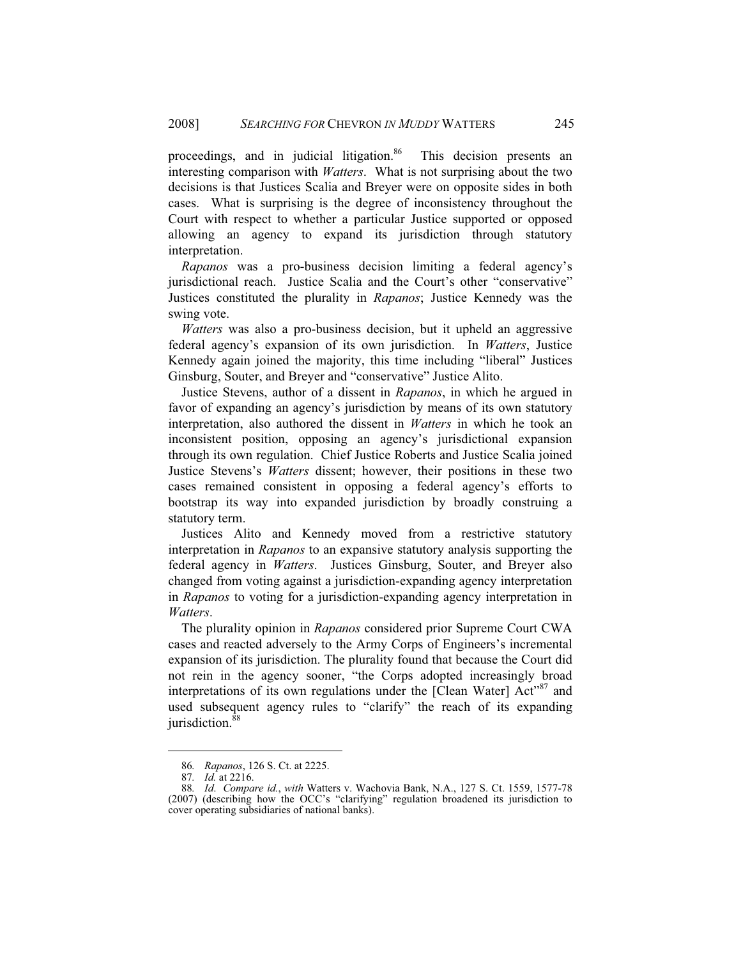proceedings, and in judicial litigation.<sup>86</sup> This decision presents an interesting comparison with *Watters*. What is not surprising about the two decisions is that Justices Scalia and Breyer were on opposite sides in both cases. What is surprising is the degree of inconsistency throughout the Court with respect to whether a particular Justice supported or opposed allowing an agency to expand its jurisdiction through statutory interpretation.

*Rapanos* was a pro-business decision limiting a federal agency's jurisdictional reach. Justice Scalia and the Court's other "conservative" Justices constituted the plurality in *Rapanos*; Justice Kennedy was the swing vote.

*Watters* was also a pro-business decision, but it upheld an aggressive federal agency's expansion of its own jurisdiction. In *Watters*, Justice Kennedy again joined the majority, this time including "liberal" Justices Ginsburg, Souter, and Breyer and "conservative" Justice Alito.

Justice Stevens, author of a dissent in *Rapanos*, in which he argued in favor of expanding an agency's jurisdiction by means of its own statutory interpretation, also authored the dissent in *Watters* in which he took an inconsistent position, opposing an agency's jurisdictional expansion through its own regulation. Chief Justice Roberts and Justice Scalia joined Justice Stevens's *Watters* dissent; however, their positions in these two cases remained consistent in opposing a federal agency's efforts to bootstrap its way into expanded jurisdiction by broadly construing a statutory term.

Justices Alito and Kennedy moved from a restrictive statutory interpretation in *Rapanos* to an expansive statutory analysis supporting the federal agency in *Watters*. Justices Ginsburg, Souter, and Breyer also changed from voting against a jurisdiction-expanding agency interpretation in *Rapanos* to voting for a jurisdiction-expanding agency interpretation in *Watters*.

The plurality opinion in *Rapanos* considered prior Supreme Court CWA cases and reacted adversely to the Army Corps of Engineers's incremental expansion of its jurisdiction. The plurality found that because the Court did not rein in the agency sooner, "the Corps adopted increasingly broad interpretations of its own regulations under the [Clean Water]  $Act^{\prime\prime\prime}$  and used subsequent agency rules to "clarify" the reach of its expanding jurisdiction.<sup>88</sup>

<sup>86</sup>*. Rapanos*, 126 S. Ct. at 2225.

<sup>87</sup>*. Id.* at 2216.

<sup>88</sup>*. Id*. *Compare id.*, *with* Watters v. Wachovia Bank, N.A., 127 S. Ct. 1559, 1577-78 (2007) (describing how the OCC's "clarifying" regulation broadened its jurisdiction to cover operating subsidiaries of national banks).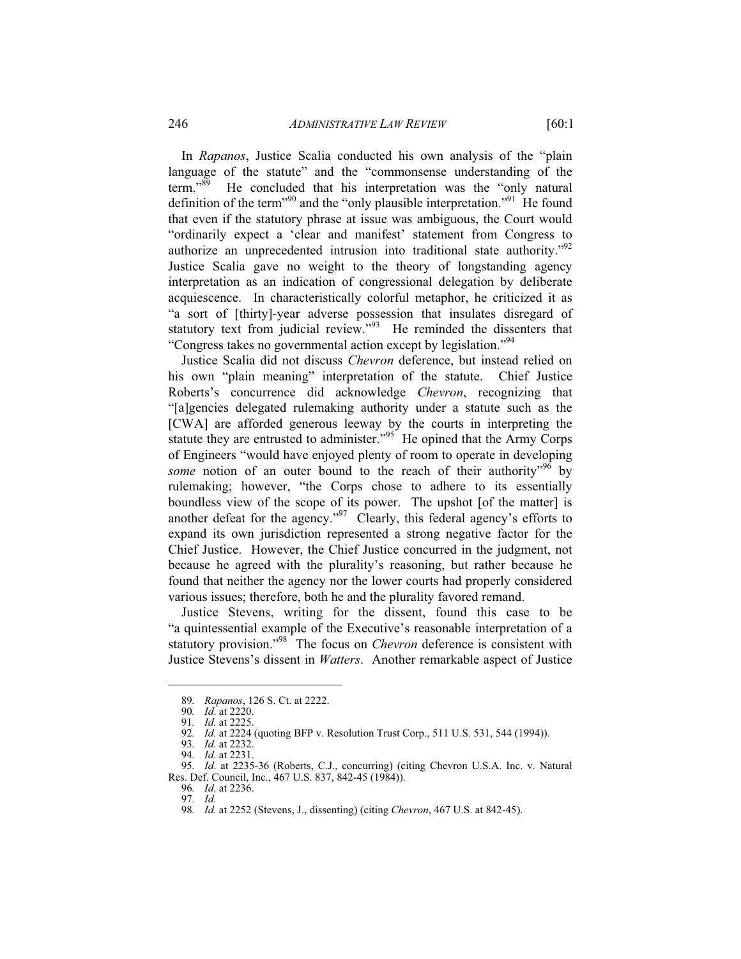In *Rapanos*, Justice Scalia conducted his own analysis of the "plain language of the statute" and the "commonsense understanding of the term."<sup>89</sup> He concluded that his interpretation was the "only natural" He concluded that his interpretation was the "only natural definition of the term"<sup>90</sup> and the "only plausible interpretation."<sup>91</sup> He found that even if the statutory phrase at issue was ambiguous, the Court would "ordinarily expect a 'clear and manifest' statement from Congress to authorize an unprecedented intrusion into traditional state authority."<sup>92</sup> Justice Scalia gave no weight to the theory of longstanding agency interpretation as an indication of congressional delegation by deliberate acquiescence. In characteristically colorful metaphor, he criticized it as "a sort of [thirty]-year adverse possession that insulates disregard of statutory text from judicial review."<sup>93</sup> He reminded the dissenters that "Congress takes no governmental action except by legislation."<sup>94</sup>

Justice Scalia did not discuss *Chevron* deference, but instead relied on his own "plain meaning" interpretation of the statute. Chief Justice Roberts's concurrence did acknowledge *Chevron*, recognizing that "[a]gencies delegated rulemaking authority under a statute such as the [CWA] are afforded generous leeway by the courts in interpreting the statute they are entrusted to administer."<sup>95</sup> He opined that the Army Corps of Engineers "would have enjoyed plenty of room to operate in developing *some* notion of an outer bound to the reach of their authority<sup>"96</sup> by rulemaking; however, "the Corps chose to adhere to its essentially boundless view of the scope of its power. The upshot [of the matter] is another defeat for the agency."<sup>97</sup> Clearly, this federal agency's efforts to expand its own jurisdiction represented a strong negative factor for the Chief Justice. However, the Chief Justice concurred in the judgment, not because he agreed with the plurality's reasoning, but rather because he found that neither the agency nor the lower courts had properly considered various issues; therefore, both he and the plurality favored remand.

Justice Stevens, writing for the dissent, found this case to be "a quintessential example of the Executive's reasonable interpretation of a statutory provision."98 The focus on *Chevron* deference is consistent with Justice Stevens's dissent in *Watters*. Another remarkable aspect of Justice

<sup>89</sup>*. Rapanos*, 126 S. Ct. at 2222.

<sup>90</sup>*. Id*. at 2220.

<sup>91</sup>*. Id.* at 2225.

<sup>92</sup>*. Id.* at 2224 (quoting BFP v. Resolution Trust Corp., 511 U.S. 531, 544 (1994)).

<sup>93</sup>*. Id.* at 2232.

<sup>94</sup>*. Id.* at 2231.

Id. at 2235-36 (Roberts, C.J., concurring) (citing Chevron U.S.A. Inc. v. Natural Res. Def. Council, Inc., 467 U.S. 837, 842-45 (1984)).

<sup>96</sup>*. Id*. at 2236.

<sup>97</sup>*. Id.*

<sup>98</sup>*. Id.* at 2252 (Stevens, J., dissenting) (citing *Chevron*, 467 U.S. at 842-45).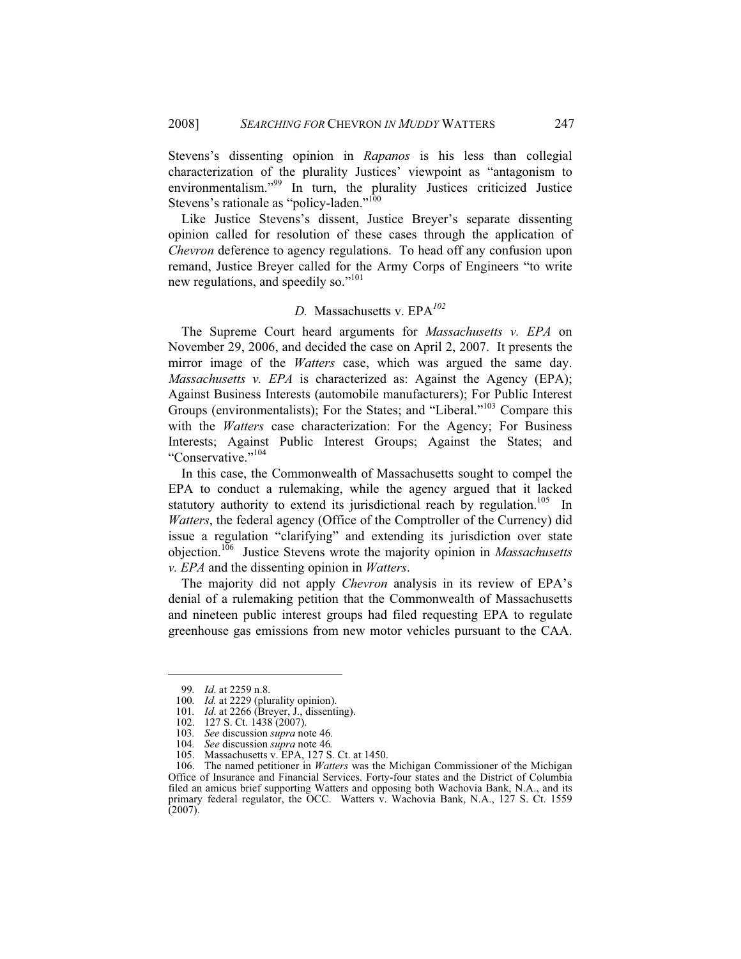Stevens's dissenting opinion in *Rapanos* is his less than collegial characterization of the plurality Justices' viewpoint as "antagonism to environmentalism."<sup>99</sup> In turn, the plurality Justices criticized Justice Stevens's rationale as "policy-laden."<sup>100</sup>

Like Justice Stevens's dissent, Justice Breyer's separate dissenting opinion called for resolution of these cases through the application of *Chevron* deference to agency regulations. To head off any confusion upon remand, Justice Breyer called for the Army Corps of Engineers "to write new regulations, and speedily so."<sup>101</sup>

## *D.* Massachusetts v. EPA*<sup>102</sup>*

The Supreme Court heard arguments for *Massachusetts v. EPA* on November 29, 2006, and decided the case on April 2, 2007. It presents the mirror image of the *Watters* case, which was argued the same day. *Massachusetts v. EPA* is characterized as: Against the Agency (EPA); Against Business Interests (automobile manufacturers); For Public Interest Groups (environmentalists); For the States; and "Liberal."<sup>103</sup> Compare this with the *Watters* case characterization: For the Agency; For Business Interests; Against Public Interest Groups; Against the States; and "Conservative."<sup>104</sup>

In this case, the Commonwealth of Massachusetts sought to compel the EPA to conduct a rulemaking, while the agency argued that it lacked statutory authority to extend its jurisdictional reach by regulation.<sup>105</sup> In *Watters*, the federal agency (Office of the Comptroller of the Currency) did issue a regulation "clarifying" and extending its jurisdiction over state objection.106 Justice Stevens wrote the majority opinion in *Massachusetts v. EPA* and the dissenting opinion in *Watters*.

The majority did not apply *Chevron* analysis in its review of EPA's denial of a rulemaking petition that the Commonwealth of Massachusetts and nineteen public interest groups had filed requesting EPA to regulate greenhouse gas emissions from new motor vehicles pursuant to the CAA.

<sup>99</sup>*. Id*. at 2259 n.8.

<sup>100</sup>*. Id.* at 2229 (plurality opinion).

<sup>101</sup>*. Id*. at 2266 (Breyer, J., dissenting).

 <sup>102. 127</sup> S. Ct. 1438 (2007).

<sup>103</sup>*. See* discussion *supra* note 46.

<sup>104</sup>*. See* discussion *supra* note 46*.*

 <sup>105.</sup> Massachusetts v. EPA, 127 S. Ct. at 1450.

 <sup>106.</sup> The named petitioner in *Watters* was the Michigan Commissioner of the Michigan Office of Insurance and Financial Services. Forty-four states and the District of Columbia filed an amicus brief supporting Watters and opposing both Wachovia Bank, N.A., and its primary federal regulator, the OCC. Watters v. Wachovia Bank, N.A., 127 S. Ct. 1559 (2007).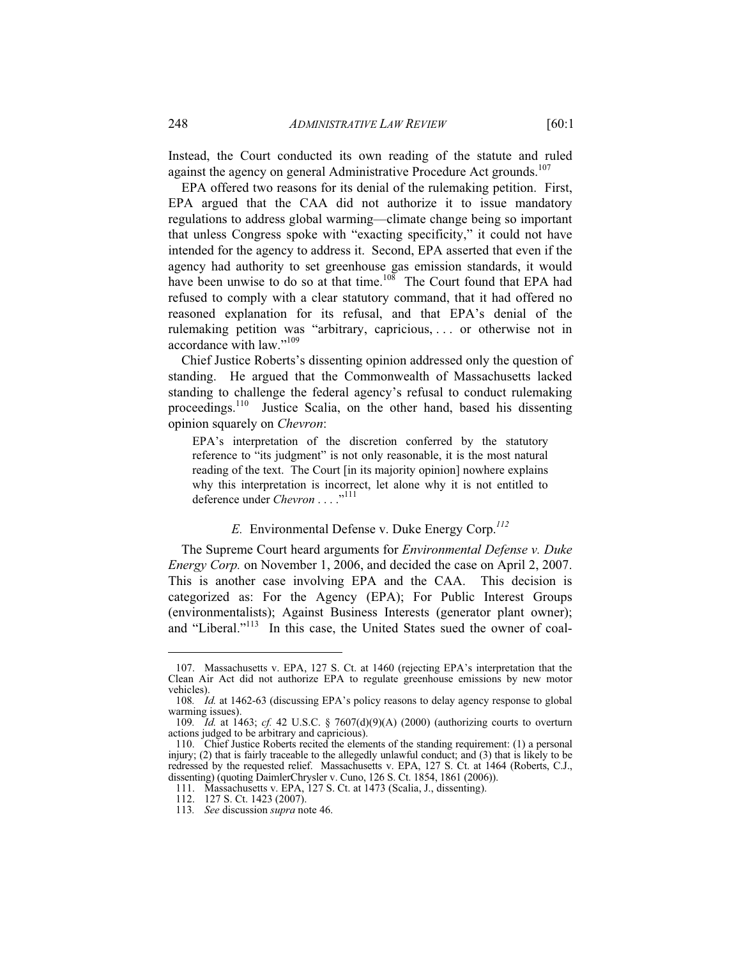Instead, the Court conducted its own reading of the statute and ruled against the agency on general Administrative Procedure Act grounds.<sup>107</sup>

EPA offered two reasons for its denial of the rulemaking petition. First, EPA argued that the CAA did not authorize it to issue mandatory regulations to address global warming—climate change being so important that unless Congress spoke with "exacting specificity," it could not have intended for the agency to address it. Second, EPA asserted that even if the agency had authority to set greenhouse gas emission standards, it would have been unwise to do so at that time.<sup>108</sup> The Court found that EPA had refused to comply with a clear statutory command, that it had offered no reasoned explanation for its refusal, and that EPA's denial of the rulemaking petition was "arbitrary, capricious, . . . or otherwise not in accordance with law."<sup>109</sup>

Chief Justice Roberts's dissenting opinion addressed only the question of standing. He argued that the Commonwealth of Massachusetts lacked standing to challenge the federal agency's refusal to conduct rulemaking proceedings.<sup>110</sup> Justice Scalia, on the other hand, based his dissenting opinion squarely on *Chevron*:

EPA's interpretation of the discretion conferred by the statutory reference to "its judgment" is not only reasonable, it is the most natural reading of the text. The Court [in its majority opinion] nowhere explains why this interpretation is incorrect, let alone why it is not entitled to deference under *Chevron* . . . . "<sup>111</sup>

## *E.* Environmental Defense v. Duke Energy Corp.*<sup>112</sup>*

The Supreme Court heard arguments for *Environmental Defense v. Duke Energy Corp.* on November 1, 2006, and decided the case on April 2, 2007. This is another case involving EPA and the CAA. This decision is categorized as: For the Agency (EPA); For Public Interest Groups (environmentalists); Against Business Interests (generator plant owner); and "Liberal."<sup>113</sup> In this case, the United States sued the owner of coal-

 <sup>107.</sup> Massachusetts v. EPA, 127 S. Ct. at 1460 (rejecting EPA's interpretation that the Clean Air Act did not authorize EPA to regulate greenhouse emissions by new motor vehicles).

<sup>108</sup>*. Id.* at 1462-63 (discussing EPA's policy reasons to delay agency response to global warming issues).

<sup>109</sup>*. Id.* at 1463; *cf.* 42 U.S.C. § 7607(d)(9)(A) (2000) (authorizing courts to overturn actions judged to be arbitrary and capricious).

 <sup>110.</sup> Chief Justice Roberts recited the elements of the standing requirement: (1) a personal injury; (2) that is fairly traceable to the allegedly unlawful conduct; and (3) that is likely to be redressed by the requested relief. Massachusetts v. EPA, 127 S. Ct. at 1464 (Roberts, C.J., dissenting) (quoting DaimlerChrysler v. Cuno, 126 S. Ct. 1854, 1861 (2006)).

 <sup>111.</sup> Massachusetts v. EPA, 127 S. Ct. at 1473 (Scalia, J., dissenting).

 <sup>112. 127</sup> S. Ct. 1423 (2007).

<sup>113</sup>*. See* discussion *supra* note 46.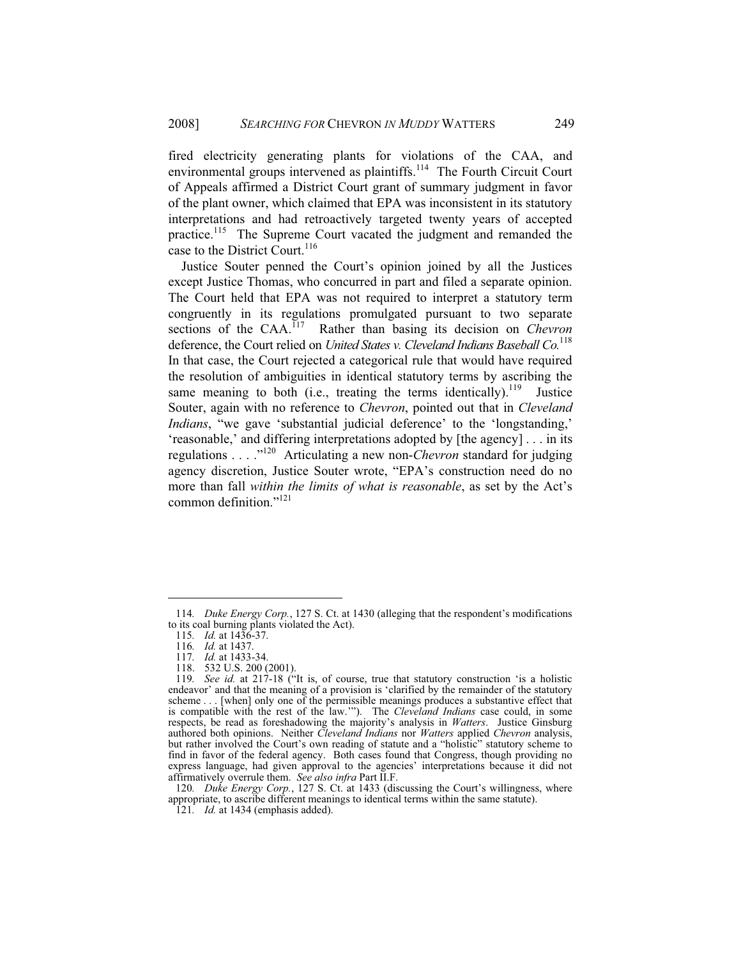fired electricity generating plants for violations of the CAA, and environmental groups intervened as plaintiffs.<sup>114</sup> The Fourth Circuit Court of Appeals affirmed a District Court grant of summary judgment in favor of the plant owner, which claimed that EPA was inconsistent in its statutory interpretations and had retroactively targeted twenty years of accepted practice.<sup>115</sup> The Supreme Court vacated the judgment and remanded the case to the District Court.<sup>116</sup>

Justice Souter penned the Court's opinion joined by all the Justices except Justice Thomas, who concurred in part and filed a separate opinion. The Court held that EPA was not required to interpret a statutory term congruently in its regulations promulgated pursuant to two separate sections of the CAA.<sup>117</sup> Rather than basing its decision on *Chevron* deference, the Court relied on *United States v. Cleveland Indians Baseball Co.*<sup>118</sup> In that case, the Court rejected a categorical rule that would have required the resolution of ambiguities in identical statutory terms by ascribing the same meaning to both (i.e., treating the terms identically).<sup>119</sup> Justice Souter, again with no reference to *Chevron*, pointed out that in *Cleveland Indians*, "we gave 'substantial judicial deference' to the 'longstanding,' 'reasonable,' and differing interpretations adopted by [the agency] . . . in its regulations . . . ."120 Articulating a new non-*Chevron* standard for judging agency discretion, Justice Souter wrote, "EPA's construction need do no more than fall *within the limits of what is reasonable*, as set by the Act's common definition."<sup>121</sup>

<sup>114</sup>*. Duke Energy Corp.*, 127 S. Ct. at 1430 (alleging that the respondent's modifications to its coal burning plants violated the Act).

<sup>115</sup>*. Id.* at 1436-37.

<sup>116</sup>*. Id.* at 1437.

<sup>117</sup>*. Id.* at 1433-34.

 <sup>118. 532</sup> U.S. 200 (2001).

<sup>119</sup>*. See id.* at 217-18 ("It is, of course, true that statutory construction 'is a holistic endeavor' and that the meaning of a provision is 'clarified by the remainder of the statutory scheme . . . [when] only one of the permissible meanings produces a substantive effect that is compatible with the rest of the law.'"). The *Cleveland Indians* case could, in some respects, be read as foreshadowing the majority's analysis in *Watters*. Justice Ginsburg authored both opinions. Neither *Cleveland Indians* nor *Watters* applied *Chevron* analysis, but rather involved the Court's own reading of statute and a "holistic" statutory scheme to find in favor of the federal agency. Both cases found that Congress, though providing no express language, had given approval to the agencies' interpretations because it did not affirmatively overrule them. *See also infra* Part II.F.

<sup>120</sup>*. Duke Energy Corp.*, 127 S. Ct. at 1433 (discussing the Court's willingness, where appropriate, to ascribe different meanings to identical terms within the same statute).

<sup>121</sup>*. Id.* at 1434 (emphasis added).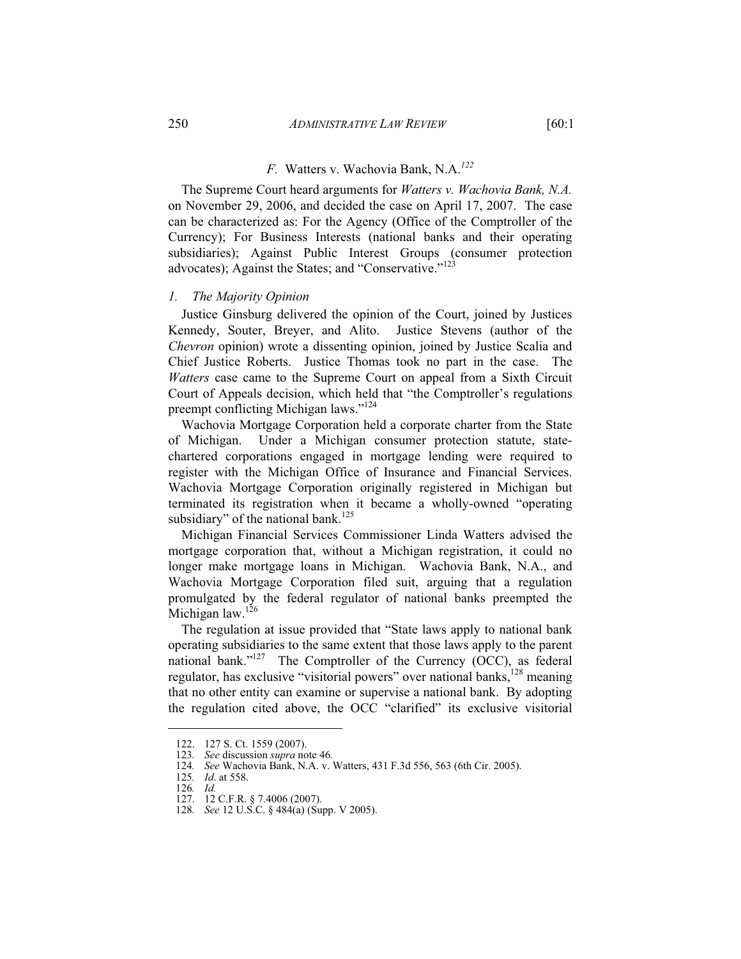## *F.* Watters v. Wachovia Bank, N.A.*<sup>122</sup>*

The Supreme Court heard arguments for *Watters v. Wachovia Bank, N.A.*  on November 29, 2006, and decided the case on April 17, 2007. The case can be characterized as: For the Agency (Office of the Comptroller of the Currency); For Business Interests (national banks and their operating subsidiaries); Against Public Interest Groups (consumer protection advocates); Against the States; and "Conservative."<sup>123</sup>

#### *1. The Majority Opinion*

Justice Ginsburg delivered the opinion of the Court, joined by Justices Kennedy, Souter, Breyer, and Alito. Justice Stevens (author of the *Chevron* opinion) wrote a dissenting opinion, joined by Justice Scalia and Chief Justice Roberts. Justice Thomas took no part in the case. The *Watters* case came to the Supreme Court on appeal from a Sixth Circuit Court of Appeals decision, which held that "the Comptroller's regulations preempt conflicting Michigan laws."<sup>124</sup>

Wachovia Mortgage Corporation held a corporate charter from the State of Michigan. Under a Michigan consumer protection statute, statechartered corporations engaged in mortgage lending were required to register with the Michigan Office of Insurance and Financial Services. Wachovia Mortgage Corporation originally registered in Michigan but terminated its registration when it became a wholly-owned "operating subsidiary" of the national bank. $125$ 

Michigan Financial Services Commissioner Linda Watters advised the mortgage corporation that, without a Michigan registration, it could no longer make mortgage loans in Michigan. Wachovia Bank, N.A., and Wachovia Mortgage Corporation filed suit, arguing that a regulation promulgated by the federal regulator of national banks preempted the Michigan law.<sup>126</sup>

The regulation at issue provided that "State laws apply to national bank operating subsidiaries to the same extent that those laws apply to the parent national bank." $127$  The Comptroller of the Currency (OCC), as federal regulator, has exclusive "visitorial powers" over national banks, $128$  meaning that no other entity can examine or supervise a national bank. By adopting the regulation cited above, the OCC "clarified" its exclusive visitorial

 <sup>122. 127</sup> S. Ct. 1559 (2007).

<sup>123</sup>*. See* discussion *supra* note 46*.*

<sup>124</sup>*. See* Wachovia Bank, N.A. v. Watters, 431 F.3d 556, 563 (6th Cir. 2005).

<sup>125</sup>*. Id*. at 558.

<sup>126</sup>*. Id.*

 <sup>127. 12</sup> C.F.R. § 7.4006 (2007).

<sup>128</sup>*. See* 12 U.S.C. § 484(a) (Supp. V 2005).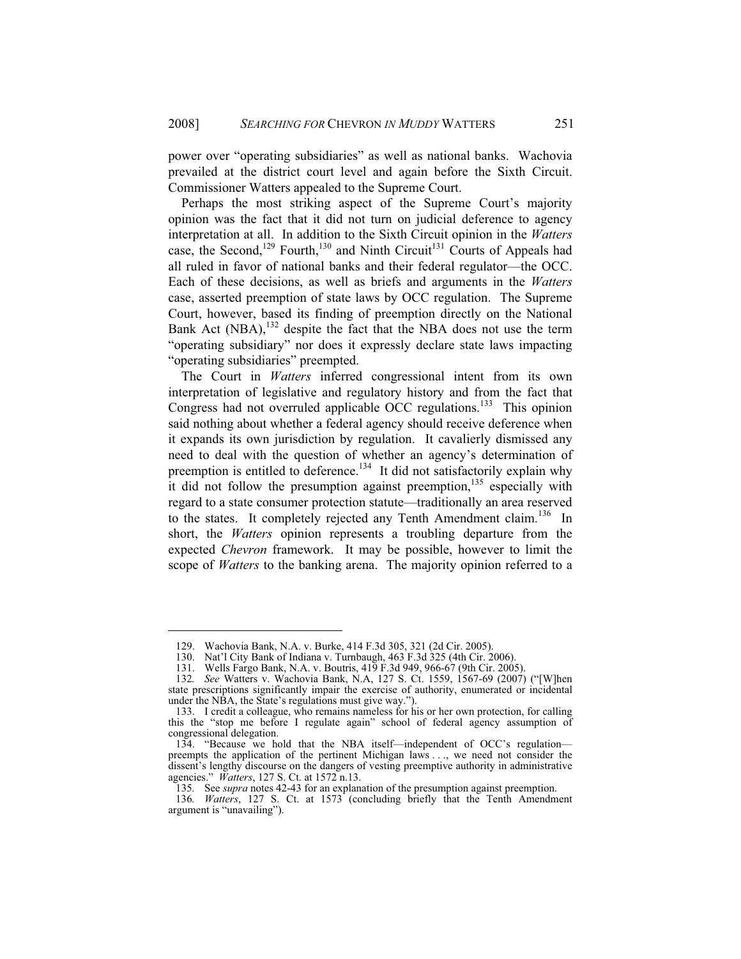power over "operating subsidiaries" as well as national banks. Wachovia prevailed at the district court level and again before the Sixth Circuit. Commissioner Watters appealed to the Supreme Court.

Perhaps the most striking aspect of the Supreme Court's majority opinion was the fact that it did not turn on judicial deference to agency interpretation at all. In addition to the Sixth Circuit opinion in the *Watters* case, the Second,<sup>129</sup> Fourth,<sup>130</sup> and Ninth Circuit<sup>131</sup> Courts of Appeals had all ruled in favor of national banks and their federal regulator—the OCC. Each of these decisions, as well as briefs and arguments in the *Watters* case, asserted preemption of state laws by OCC regulation. The Supreme Court, however, based its finding of preemption directly on the National Bank Act  $(NBA)$ ,<sup>132</sup> despite the fact that the NBA does not use the term "operating subsidiary" nor does it expressly declare state laws impacting "operating subsidiaries" preempted.

The Court in *Watters* inferred congressional intent from its own interpretation of legislative and regulatory history and from the fact that Congress had not overruled applicable OCC regulations.<sup>133</sup> This opinion said nothing about whether a federal agency should receive deference when it expands its own jurisdiction by regulation. It cavalierly dismissed any need to deal with the question of whether an agency's determination of preemption is entitled to deference.<sup>134</sup> It did not satisfactorily explain why it did not follow the presumption against preemption, $135$  especially with regard to a state consumer protection statute—traditionally an area reserved to the states. It completely rejected any Tenth Amendment claim.<sup>136</sup> In short, the *Watters* opinion represents a troubling departure from the expected *Chevron* framework. It may be possible, however to limit the scope of *Watters* to the banking arena. The majority opinion referred to a

<sup>129.</sup> Wachovia Bank, N.A. v. Burke, 414 F.3d 305, 321 (2d Cir. 2005).<br>130. Nat'l City Bank of Indiana v. Turnbaugh, 463 F.3d 325 (4th Cir. 20

Nat'l City Bank of Indiana v. Turnbaugh, 463 F.3d 325 (4th Cir. 2006).

 <sup>131.</sup> Wells Fargo Bank, N.A. v. Boutris, 419 F.3d 949, 966-67 (9th Cir. 2005).

<sup>132</sup>*. See* Watters v. Wachovia Bank, N.A, 127 S. Ct. 1559, 1567-69 (2007) ("[W]hen state prescriptions significantly impair the exercise of authority, enumerated or incidental under the NBA, the State's regulations must give way.").

 <sup>133.</sup> I credit a colleague, who remains nameless for his or her own protection, for calling this the "stop me before I regulate again" school of federal agency assumption of congressional delegation.

 <sup>134. &</sup>quot;Because we hold that the NBA itself—independent of OCC's regulation preempts the application of the pertinent Michigan laws . . ., we need not consider the dissent's lengthy discourse on the dangers of vesting preemptive authority in administrative agencies." *Watters*, 127 S. Ct. at 1572 n.13.

<sup>135</sup>*.* See *supra* notes 42-43 for an explanation of the presumption against preemption.

<sup>136</sup>*. Watters*, 127 S. Ct. at 1573 (concluding briefly that the Tenth Amendment argument is "unavailing").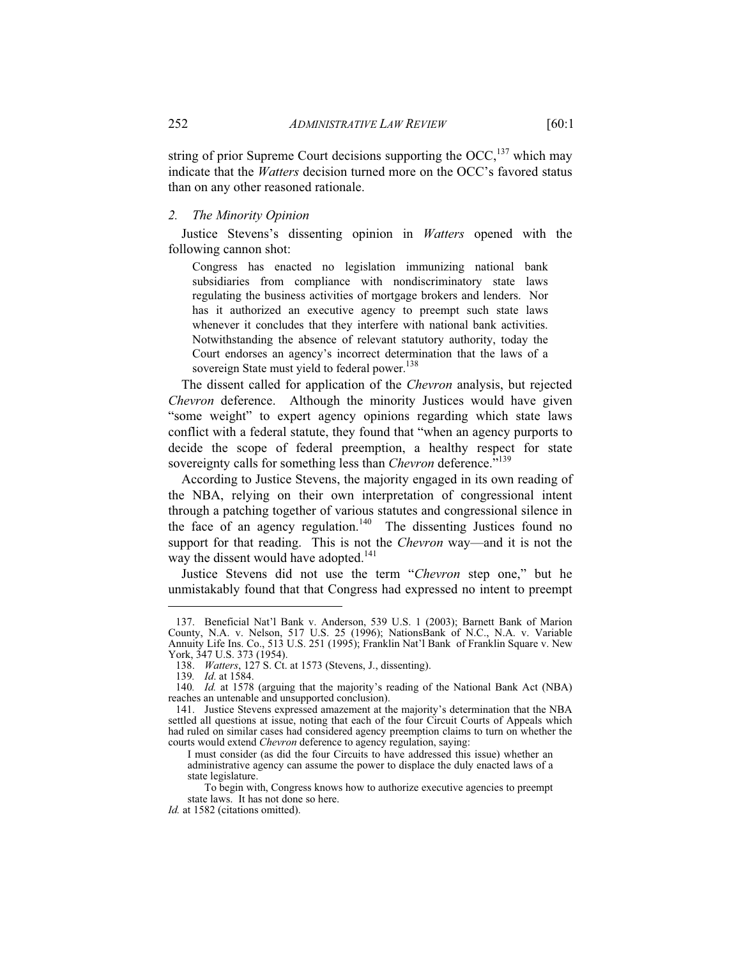string of prior Supreme Court decisions supporting the  $OCC$ ,<sup>137</sup> which may indicate that the *Watters* decision turned more on the OCC's favored status than on any other reasoned rationale.

## *2. The Minority Opinion*

Justice Stevens's dissenting opinion in *Watters* opened with the following cannon shot:

Congress has enacted no legislation immunizing national bank subsidiaries from compliance with nondiscriminatory state laws regulating the business activities of mortgage brokers and lenders. Nor has it authorized an executive agency to preempt such state laws whenever it concludes that they interfere with national bank activities. Notwithstanding the absence of relevant statutory authority, today the Court endorses an agency's incorrect determination that the laws of a sovereign State must yield to federal power.<sup>138</sup>

The dissent called for application of the *Chevron* analysis, but rejected *Chevron* deference. Although the minority Justices would have given "some weight" to expert agency opinions regarding which state laws conflict with a federal statute, they found that "when an agency purports to decide the scope of federal preemption, a healthy respect for state sovereignty calls for something less than *Chevron* deference."<sup>139</sup>

According to Justice Stevens, the majority engaged in its own reading of the NBA, relying on their own interpretation of congressional intent through a patching together of various statutes and congressional silence in the face of an agency regulation.<sup>140</sup> The dissenting Justices found no support for that reading. This is not the *Chevron* way—and it is not the way the dissent would have adopted.<sup>141</sup>

Justice Stevens did not use the term "*Chevron* step one," but he unmistakably found that that Congress had expressed no intent to preempt

 $\overline{a}$ 

 <sup>137.</sup> Beneficial Nat'l Bank v. Anderson, 539 U.S. 1 (2003); Barnett Bank of Marion County, N.A. v. Nelson, 517 U.S. 25 (1996); NationsBank of N.C., N.A. v. Variable Annuity Life Ins. Co., 513 U.S. 251 (1995); Franklin Nat'l Bank of Franklin Square v. New York, 347 U.S. 373 (1954).

 <sup>138.</sup> *Watters*, 127 S. Ct. at 1573 (Stevens, J., dissenting).

<sup>139</sup>*. Id*. at 1584.

<sup>140</sup>*. Id.* at 1578 (arguing that the majority's reading of the National Bank Act (NBA) reaches an untenable and unsupported conclusion).

 <sup>141.</sup> Justice Stevens expressed amazement at the majority's determination that the NBA settled all questions at issue, noting that each of the four Circuit Courts of Appeals which had ruled on similar cases had considered agency preemption claims to turn on whether the courts would extend *Chevron* deference to agency regulation, saying:

I must consider (as did the four Circuits to have addressed this issue) whether an administrative agency can assume the power to displace the duly enacted laws of a state legislature.

To begin with, Congress knows how to authorize executive agencies to preempt state laws. It has not done so here.

*Id.* at 1582 (citations omitted).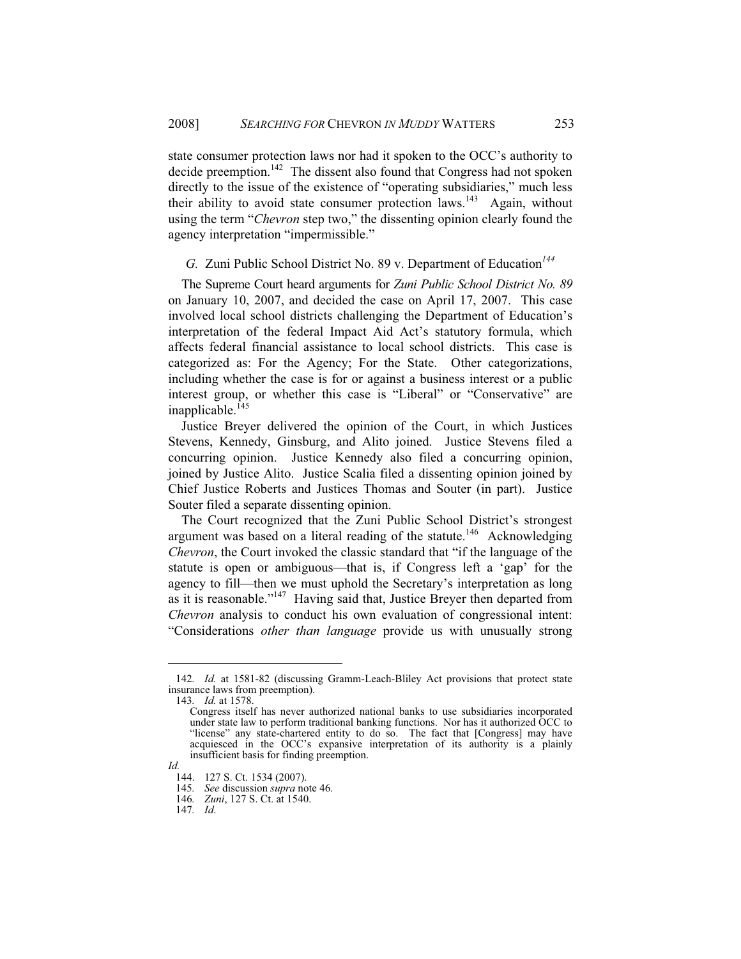state consumer protection laws nor had it spoken to the OCC's authority to decide preemption.<sup>142</sup> The dissent also found that Congress had not spoken directly to the issue of the existence of "operating subsidiaries," much less their ability to avoid state consumer protection laws.<sup>143</sup> Again, without using the term "*Chevron* step two," the dissenting opinion clearly found the agency interpretation "impermissible."

## *G.* Zuni Public School District No. 89 v. Department of Education*<sup>144</sup>*

The Supreme Court heard arguments for *Zuni Public School District No. 89*  on January 10, 2007, and decided the case on April 17, 2007. This case involved local school districts challenging the Department of Education's interpretation of the federal Impact Aid Act's statutory formula, which affects federal financial assistance to local school districts. This case is categorized as: For the Agency; For the State. Other categorizations, including whether the case is for or against a business interest or a public interest group, or whether this case is "Liberal" or "Conservative" are inapplicable.<sup>145</sup>

Justice Breyer delivered the opinion of the Court, in which Justices Stevens, Kennedy, Ginsburg, and Alito joined. Justice Stevens filed a concurring opinion. Justice Kennedy also filed a concurring opinion, joined by Justice Alito. Justice Scalia filed a dissenting opinion joined by Chief Justice Roberts and Justices Thomas and Souter (in part). Justice Souter filed a separate dissenting opinion.

The Court recognized that the Zuni Public School District's strongest argument was based on a literal reading of the statute.<sup>146</sup> Acknowledging *Chevron*, the Court invoked the classic standard that "if the language of the statute is open or ambiguous—that is, if Congress left a 'gap' for the agency to fill—then we must uphold the Secretary's interpretation as long as it is reasonable."147 Having said that, Justice Breyer then departed from *Chevron* analysis to conduct his own evaluation of congressional intent: "Considerations *other than language* provide us with unusually strong

<sup>142</sup>*. Id.* at 1581-82 (discussing Gramm-Leach-Bliley Act provisions that protect state insurance laws from preemption).

<sup>143</sup>*. Id.* at 1578.

Congress itself has never authorized national banks to use subsidiaries incorporated under state law to perform traditional banking functions. Nor has it authorized OCC to "license" any state-chartered entity to do so. The fact that [Congress] may have acquiesced in the OCC's expansive interpretation of its authority is a plainly insufficient basis for finding preemption.

*Id.*

 <sup>144. 127</sup> S. Ct. 1534 (2007).

<sup>145</sup>*. See* discussion *supra* note 46.

<sup>146</sup>*. Zuni*, 127 S. Ct. at 1540.

<sup>147</sup>*. Id*.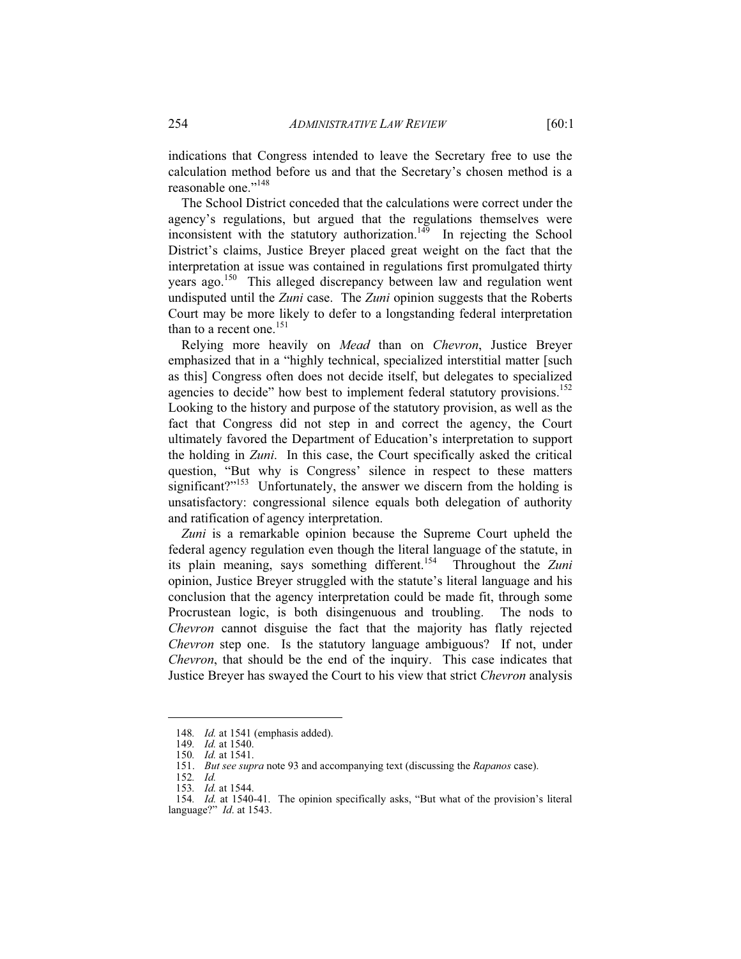indications that Congress intended to leave the Secretary free to use the calculation method before us and that the Secretary's chosen method is a reasonable one."<sup>148</sup>

The School District conceded that the calculations were correct under the agency's regulations, but argued that the regulations themselves were inconsistent with the statutory authorization.<sup>149</sup> In rejecting the School District's claims, Justice Breyer placed great weight on the fact that the interpretation at issue was contained in regulations first promulgated thirty years ago.<sup>150</sup> This alleged discrepancy between law and regulation went undisputed until the *Zuni* case. The *Zuni* opinion suggests that the Roberts Court may be more likely to defer to a longstanding federal interpretation than to a recent one.<sup>151</sup>

Relying more heavily on *Mead* than on *Chevron*, Justice Breyer emphasized that in a "highly technical, specialized interstitial matter [such as this] Congress often does not decide itself, but delegates to specialized agencies to decide" how best to implement federal statutory provisions.<sup>152</sup> Looking to the history and purpose of the statutory provision, as well as the fact that Congress did not step in and correct the agency, the Court ultimately favored the Department of Education's interpretation to support the holding in *Zuni*. In this case, the Court specifically asked the critical question, "But why is Congress' silence in respect to these matters significant?"<sup>153</sup> Unfortunately, the answer we discern from the holding is unsatisfactory: congressional silence equals both delegation of authority and ratification of agency interpretation.

*Zuni* is a remarkable opinion because the Supreme Court upheld the federal agency regulation even though the literal language of the statute, in its plain meaning, says something different.154 Throughout the *Zuni* opinion, Justice Breyer struggled with the statute's literal language and his conclusion that the agency interpretation could be made fit, through some Procrustean logic, is both disingenuous and troubling. The nods to *Chevron* cannot disguise the fact that the majority has flatly rejected *Chevron* step one. Is the statutory language ambiguous? If not, under *Chevron*, that should be the end of the inquiry. This case indicates that Justice Breyer has swayed the Court to his view that strict *Chevron* analysis

<sup>148</sup>*. Id.* at 1541 (emphasis added).

<sup>149</sup>*. Id.* at 1540. 150*. Id.* at 1541.

 <sup>151.</sup> *But see supra* note 93 and accompanying text (discussing the *Rapanos* case).

<sup>152</sup>*. Id.*

<sup>153</sup>*. Id.* at 1544.

<sup>154</sup>*. Id.* at 1540-41. The opinion specifically asks, "But what of the provision's literal language?" *Id*. at 1543.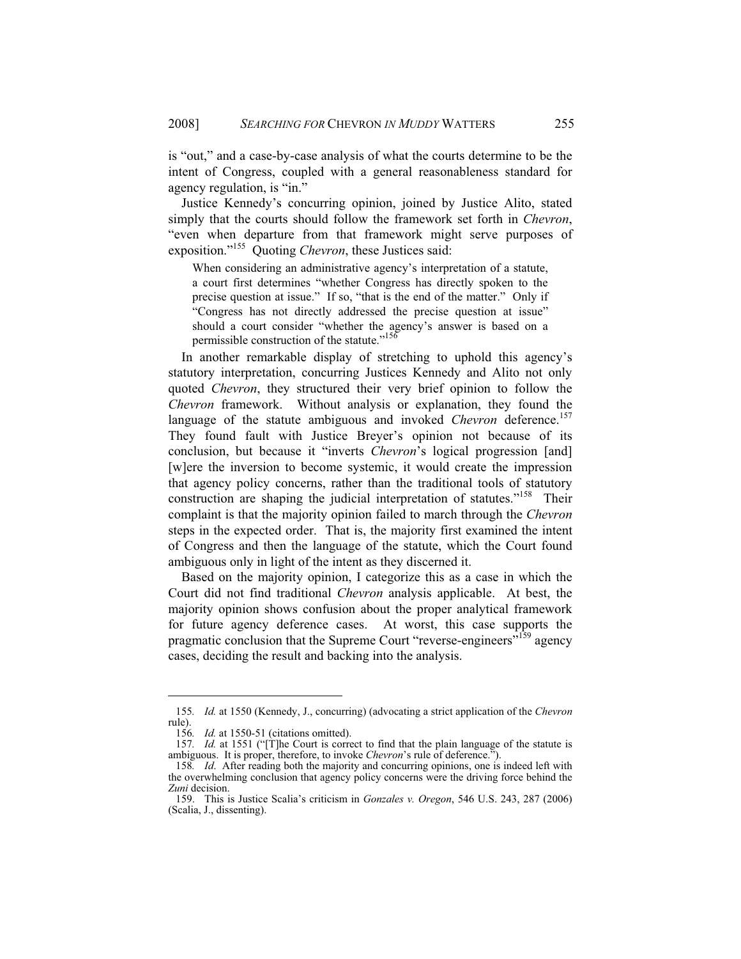is "out," and a case-by-case analysis of what the courts determine to be the intent of Congress, coupled with a general reasonableness standard for agency regulation, is "in."

Justice Kennedy's concurring opinion, joined by Justice Alito, stated simply that the courts should follow the framework set forth in *Chevron*, "even when departure from that framework might serve purposes of exposition."155 Quoting *Chevron*, these Justices said:

When considering an administrative agency's interpretation of a statute, a court first determines "whether Congress has directly spoken to the precise question at issue." If so, "that is the end of the matter." Only if "Congress has not directly addressed the precise question at issue" should a court consider "whether the agency's answer is based on a permissible construction of the statute."<sup>156</sup>

In another remarkable display of stretching to uphold this agency's statutory interpretation, concurring Justices Kennedy and Alito not only quoted *Chevron*, they structured their very brief opinion to follow the *Chevron* framework. Without analysis or explanation, they found the language of the statute ambiguous and invoked *Chevron* deference.<sup>157</sup> They found fault with Justice Breyer's opinion not because of its conclusion, but because it "inverts *Chevron*'s logical progression [and] [w]ere the inversion to become systemic, it would create the impression that agency policy concerns, rather than the traditional tools of statutory construction are shaping the judicial interpretation of statutes."<sup>158</sup> Their complaint is that the majority opinion failed to march through the *Chevron* steps in the expected order. That is, the majority first examined the intent of Congress and then the language of the statute, which the Court found ambiguous only in light of the intent as they discerned it.

Based on the majority opinion, I categorize this as a case in which the Court did not find traditional *Chevron* analysis applicable. At best, the majority opinion shows confusion about the proper analytical framework for future agency deference cases. At worst, this case supports the pragmatic conclusion that the Supreme Court "reverse-engineers"<sup>159</sup> agency cases, deciding the result and backing into the analysis.

<sup>155</sup>*. Id.* at 1550 (Kennedy, J., concurring) (advocating a strict application of the *Chevron* rule).

<sup>156</sup>*. Id.* at 1550-51 (citations omitted).

<sup>157</sup>*. Id.* at 1551 ("[T]he Court is correct to find that the plain language of the statute is ambiguous. It is proper, therefore, to invoke *Chevron*'s rule of deference.").

<sup>158</sup>*. Id*. After reading both the majority and concurring opinions, one is indeed left with the overwhelming conclusion that agency policy concerns were the driving force behind the *Zuni* decision.

 <sup>159.</sup> This is Justice Scalia's criticism in *Gonzales v. Oregon*, 546 U.S. 243, 287 (2006) (Scalia, J., dissenting).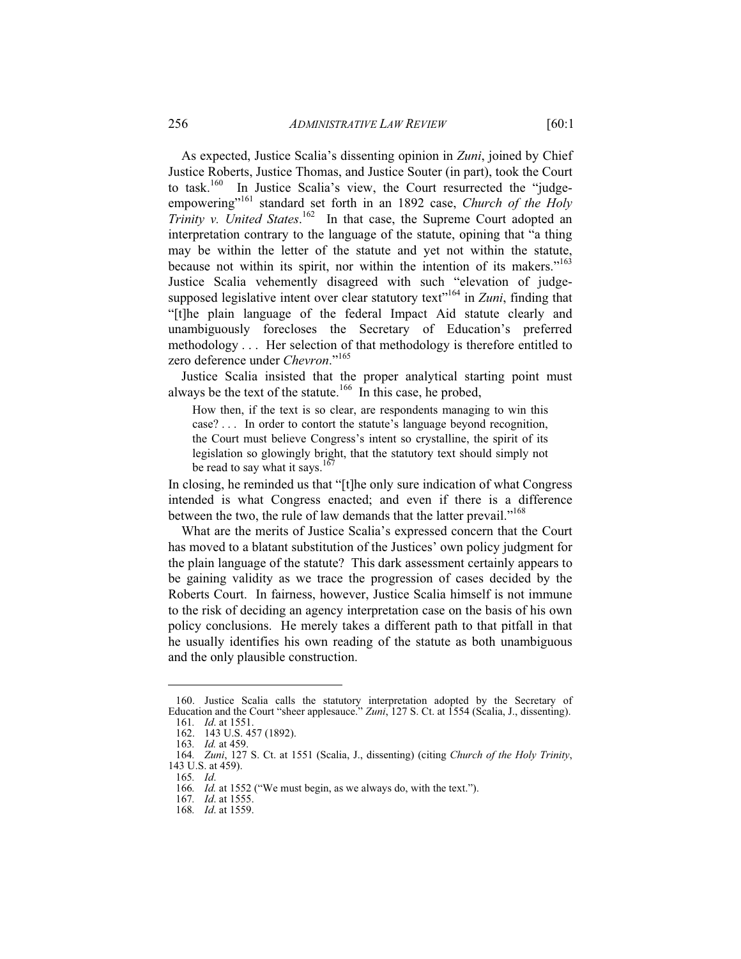As expected, Justice Scalia's dissenting opinion in *Zuni*, joined by Chief Justice Roberts, Justice Thomas, and Justice Souter (in part), took the Court to task.<sup>160</sup> In Justice Scalia's view, the Court resurrected the "judgeempowering"<sup>161</sup> standard set forth in an 1892 case, *Church of the Holy Trinity v. United States*.<sup>162</sup> In that case, the Supreme Court adopted an interpretation contrary to the language of the statute, opining that "a thing may be within the letter of the statute and yet not within the statute, because not within its spirit, nor within the intention of its makers."<sup>163</sup> Justice Scalia vehemently disagreed with such "elevation of judgesupposed legislative intent over clear statutory text<sup>"164</sup> in *Zuni*, finding that "[t]he plain language of the federal Impact Aid statute clearly and unambiguously forecloses the Secretary of Education's preferred methodology . . . Her selection of that methodology is therefore entitled to zero deference under *Chevron*."165

Justice Scalia insisted that the proper analytical starting point must always be the text of the statute.<sup>166</sup> In this case, he probed,

How then, if the text is so clear, are respondents managing to win this case? . . . In order to contort the statute's language beyond recognition, the Court must believe Congress's intent so crystalline, the spirit of its legislation so glowingly bright, that the statutory text should simply not be read to say what it says.<sup>167</sup>

In closing, he reminded us that "[t]he only sure indication of what Congress intended is what Congress enacted; and even if there is a difference between the two, the rule of law demands that the latter prevail."<sup>168</sup>

What are the merits of Justice Scalia's expressed concern that the Court has moved to a blatant substitution of the Justices' own policy judgment for the plain language of the statute? This dark assessment certainly appears to be gaining validity as we trace the progression of cases decided by the Roberts Court. In fairness, however, Justice Scalia himself is not immune to the risk of deciding an agency interpretation case on the basis of his own policy conclusions. He merely takes a different path to that pitfall in that he usually identifies his own reading of the statute as both unambiguous and the only plausible construction.

 <sup>160.</sup> Justice Scalia calls the statutory interpretation adopted by the Secretary of Education and the Court "sheer applesauce." *Zuni*, 127 S. Ct. at 1554 (Scalia, J., dissenting). 161*. Id*. at 1551.

 <sup>162. 143</sup> U.S. 457 (1892).

<sup>163</sup>*. Id.* at 459.

<sup>164</sup>*. Zuni*, 127 S. Ct. at 1551 (Scalia, J., dissenting) (citing *Church of the Holy Trinity*, 143 U.S. at 459).

<sup>165</sup>*. Id*.

<sup>166</sup>*. Id.* at 1552 ("We must begin, as we always do, with the text.").

*Id.* at 1555.

<sup>168</sup>*. Id*. at 1559.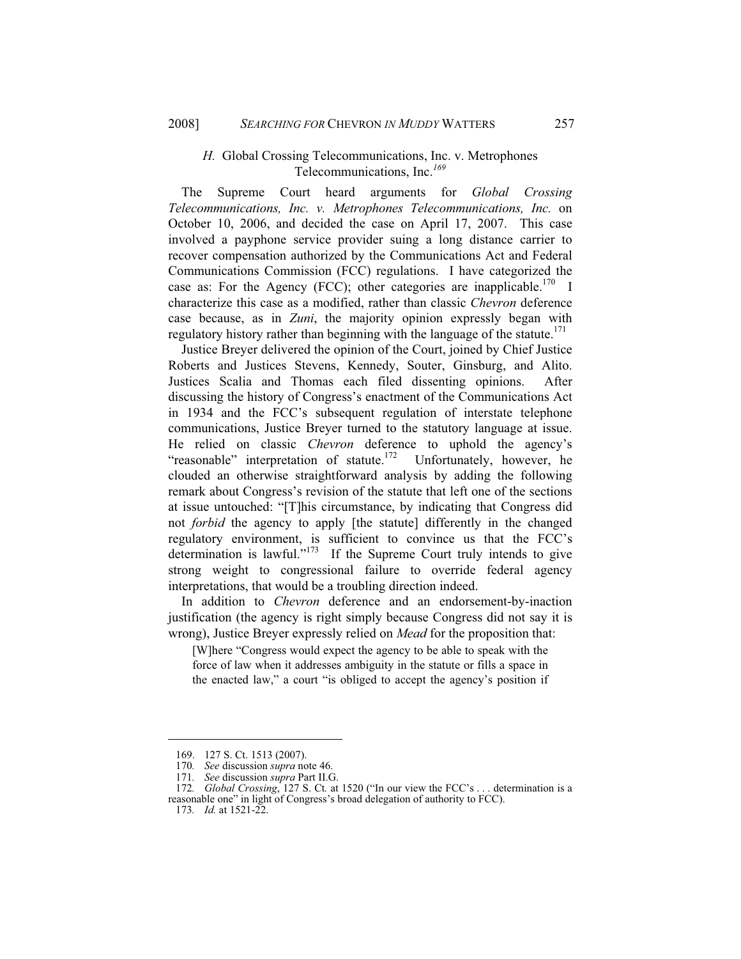## *H.* Global Crossing Telecommunications, Inc. v. Metrophones Telecommunications, Inc.*<sup>169</sup>*

The Supreme Court heard arguments for *Global Crossing Telecommunications, Inc. v. Metrophones Telecommunications, Inc.* on October 10, 2006, and decided the case on April 17, 2007. This case involved a payphone service provider suing a long distance carrier to recover compensation authorized by the Communications Act and Federal Communications Commission (FCC) regulations. I have categorized the case as: For the Agency (FCC); other categories are inapplicable.<sup>170</sup> I characterize this case as a modified, rather than classic *Chevron* deference case because, as in *Zuni*, the majority opinion expressly began with regulatory history rather than beginning with the language of the statute.<sup>171</sup>

Justice Breyer delivered the opinion of the Court, joined by Chief Justice Roberts and Justices Stevens, Kennedy, Souter, Ginsburg, and Alito. Justices Scalia and Thomas each filed dissenting opinions. After discussing the history of Congress's enactment of the Communications Act in 1934 and the FCC's subsequent regulation of interstate telephone communications, Justice Breyer turned to the statutory language at issue. He relied on classic *Chevron* deference to uphold the agency's "reasonable" interpretation of statute.<sup>172</sup> Unfortunately, however, he clouded an otherwise straightforward analysis by adding the following remark about Congress's revision of the statute that left one of the sections at issue untouched: "[T]his circumstance, by indicating that Congress did not *forbid* the agency to apply [the statute] differently in the changed regulatory environment, is sufficient to convince us that the FCC's determination is lawful." $173$  If the Supreme Court truly intends to give strong weight to congressional failure to override federal agency interpretations, that would be a troubling direction indeed.

In addition to *Chevron* deference and an endorsement-by-inaction justification (the agency is right simply because Congress did not say it is wrong), Justice Breyer expressly relied on *Mead* for the proposition that:

[W]here "Congress would expect the agency to be able to speak with the force of law when it addresses ambiguity in the statute or fills a space in the enacted law," a court "is obliged to accept the agency's position if

 <sup>169. 127</sup> S. Ct. 1513 (2007).

<sup>170</sup>*. See* discussion *supra* note 46.

<sup>171</sup>*. See* discussion *supra* Part II.G.

<sup>172</sup>*. Global Crossing*, 127 S. Ct*.* at 1520 ("In our view the FCC's . . . determination is a

reasonable one" in light of Congress's broad delegation of authority to FCC).

<sup>173</sup>*. Id.* at 1521-22.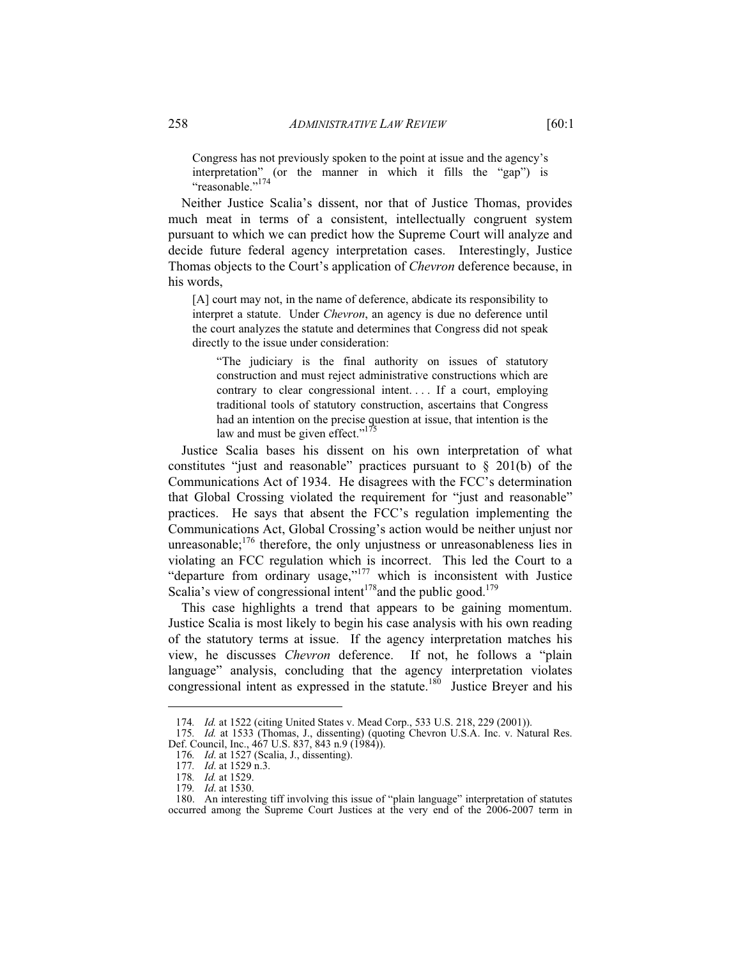Congress has not previously spoken to the point at issue and the agency's interpretation" (or the manner in which it fills the "gap") is "reasonable."<sup>174</sup>

Neither Justice Scalia's dissent, nor that of Justice Thomas, provides much meat in terms of a consistent, intellectually congruent system pursuant to which we can predict how the Supreme Court will analyze and decide future federal agency interpretation cases. Interestingly, Justice Thomas objects to the Court's application of *Chevron* deference because, in his words,

[A] court may not, in the name of deference, abdicate its responsibility to interpret a statute. Under *Chevron*, an agency is due no deference until the court analyzes the statute and determines that Congress did not speak directly to the issue under consideration:

"The judiciary is the final authority on issues of statutory construction and must reject administrative constructions which are contrary to clear congressional intent. . . . If a court, employing traditional tools of statutory construction, ascertains that Congress had an intention on the precise question at issue, that intention is the law and must be given effect." $17$ 

Justice Scalia bases his dissent on his own interpretation of what constitutes "just and reasonable" practices pursuant to § 201(b) of the Communications Act of 1934. He disagrees with the FCC's determination that Global Crossing violated the requirement for "just and reasonable" practices. He says that absent the FCC's regulation implementing the Communications Act, Global Crossing's action would be neither unjust nor unreasonable; $176$  therefore, the only unjustness or unreasonableness lies in violating an FCC regulation which is incorrect. This led the Court to a "departure from ordinary usage,"<sup>177</sup> which is inconsistent with Justice" Scalia's view of congressional intent<sup>178</sup> and the public good.<sup>179</sup>

This case highlights a trend that appears to be gaining momentum. Justice Scalia is most likely to begin his case analysis with his own reading of the statutory terms at issue. If the agency interpretation matches his view, he discusses *Chevron* deference. If not, he follows a "plain language" analysis, concluding that the agency interpretation violates congressional intent as expressed in the statute.<sup>180</sup> Justice Breyer and his

<sup>174</sup>*. Id.* at 1522 (citing United States v. Mead Corp., 533 U.S. 218, 229 (2001)).

<sup>175</sup>*. Id.* at 1533 (Thomas, J., dissenting) (quoting Chevron U.S.A. Inc. v. Natural Res. Def. Council, Inc., 467 U.S. 837, 843 n.9 (1984)).

<sup>176</sup>*. Id*. at 1527 (Scalia, J., dissenting).

<sup>177</sup>*. Id*. at 1529 n.3.

<sup>178</sup>*. Id.* at 1529.

<sup>179</sup>*. Id*. at 1530.

 <sup>180.</sup> An interesting tiff involving this issue of "plain language" interpretation of statutes occurred among the Supreme Court Justices at the very end of the 2006-2007 term in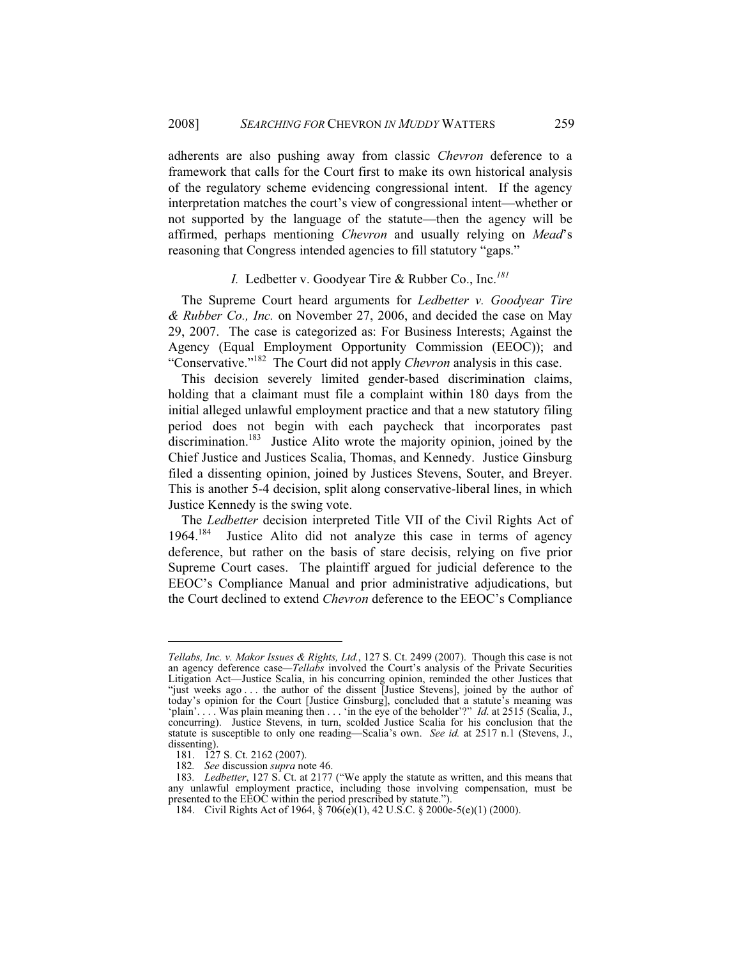adherents are also pushing away from classic *Chevron* deference to a framework that calls for the Court first to make its own historical analysis of the regulatory scheme evidencing congressional intent. If the agency interpretation matches the court's view of congressional intent—whether or not supported by the language of the statute—then the agency will be affirmed, perhaps mentioning *Chevron* and usually relying on *Mead*'s reasoning that Congress intended agencies to fill statutory "gaps."

## *I.* Ledbetter v. Goodyear Tire & Rubber Co., Inc.*<sup>181</sup>*

The Supreme Court heard arguments for *Ledbetter v. Goodyear Tire & Rubber Co., Inc.* on November 27, 2006, and decided the case on May 29, 2007. The case is categorized as: For Business Interests; Against the Agency (Equal Employment Opportunity Commission (EEOC)); and "Conservative."182 The Court did not apply *Chevron* analysis in this case.

This decision severely limited gender-based discrimination claims, holding that a claimant must file a complaint within 180 days from the initial alleged unlawful employment practice and that a new statutory filing period does not begin with each paycheck that incorporates past discrimination.<sup>183</sup> Justice Alito wrote the majority opinion, joined by the Chief Justice and Justices Scalia, Thomas, and Kennedy. Justice Ginsburg filed a dissenting opinion, joined by Justices Stevens, Souter, and Breyer. This is another 5-4 decision, split along conservative-liberal lines, in which Justice Kennedy is the swing vote.

The *Ledbetter* decision interpreted Title VII of the Civil Rights Act of  $1964$ <sup>184</sup> Justice Alito did not analyze this case in terms of agency deference, but rather on the basis of stare decisis, relying on five prior Supreme Court cases. The plaintiff argued for judicial deference to the EEOC's Compliance Manual and prior administrative adjudications, but the Court declined to extend *Chevron* deference to the EEOC's Compliance

*Tellabs, Inc. v. Makor Issues & Rights, Ltd.*, 127 S. Ct. 2499 (2007). Though this case is not an agency deference case*—Tellabs* involved the Court's analysis of the Private Securities Litigation Act—Justice Scalia, in his concurring opinion, reminded the other Justices that "just weeks ago . . . the author of the dissent [Justice Stevens], joined by the author of today's opinion for the Court [Justice Ginsburg], concluded that a statute's meaning was 'plain'.... Was plain meaning then ... 'in the eye of the beholder'?" *Id.* at 2515 (Scalia, J., concurring). Justice Stevens, in turn, scolded Justice Scalia for his conclusion that the statute is susceptible to only one reading—Scalia's own. *See id.* at 2517 n.1 (Stevens, J., dissenting).

<sup>181. 127</sup> S. Ct. 2162 (2007).<br>182. *See* discussion *supra* no 182*. See* discussion *supra* note 46.

<sup>183</sup>*. Ledbetter*, 127 S. Ct. at 2177 ("We apply the statute as written, and this means that any unlawful employment practice, including those involving compensation, must be presented to the EEOC within the period prescribed by statute.").

<sup>184.</sup> Civil Rights Act of 1964,  $\S 706(e)(1)$ , 42 U.S.C.  $\S 2000e-5(e)(1)$  (2000).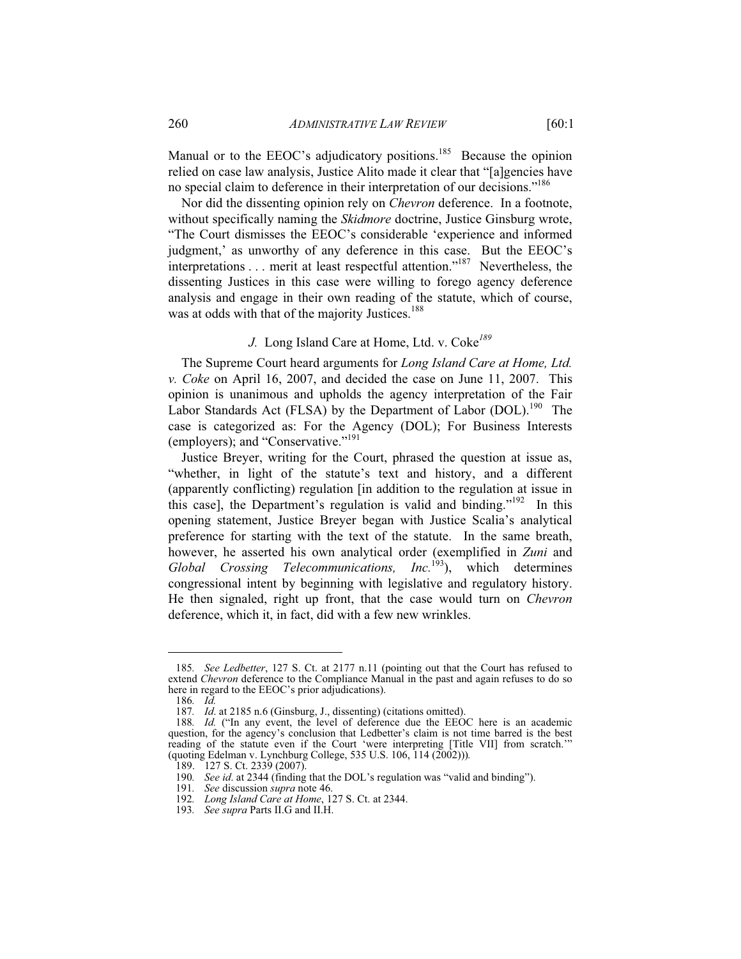Manual or to the EEOC's adjudicatory positions.<sup>185</sup> Because the opinion relied on case law analysis, Justice Alito made it clear that "[a]gencies have no special claim to deference in their interpretation of our decisions."<sup>186</sup>

Nor did the dissenting opinion rely on *Chevron* deference. In a footnote, without specifically naming the *Skidmore* doctrine, Justice Ginsburg wrote, "The Court dismisses the EEOC's considerable 'experience and informed judgment,' as unworthy of any deference in this case. But the EEOC's interpretations . . . merit at least respectful attention."<sup>187</sup> Nevertheless, the dissenting Justices in this case were willing to forego agency deference analysis and engage in their own reading of the statute, which of course, was at odds with that of the majority Justices.<sup>188</sup>

## *J.* Long Island Care at Home, Ltd. v. Coke*<sup>189</sup>*

The Supreme Court heard arguments for *Long Island Care at Home, Ltd. v. Coke* on April 16, 2007, and decided the case on June 11, 2007. This opinion is unanimous and upholds the agency interpretation of the Fair Labor Standards Act (FLSA) by the Department of Labor (DOL).<sup>190</sup> The case is categorized as: For the Agency (DOL); For Business Interests (employers); and "Conservative."<sup>191</sup>

Justice Breyer, writing for the Court, phrased the question at issue as, "whether, in light of the statute's text and history, and a different (apparently conflicting) regulation [in addition to the regulation at issue in this case], the Department's regulation is valid and binding."<sup>192</sup> In this opening statement, Justice Breyer began with Justice Scalia's analytical preference for starting with the text of the statute. In the same breath, however, he asserted his own analytical order (exemplified in *Zuni* and *Global Crossing Telecommunications, Inc.*193), which determines congressional intent by beginning with legislative and regulatory history. He then signaled, right up front, that the case would turn on *Chevron* deference, which it, in fact, did with a few new wrinkles.

<sup>185</sup>*. See Ledbetter*, 127 S. Ct. at 2177 n.11 (pointing out that the Court has refused to extend *Chevron* deference to the Compliance Manual in the past and again refuses to do so here in regard to the EEOC's prior adjudications).

<sup>186</sup>*. Id.*

<sup>187</sup>*. Id*. at 2185 n.6 (Ginsburg, J., dissenting) (citations omitted).

<sup>188.</sup> Id. ("In any event, the level of deference due the EEOC here is an academic question, for the agency's conclusion that Ledbetter's claim is not time barred is the best reading of the statute even if the Court 'were interpreting [Title VII] from scratch.'" (quoting Edelman v. Lynchburg College, 535 U.S. 106, 114 (2002)))*.*

 <sup>189. 127</sup> S. Ct. 2339 (2007).

<sup>190</sup>*. See id*. at 2344 (finding that the DOL's regulation was "valid and binding").

<sup>191</sup>*. See* discussion *supra* note 46.

<sup>192</sup>*. Long Island Care at Home*, 127 S. Ct. at 2344.

<sup>193</sup>*. See supra* Parts II.G and II.H.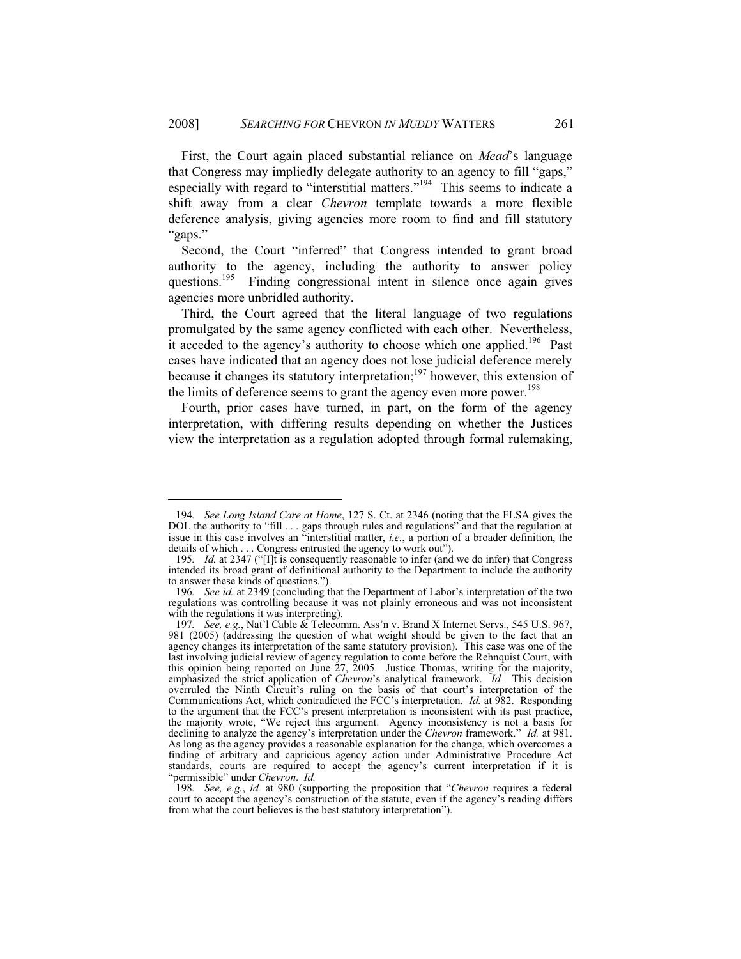First, the Court again placed substantial reliance on *Mead*'s language that Congress may impliedly delegate authority to an agency to fill "gaps," especially with regard to "interstitial matters."<sup>194</sup> This seems to indicate a shift away from a clear *Chevron* template towards a more flexible deference analysis, giving agencies more room to find and fill statutory "gaps."

Second, the Court "inferred" that Congress intended to grant broad authority to the agency, including the authority to answer policy questions.<sup>195</sup> Finding congressional intent in silence once again gives agencies more unbridled authority.

Third, the Court agreed that the literal language of two regulations promulgated by the same agency conflicted with each other. Nevertheless, it acceded to the agency's authority to choose which one applied.<sup>196</sup> Past cases have indicated that an agency does not lose judicial deference merely because it changes its statutory interpretation;<sup>197</sup> however, this extension of the limits of deference seems to grant the agency even more power.<sup>198</sup>

Fourth, prior cases have turned, in part, on the form of the agency interpretation, with differing results depending on whether the Justices view the interpretation as a regulation adopted through formal rulemaking,

<sup>194</sup>*. See Long Island Care at Home*, 127 S. Ct. at 2346 (noting that the FLSA gives the DOL the authority to "fill . . . gaps through rules and regulations" and that the regulation at issue in this case involves an "interstitial matter, *i.e.*, a portion of a broader definition, the details of which . . . Congress entrusted the agency to work out").

<sup>195</sup>*. Id.* at 2347 ("[I]t is consequently reasonable to infer (and we do infer) that Congress intended its broad grant of definitional authority to the Department to include the authority to answer these kinds of questions.").

<sup>196</sup>*. See id.* at 2349 (concluding that the Department of Labor's interpretation of the two regulations was controlling because it was not plainly erroneous and was not inconsistent with the regulations it was interpreting).

<sup>197</sup>*. See, e.g.*, Nat'l Cable & Telecomm. Ass'n v. Brand X Internet Servs., 545 U.S. 967, 981 (2005) (addressing the question of what weight should be given to the fact that an agency changes its interpretation of the same statutory provision). This case was one of the last involving judicial review of agency regulation to come before the Rehnquist Court, with this opinion being reported on June  $27, 2005$ . Justice Thomas, writing for the majority, emphasized the strict application of *Chevron*'s analytical framework. *Id.* This decision overruled the Ninth Circuit's ruling on the basis of that court's interpretation of the Communications Act, which contradicted the FCC's interpretation. *Id.* at 982. Responding to the argument that the FCC's present interpretation is inconsistent with its past practice, the majority wrote, "We reject this argument. Agency inconsistency is not a basis for declining to analyze the agency's interpretation under the *Chevron* framework." *Id.* at 981. As long as the agency provides a reasonable explanation for the change, which overcomes a finding of arbitrary and capricious agency action under Administrative Procedure Act standards, courts are required to accept the agency's current interpretation if it is "permissible" under *Chevron*. *Id.*

<sup>198</sup>*. See, e.g.*, *id.* at 980 (supporting the proposition that "*Chevron* requires a federal court to accept the agency's construction of the statute, even if the agency's reading differs from what the court believes is the best statutory interpretation").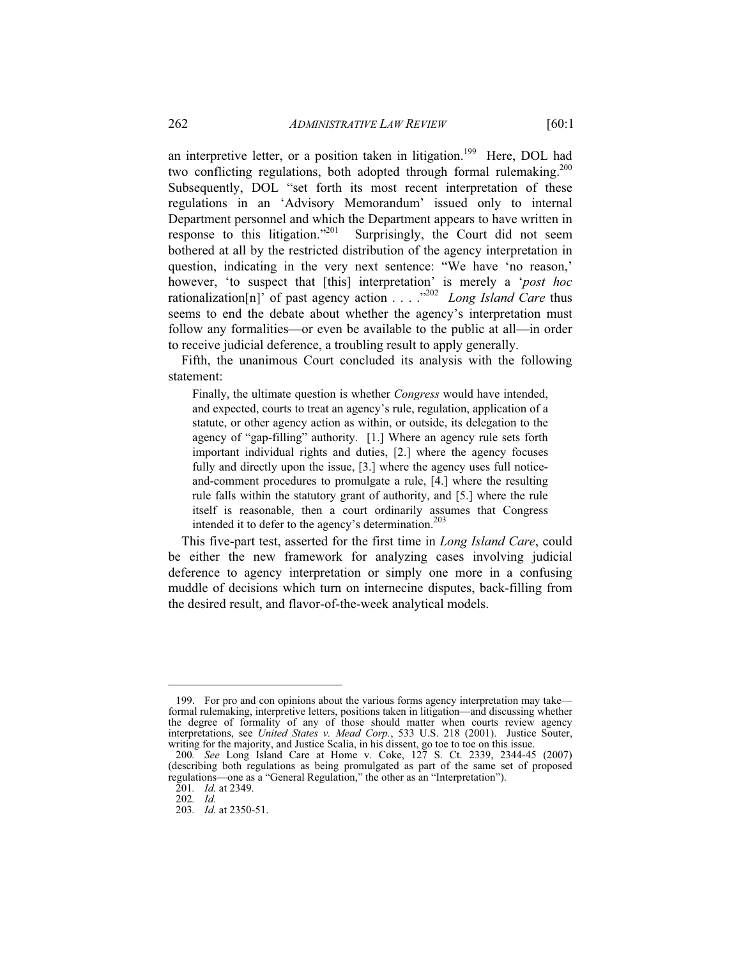an interpretive letter, or a position taken in litigation.<sup>199</sup> Here, DOL had two conflicting regulations, both adopted through formal rulemaking.<sup>200</sup> Subsequently, DOL "set forth its most recent interpretation of these regulations in an 'Advisory Memorandum' issued only to internal Department personnel and which the Department appears to have written in response to this litigation."201 Surprisingly, the Court did not seem bothered at all by the restricted distribution of the agency interpretation in question, indicating in the very next sentence: "We have 'no reason,' however, 'to suspect that [this] interpretation' is merely a '*post hoc*  rationalization[n]' of past agency action . . . .<sup>202</sup> *Long Island Care* thus seems to end the debate about whether the agency's interpretation must follow any formalities—or even be available to the public at all—in order to receive judicial deference, a troubling result to apply generally.

Fifth, the unanimous Court concluded its analysis with the following statement:

Finally, the ultimate question is whether *Congress* would have intended, and expected, courts to treat an agency's rule, regulation, application of a statute, or other agency action as within, or outside, its delegation to the agency of "gap-filling" authority. [1.] Where an agency rule sets forth important individual rights and duties, [2.] where the agency focuses fully and directly upon the issue, [3.] where the agency uses full noticeand-comment procedures to promulgate a rule, [4.] where the resulting rule falls within the statutory grant of authority, and [5.] where the rule itself is reasonable, then a court ordinarily assumes that Congress intended it to defer to the agency's determination.<sup>203</sup>

This five-part test, asserted for the first time in *Long Island Care*, could be either the new framework for analyzing cases involving judicial deference to agency interpretation or simply one more in a confusing muddle of decisions which turn on internecine disputes, back-filling from the desired result, and flavor-of-the-week analytical models.

 <sup>199.</sup> For pro and con opinions about the various forms agency interpretation may take formal rulemaking, interpretive letters, positions taken in litigation—and discussing whether the degree of formality of any of those should matter when courts review agency interpretations, see *United States v. Mead Corp.*, 533 U.S. 218 (2001). Justice Souter, writing for the majority, and Justice Scalia, in his dissent, go toe to toe on this issue.

<sup>200</sup>*. See* Long Island Care at Home v. Coke, 127 S. Ct. 2339, 2344-45 (2007) (describing both regulations as being promulgated as part of the same set of proposed regulations—one as a "General Regulation," the other as an "Interpretation").

<sup>201</sup>*. Id.* at 2349.

<sup>202</sup>*. Id.*

<sup>203</sup>*. Id.* at 2350-51.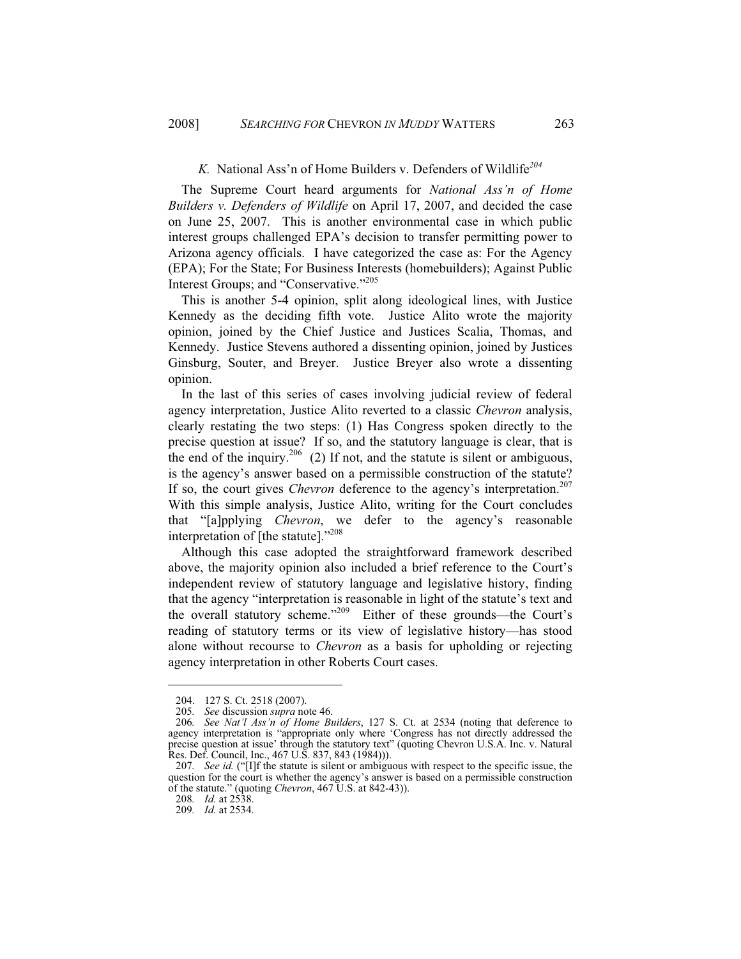## *K.* National Ass'n of Home Builders v. Defenders of Wildlife*<sup>204</sup>*

The Supreme Court heard arguments for *National Ass'n of Home Builders v. Defenders of Wildlife* on April 17, 2007, and decided the case on June 25, 2007. This is another environmental case in which public interest groups challenged EPA's decision to transfer permitting power to Arizona agency officials. I have categorized the case as: For the Agency (EPA); For the State; For Business Interests (homebuilders); Against Public Interest Groups; and "Conservative."205

This is another 5-4 opinion, split along ideological lines, with Justice Kennedy as the deciding fifth vote. Justice Alito wrote the majority opinion, joined by the Chief Justice and Justices Scalia, Thomas, and Kennedy. Justice Stevens authored a dissenting opinion, joined by Justices Ginsburg, Souter, and Breyer. Justice Breyer also wrote a dissenting opinion.

In the last of this series of cases involving judicial review of federal agency interpretation, Justice Alito reverted to a classic *Chevron* analysis, clearly restating the two steps: (1) Has Congress spoken directly to the precise question at issue? If so, and the statutory language is clear, that is the end of the inquiry.<sup>206</sup> (2) If not, and the statute is silent or ambiguous, is the agency's answer based on a permissible construction of the statute? If so, the court gives *Chevron* deference to the agency's interpretation.<sup>207</sup> With this simple analysis, Justice Alito, writing for the Court concludes that "[a]pplying *Chevron*, we defer to the agency's reasonable interpretation of [the statute]."208

Although this case adopted the straightforward framework described above, the majority opinion also included a brief reference to the Court's independent review of statutory language and legislative history, finding that the agency "interpretation is reasonable in light of the statute's text and the overall statutory scheme."209 Either of these grounds—the Court's reading of statutory terms or its view of legislative history—has stood alone without recourse to *Chevron* as a basis for upholding or rejecting agency interpretation in other Roberts Court cases.

 <sup>204. 127</sup> S. Ct. 2518 (2007).

<sup>205</sup>*. See* discussion *supra* note 46.

<sup>206</sup>*. See Nat'l Ass'n of Home Builders*, 127 S. Ct. at 2534 (noting that deference to agency interpretation is "appropriate only where 'Congress has not directly addressed the precise question at issue' through the statutory text" (quoting Chevron U.S.A. Inc. v. Natural Res. Def. Council, Inc., 467 U.S. 837, 843 (1984))).

<sup>207</sup>*. See id.* ("[I]f the statute is silent or ambiguous with respect to the specific issue, the question for the court is whether the agency's answer is based on a permissible construction of the statute." (quoting *Chevron*, 467 U.S. at 842-43)).

<sup>208</sup>*. Id.* at 2538.

<sup>209</sup>*. Id.* at 2534.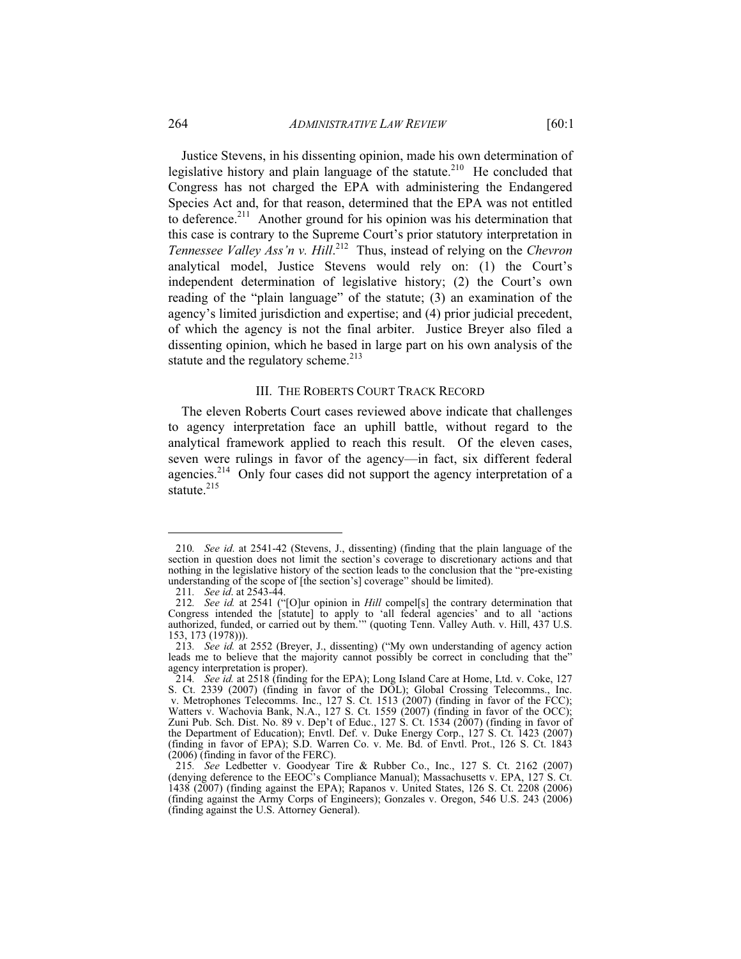Justice Stevens, in his dissenting opinion, made his own determination of legislative history and plain language of the statute.<sup>210</sup> He concluded that Congress has not charged the EPA with administering the Endangered Species Act and, for that reason, determined that the EPA was not entitled to deference.<sup>211</sup> Another ground for his opinion was his determination that this case is contrary to the Supreme Court's prior statutory interpretation in *Tennessee Valley Ass'n v. Hill*. 212 Thus, instead of relying on the *Chevron* analytical model, Justice Stevens would rely on: (1) the Court's independent determination of legislative history; (2) the Court's own reading of the "plain language" of the statute; (3) an examination of the agency's limited jurisdiction and expertise; and (4) prior judicial precedent, of which the agency is not the final arbiter. Justice Breyer also filed a dissenting opinion, which he based in large part on his own analysis of the statute and the regulatory scheme. $^{213}$ 

#### III. THE ROBERTS COURT TRACK RECORD

The eleven Roberts Court cases reviewed above indicate that challenges to agency interpretation face an uphill battle, without regard to the analytical framework applied to reach this result. Of the eleven cases, seven were rulings in favor of the agency—in fact, six different federal agencies.<sup>214</sup> Only four cases did not support the agency interpretation of a statute. $^{215}$ 

<sup>210</sup>*. See id*. at 2541-42 (Stevens, J., dissenting) (finding that the plain language of the section in question does not limit the section's coverage to discretionary actions and that nothing in the legislative history of the section leads to the conclusion that the "pre-existing understanding of the scope of [the section's] coverage" should be limited).

<sup>211</sup>*. See id*. at 2543-44.

<sup>212</sup>*. See id.* at 2541 ("[O]ur opinion in *Hill* compel[s] the contrary determination that Congress intended the [statute] to apply to 'all federal agencies' and to all 'actions authorized, funded, or carried out by them.'" (quoting Tenn. Valley Auth. v. Hill, 437 U.S. 153, 173 (1978))).

<sup>213</sup>*. See id.* at 2552 (Breyer, J., dissenting) ("My own understanding of agency action leads me to believe that the majority cannot possibly be correct in concluding that the" agency interpretation is proper).

<sup>214</sup>*. See id.* at 2518 (finding for the EPA); Long Island Care at Home, Ltd. v. Coke, 127 S. Ct. 2339 (2007) (finding in favor of the DOL); Global Crossing Telecomms., Inc. v. Metrophones Telecomms. Inc., 127 S. Ct. 1513 (2007) (finding in favor of the FCC); Watters v. Wachovia Bank, N.A., 127 S. Ct. 1559 (2007) (finding in favor of the OCC); Zuni Pub. Sch. Dist. No. 89 v. Dep't of Educ., 127 S. Ct. 1534 (2007) (finding in favor of the Department of Education); Envtl. Def. v. Duke Energy Corp., 127 S. Ct. 1423 (2007) (finding in favor of EPA); S.D. Warren Co. v. Me. Bd. of Envtl. Prot., 126 S. Ct. 1843 (2006) (finding in favor of the FERC).

<sup>215</sup>*. See* Ledbetter v. Goodyear Tire & Rubber Co., Inc., 127 S. Ct. 2162 (2007) (denying deference to the EEOC's Compliance Manual); Massachusetts v. EPA, 127 S. Ct. 1438 (2007) (finding against the EPA); Rapanos v. United States, 126 S. Ct. 2208 (2006) (finding against the Army Corps of Engineers); Gonzales v. Oregon, 546 U.S. 243 (2006) (finding against the U.S. Attorney General).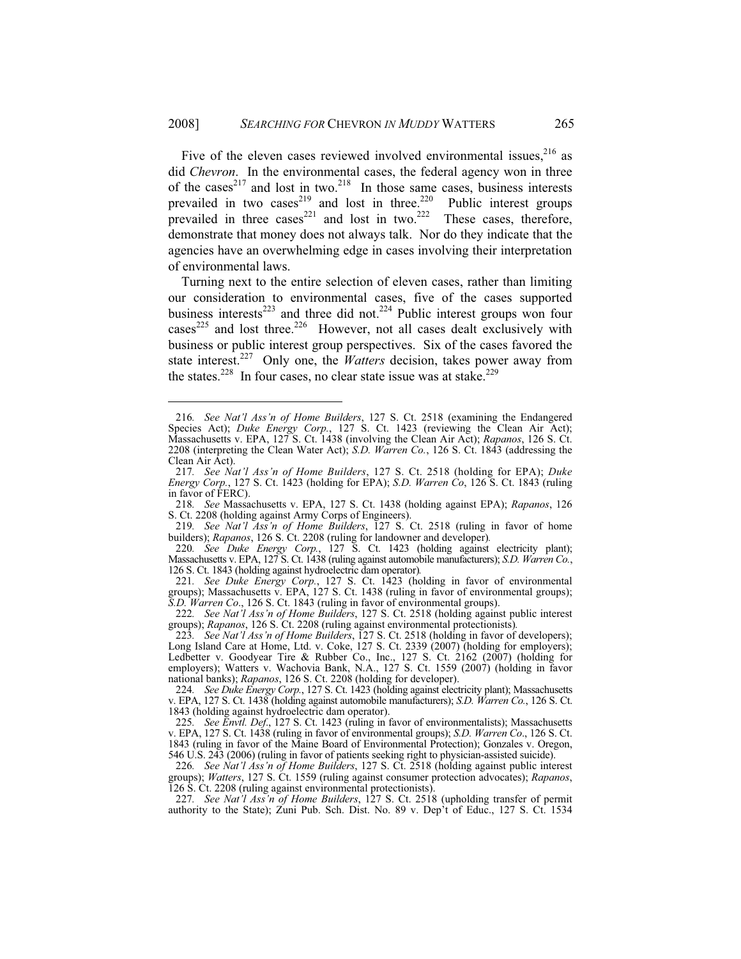Five of the eleven cases reviewed involved environmental issues, $216$  as did *Chevron*. In the environmental cases, the federal agency won in three of the cases<sup>217</sup> and lost in two.<sup>218</sup> In those same cases, business interests prevailed in two cases<sup>219</sup> and lost in three.<sup>220</sup> Public interest groups prevailed in three cases<sup>221</sup> and lost in two.<sup>222</sup> These cases, therefore, demonstrate that money does not always talk. Nor do they indicate that the agencies have an overwhelming edge in cases involving their interpretation of environmental laws.

Turning next to the entire selection of eleven cases, rather than limiting our consideration to environmental cases, five of the cases supported business interests<sup>223</sup> and three did not.<sup>224</sup> Public interest groups won four cases<sup>225</sup> and lost three.<sup>226</sup> However, not all cases dealt exclusively with business or public interest group perspectives. Six of the cases favored the state interest.<sup>227</sup> Only one, the *Watters* decision, takes power away from the states.<sup>228</sup> In four cases, no clear state issue was at stake.<sup>229</sup>

<sup>216</sup>*. See Nat'l Ass'n of Home Builders*, 127 S. Ct. 2518 (examining the Endangered Species Act); *Duke Energy Corp.*, 127 S. Ct. 1423 (reviewing the Clean Air Act); Massachusetts v. EPA, 127 S. Ct. 1438 (involving the Clean Air Act); *Rapanos*, 126 S. Ct. 2208 (interpreting the Clean Water Act); *S.D. Warren Co.*, 126 S. Ct. 1843 (addressing the Clean Air Act).

<sup>217</sup>*. See Nat'l Ass'n of Home Builders*, 127 S. Ct. 2518 (holding for EPA); *Duke Energy Corp.*, 127 S. Ct. 1423 (holding for EPA); *S.D. Warren Co*, 126 S. Ct. 1843 (ruling in favor of FERC).

<sup>218</sup>*. See* Massachusetts v. EPA, 127 S. Ct. 1438 (holding against EPA); *Rapanos*, 126 S. Ct. 2208 (holding against Army Corps of Engineers).

<sup>219</sup>*. See Nat'l Ass'n of Home Builders*, 127 S. Ct. 2518 (ruling in favor of home builders); *Rapanos*, 126 S. Ct. 2208 (ruling for landowner and developer)*.*

<sup>220</sup>*. See Duke Energy Corp.*, 127 S. Ct. 1423 (holding against electricity plant); Massachusetts v. EPA, 127 S. Ct. 1438 (ruling against automobile manufacturers); *S.D. Warren Co.*, 126 S. Ct. 1843 (holding against hydroelectric dam operator)*.*

<sup>221</sup>*. See Duke Energy Corp.*, 127 S. Ct. 1423 (holding in favor of environmental groups); Massachusetts v. EPA, 127 S. Ct. 1438 (ruling in favor of environmental groups); *S.D. Warren Co*., 126 S. Ct. 1843 (ruling in favor of environmental groups).

<sup>222</sup>*. See Nat'l Ass'n of Home Builders*, 127 S. Ct. 2518 (holding against public interest groups); *Rapanos*, 126 S. Ct. 2208 (ruling against environmental protectionists)*.*

<sup>223</sup>*. See Nat'l Ass'n of Home Builders*, 127 S. Ct. 2518 (holding in favor of developers); Long Island Care at Home, Ltd. v. Coke, 127 S. Ct. 2339 (2007) (holding for employers); Ledbetter v. Goodyear Tire & Rubber Co., Inc., 127 S. Ct. 2162 (2007) (holding for employers); Watters v. Wachovia Bank, N.A., 127 S. Ct. 1559 (2007) (holding in favor national banks); *Rapanos*, 126 S. Ct. 2208 (holding for developer).

<sup>224</sup>*. See Duke Energy Corp.*, 127 S. Ct. 1423 (holding against electricity plant); Massachusetts v. EPA, 127 S. Ct. 1438 (holding against automobile manufacturers); *S.D. Warren Co.*, 126 S. Ct. 1843 (holding against hydroelectric dam operator).

<sup>225</sup>*. See Envtl. Def*., 127 S. Ct. 1423 (ruling in favor of environmentalists); Massachusetts v. EPA, 127 S. Ct. 1438 (ruling in favor of environmental groups); *S.D. Warren Co*., 126 S. Ct. 1843 (ruling in favor of the Maine Board of Environmental Protection); Gonzales v. Oregon, 546 U.S. 243 (2006) (ruling in favor of patients seeking right to physician-assisted suicide).

<sup>226</sup>*. See Nat'l Ass'n of Home Builders*, 127 S. Ct. 2518 (holding against public interest groups); *Watters*, 127 S. Ct. 1559 (ruling against consumer protection advocates); *Rapanos*, 126 S. Ct. 2208 (ruling against environmental protectionists).

<sup>227</sup>*. See Nat'l Ass'n of Home Builders*, 127 S. Ct. 2518 (upholding transfer of permit authority to the State); Zuni Pub. Sch. Dist. No. 89 v. Dep't of Educ., 127 S. Ct. 1534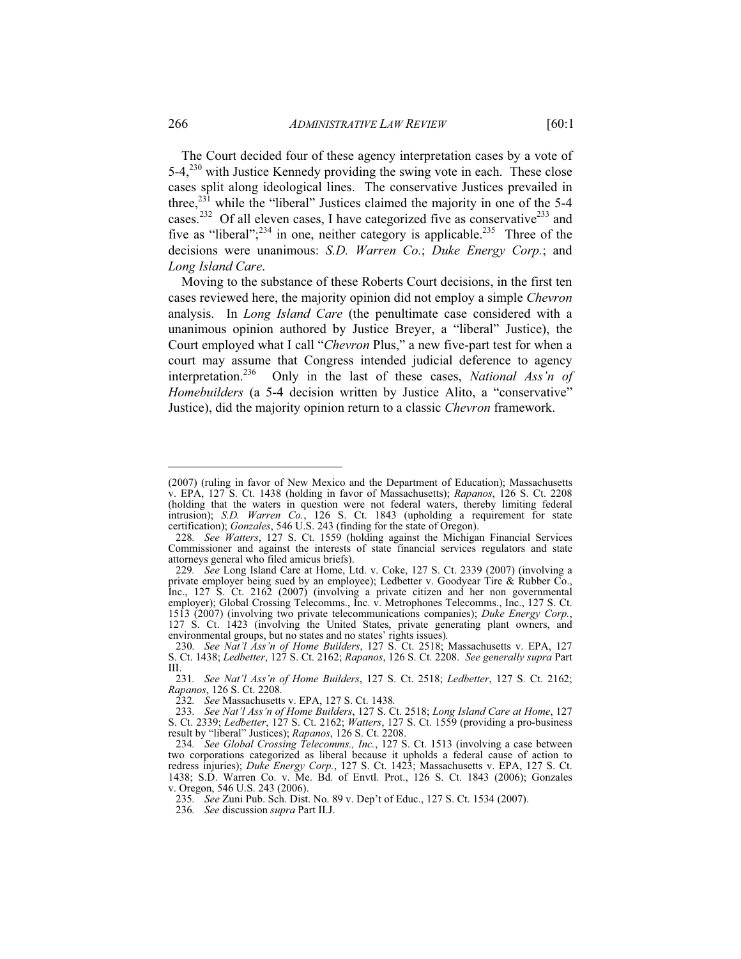The Court decided four of these agency interpretation cases by a vote of  $5-4,^{230}$  with Justice Kennedy providing the swing vote in each. These close cases split along ideological lines. The conservative Justices prevailed in three, $^{231}$  while the "liberal" Justices claimed the majority in one of the 5-4 cases.<sup>232</sup> Of all eleven cases, I have categorized five as conservative<sup>233</sup> and five as "liberal";<sup>234</sup> in one, neither category is applicable.<sup>235</sup> Three of the decisions were unanimous: *S.D. Warren Co.*; *Duke Energy Corp.*; and *Long Island Care*.

Moving to the substance of these Roberts Court decisions, in the first ten cases reviewed here, the majority opinion did not employ a simple *Chevron* analysis. In *Long Island Care* (the penultimate case considered with a unanimous opinion authored by Justice Breyer, a "liberal" Justice), the Court employed what I call "*Chevron* Plus," a new five-part test for when a court may assume that Congress intended judicial deference to agency interpretation.236 Only in the last of these cases, *National Ass'n of Homebuilders* (a 5-4 decision written by Justice Alito, a "conservative" Justice), did the majority opinion return to a classic *Chevron* framework.

<sup>(2007) (</sup>ruling in favor of New Mexico and the Department of Education); Massachusetts v. EPA, 127 S. Ct. 1438 (holding in favor of Massachusetts); *Rapanos*, 126 S. Ct. 2208 (holding that the waters in question were not federal waters, thereby limiting federal intrusion); *S.D. Warren Co.*, 126 S. Ct. 1843 (upholding a requirement for state certification); *Gonzales*, 546 U.S. 243 (finding for the state of Oregon).

<sup>228</sup>*. See Watters*, 127 S. Ct. 1559 (holding against the Michigan Financial Services Commissioner and against the interests of state financial services regulators and state attorneys general who filed amicus briefs).

<sup>229</sup>*. See* Long Island Care at Home, Ltd. v. Coke, 127 S. Ct. 2339 (2007) (involving a private employer being sued by an employee); Ledbetter v. Goodyear Tire & Rubber Co., Inc., 127 S. Ct. 2162 (2007) (involving a private citizen and her non governmental employer); Global Crossing Telecomms., Inc. v. Metrophones Telecomms., Inc., 127 S. Ct. 1513 (2007) (involving two private telecommunications companies); *Duke Energy Corp.*, 127 S. Ct. 1423 (involving the United States, private generating plant owners, and environmental groups, but no states and no states' rights issues)*.*

<sup>230</sup>*. See Nat'l Ass'n of Home Builders*, 127 S. Ct. 2518; Massachusetts v. EPA, 127 S. Ct. 1438; *Ledbetter*, 127 S. Ct. 2162; *Rapanos*, 126 S. Ct. 2208. *See generally supra* Part III.

<sup>231</sup>*. See Nat'l Ass'n of Home Builders*, 127 S. Ct. 2518; *Ledbetter*, 127 S. Ct. 2162; *Rapanos*, 126 S. Ct. 2208*.*

<sup>232</sup>*. See* Massachusetts v. EPA, 127 S. Ct. 1438*.*

<sup>233</sup>*. See Nat'l Ass'n of Home Builders*, 127 S. Ct. 2518; *Long Island Care at Home*, 127 S. Ct. 2339; *Ledbetter*, 127 S. Ct. 2162; *Watters*, 127 S. Ct. 1559 (providing a pro-business result by "liberal" Justices); *Rapanos*, 126 S. Ct. 2208.

<sup>234</sup>*. See Global Crossing Telecomms., Inc.*, 127 S. Ct. 1513 (involving a case between two corporations categorized as liberal because it upholds a federal cause of action to redress injuries); *Duke Energy Corp.*, 127 S. Ct. 1423; Massachusetts v. EPA, 127 S. Ct. 1438; S.D. Warren Co. v. Me. Bd. of Envtl. Prot., 126 S. Ct. 1843 (2006); Gonzales v. Oregon, 546 U.S. 243 (2006).

<sup>235</sup>*. See* Zuni Pub. Sch. Dist. No. 89 v. Dep't of Educ., 127 S. Ct. 1534 (2007).

<sup>236</sup>*. See* discussion *supra* Part II.J.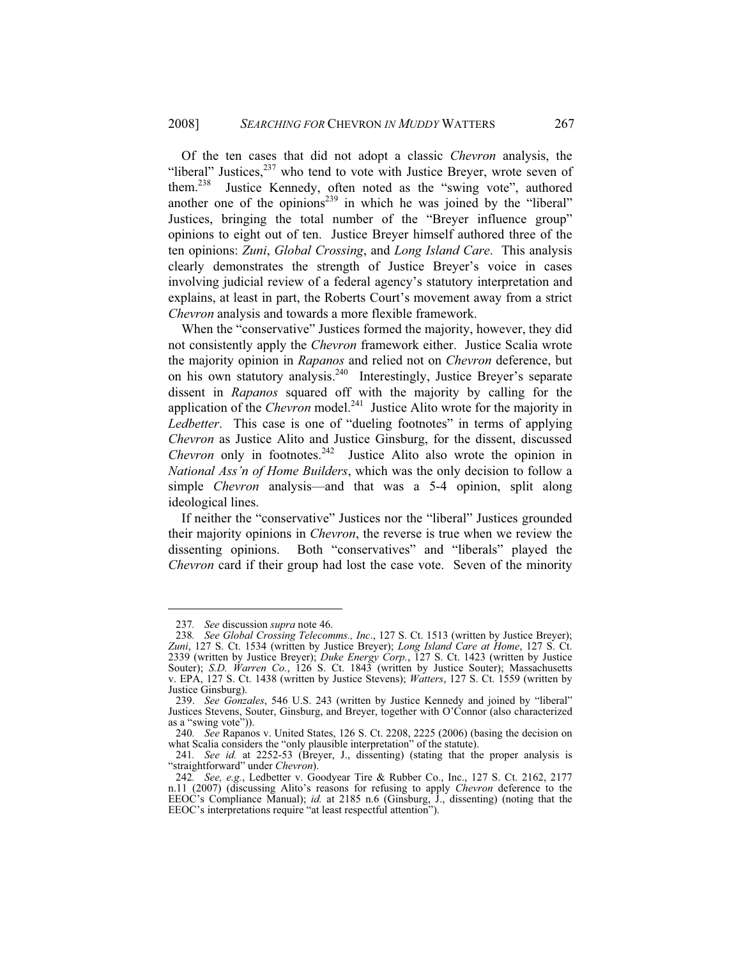Of the ten cases that did not adopt a classic *Chevron* analysis, the "liberal" Justices,<sup>237</sup> who tend to vote with Justice Breyer, wrote seven of them.<sup>238</sup> Justice Kennedy, often noted as the "swing vote", authored another one of the opinions<sup>239</sup> in which he was joined by the "liberal" Justices, bringing the total number of the "Breyer influence group" opinions to eight out of ten. Justice Breyer himself authored three of the ten opinions: *Zuni*, *Global Crossing*, and *Long Island Care*. This analysis clearly demonstrates the strength of Justice Breyer's voice in cases involving judicial review of a federal agency's statutory interpretation and explains, at least in part, the Roberts Court's movement away from a strict *Chevron* analysis and towards a more flexible framework.

When the "conservative" Justices formed the majority, however, they did not consistently apply the *Chevron* framework either. Justice Scalia wrote the majority opinion in *Rapanos* and relied not on *Chevron* deference, but on his own statutory analysis.<sup>240</sup> Interestingly, Justice Breyer's separate dissent in *Rapanos* squared off with the majority by calling for the application of the *Chevron* model.<sup>241</sup> Justice Alito wrote for the majority in Ledbetter. This case is one of "dueling footnotes" in terms of applying *Chevron* as Justice Alito and Justice Ginsburg, for the dissent, discussed *Chevron* only in footnotes.<sup>242</sup> Justice Alito also wrote the opinion in *National Ass'n of Home Builders*, which was the only decision to follow a simple *Chevron* analysis—and that was a 5-4 opinion, split along ideological lines.

If neither the "conservative" Justices nor the "liberal" Justices grounded their majority opinions in *Chevron*, the reverse is true when we review the dissenting opinions. Both "conservatives" and "liberals" played the *Chevron* card if their group had lost the case vote. Seven of the minority

<sup>237</sup>*. See* discussion *supra* note 46.

<sup>238</sup>*. See Global Crossing Telecomms., Inc*., 127 S. Ct. 1513 (written by Justice Breyer); *Zuni*, 127 S. Ct. 1534 (written by Justice Breyer); *Long Island Care at Home*, 127 S. Ct. 2339 (written by Justice Breyer); *Duke Energy Corp.*, 127 S. Ct. 1423 (written by Justice Souter); *S.D. Warren Co.*, 126 S. Ct. 1843 (written by Justice Souter); Massachusetts v. EPA, 127 S. Ct. 1438 (written by Justice Stevens); *Watters*, 127 S. Ct. 1559 (written by Justice Ginsburg).

 <sup>239.</sup> *See Gonzales*, 546 U.S. 243 (written by Justice Kennedy and joined by "liberal" Justices Stevens, Souter, Ginsburg, and Breyer, together with O'Connor (also characterized as a "swing vote")).

<sup>240</sup>*. See* Rapanos v. United States, 126 S. Ct. 2208, 2225 (2006) (basing the decision on what Scalia considers the "only plausible interpretation" of the statute).

<sup>241</sup>*. See id.* at 2252-53 (Breyer, J., dissenting) (stating that the proper analysis is "straightforward" under *Chevron*).

<sup>242</sup>*. See, e.g.*, Ledbetter v. Goodyear Tire & Rubber Co., Inc., 127 S. Ct. 2162, 2177 n.11 (2007) (discussing Alito's reasons for refusing to apply *Chevron* deference to the EEOC's Compliance Manual); *id.* at 2185 n.6 (Ginsburg, J., dissenting) (noting that the EEOC's interpretations require "at least respectful attention").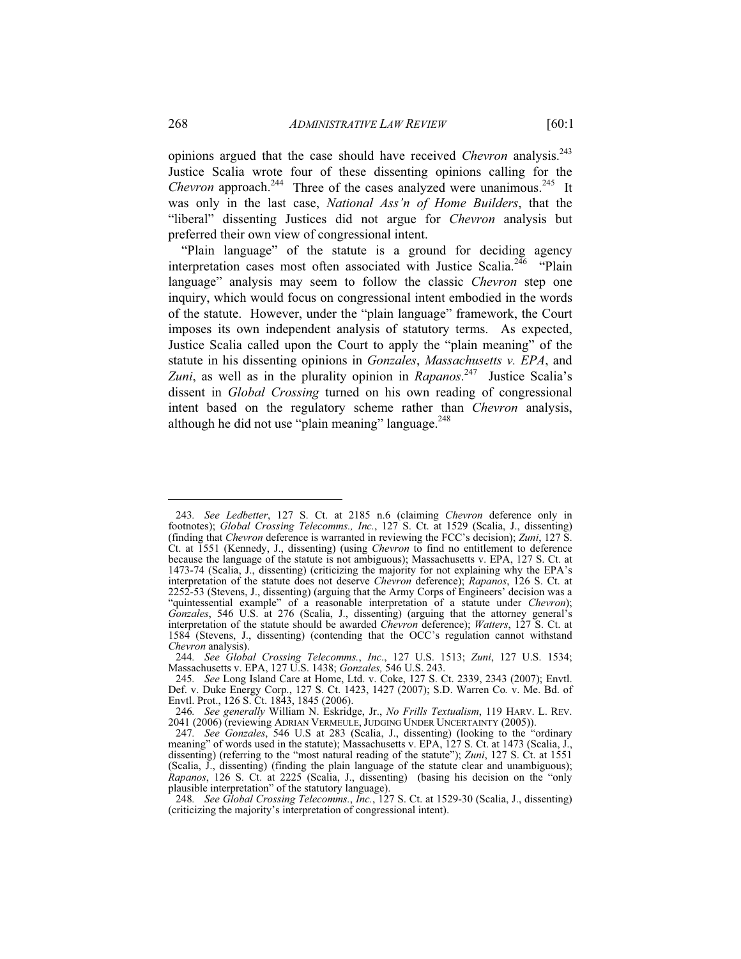opinions argued that the case should have received *Chevron* analysis.<sup>243</sup> Justice Scalia wrote four of these dissenting opinions calling for the *Chevron* approach.<sup>244</sup> Three of the cases analyzed were unanimous.<sup>245</sup> It was only in the last case, *National Ass'n of Home Builders*, that the "liberal" dissenting Justices did not argue for *Chevron* analysis but preferred their own view of congressional intent.

"Plain language" of the statute is a ground for deciding agency interpretation cases most often associated with Justice Scalia.<sup>246</sup> "Plain language" analysis may seem to follow the classic *Chevron* step one inquiry, which would focus on congressional intent embodied in the words of the statute. However, under the "plain language" framework, the Court imposes its own independent analysis of statutory terms. As expected, Justice Scalia called upon the Court to apply the "plain meaning" of the statute in his dissenting opinions in *Gonzales*, *Massachusetts v. EPA*, and *Zuni*, as well as in the plurality opinion in *Rapanos*. 247 Justice Scalia's dissent in *Global Crossing* turned on his own reading of congressional intent based on the regulatory scheme rather than *Chevron* analysis, although he did not use "plain meaning" language.<sup>248</sup>

<sup>243</sup>*. See Ledbetter*, 127 S. Ct. at 2185 n.6 (claiming *Chevron* deference only in footnotes); *Global Crossing Telecomms., Inc.*, 127 S. Ct. at 1529 (Scalia, J., dissenting) (finding that *Chevron* deference is warranted in reviewing the FCC's decision); *Zuni*, 127 S. Ct. at 1551 (Kennedy, J., dissenting) (using *Chevron* to find no entitlement to deference because the language of the statute is not ambiguous); Massachusetts v. EPA, 127 S. Ct. at 1473-74 (Scalia, J., dissenting) (criticizing the majority for not explaining why the EPA's interpretation of the statute does not deserve *Chevron* deference); *Rapanos*, 126 S. Ct. at 2252-53 (Stevens, J., dissenting) (arguing that the Army Corps of Engineers' decision was a "quintessential example" of a reasonable interpretation of a statute under *Chevron*); *Gonzales*, 546 U.S. at 276 (Scalia, J., dissenting) (arguing that the attorney general's interpretation of the statute should be awarded *Chevron* deference); *Watters*, 127 S. Ct. at 1584 (Stevens, J., dissenting) (contending that the OCC's regulation cannot withstand *Chevron* analysis).

<sup>244</sup>*. See Global Crossing Telecomms.*, *Inc*., 127 U.S. 1513; *Zuni*, 127 U.S. 1534; Massachusetts v. EPA, 127 U.S. 1438; *Gonzales,* 546 U.S. 243.

<sup>245</sup>*. See* Long Island Care at Home, Ltd. v. Coke, 127 S. Ct. 2339, 2343 (2007); Envtl. Def. v. Duke Energy Corp., 127 S. Ct. 1423, 1427 (2007); S.D. Warren Co*.* v. Me. Bd. of Envtl. Prot., 126 S. Ct. 1843, 1845 (2006).

<sup>246</sup>*. See generally* William N. Eskridge, Jr., *No Frills Textualism*, 119 HARV. L. REV. 2041 (2006) (reviewing ADRIAN VERMEULE, JUDGING UNDER UNCERTAINTY (2005)).

<sup>247</sup>*. See Gonzales*, 546 U.S at 283 (Scalia, J., dissenting) (looking to the "ordinary meaning" of words used in the statute); Massachusetts v. EPA,  $127$  S. Ct. at 1473 (Scalia, J., dissenting) (referring to the "most natural reading of the statute"); *Zuni*, 127 S. Ct. at 1551 (Scalia, J., dissenting) (finding the plain language of the statute clear and unambiguous); *Rapanos*, 126 S. Ct. at 2225 (Scalia, J., dissenting) (basing his decision on the "only plausible interpretation" of the statutory language).

<sup>248</sup>*. See Global Crossing Telecomms.*, *Inc.*, 127 S. Ct. at 1529-30 (Scalia, J., dissenting) (criticizing the majority's interpretation of congressional intent).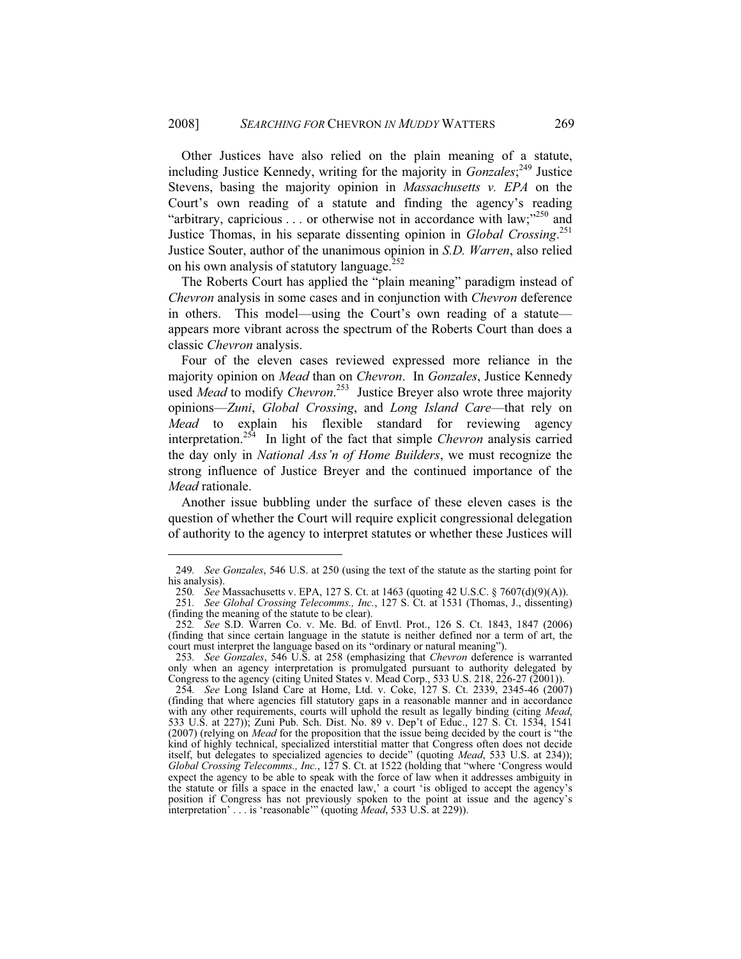Other Justices have also relied on the plain meaning of a statute, including Justice Kennedy, writing for the majority in *Gonzales*; 249 Justice Stevens, basing the majority opinion in *Massachusetts v. EPA* on the Court's own reading of a statute and finding the agency's reading "arbitrary, capricious . . . or otherwise not in accordance with law;"<sup>250</sup> and Justice Thomas, in his separate dissenting opinion in *Global Crossing*. 251 Justice Souter, author of the unanimous opinion in *S.D. Warren*, also relied on his own analysis of statutory language.<sup>252</sup>

The Roberts Court has applied the "plain meaning" paradigm instead of *Chevron* analysis in some cases and in conjunction with *Chevron* deference in others. This model—using the Court's own reading of a statute appears more vibrant across the spectrum of the Roberts Court than does a classic *Chevron* analysis.

Four of the eleven cases reviewed expressed more reliance in the majority opinion on *Mead* than on *Chevron*. In *Gonzales*, Justice Kennedy used *Mead* to modify *Chevron*. 253 Justice Breyer also wrote three majority opinions—*Zuni*, *Global Crossing*, and *Long Island Care*—that rely on *Mead* to explain his flexible standard for reviewing agency interpretation.254 In light of the fact that simple *Chevron* analysis carried the day only in *National Ass'n of Home Builders*, we must recognize the strong influence of Justice Breyer and the continued importance of the *Mead* rationale.

Another issue bubbling under the surface of these eleven cases is the question of whether the Court will require explicit congressional delegation of authority to the agency to interpret statutes or whether these Justices will

<sup>249</sup>*. See Gonzales*, 546 U.S. at 250 (using the text of the statute as the starting point for his analysis).

<sup>250</sup>*. See* Massachusetts v. EPA, 127 S. Ct. at 1463 (quoting 42 U.S.C. § 7607(d)(9)(A)).

<sup>251</sup>*. See Global Crossing Telecomms., Inc.*, 127 S. Ct. at 1531 (Thomas, J., dissenting) (finding the meaning of the statute to be clear).

<sup>252</sup>*. See* S.D. Warren Co. v. Me. Bd. of Envtl. Prot., 126 S. Ct. 1843, 1847 (2006) (finding that since certain language in the statute is neither defined nor a term of art, the court must interpret the language based on its "ordinary or natural meaning").

<sup>253</sup>*. See Gonzales*, 546 U.S. at 258 (emphasizing that *Chevron* deference is warranted only when an agency interpretation is promulgated pursuant to authority delegated by Congress to the agency (citing United States v. Mead Corp., 533 U.S. 218, 226-27 (2001)).

<sup>254</sup>*. See* Long Island Care at Home, Ltd. v. Coke, 127 S. Ct. 2339, 2345-46 (2007) (finding that where agencies fill statutory gaps in a reasonable manner and in accordance with any other requirements, courts will uphold the result as legally binding (citing *Mead*, 533 U.S. at 227)); Zuni Pub. Sch. Dist. No. 89 v. Dep't of Educ., 127 S. Ct. 1534, 1541 (2007) (relying on *Mead* for the proposition that the issue being decided by the court is "the kind of highly technical, specialized interstitial matter that Congress often does not decide itself, but delegates to specialized agencies to decide" (quoting *Mead*, 533 U.S. at 234)); *Global Crossing Telecomms., Inc.*, 127 S. Ct. at 1522 (holding that "where 'Congress would expect the agency to be able to speak with the force of law when it addresses ambiguity in the statute or fills a space in the enacted law,' a court 'is obliged to accept the agency's position if Congress has not previously spoken to the point at issue and the agency's interpretation' . . . is 'reasonable'" (quoting *Mead*, 533 U.S. at 229)).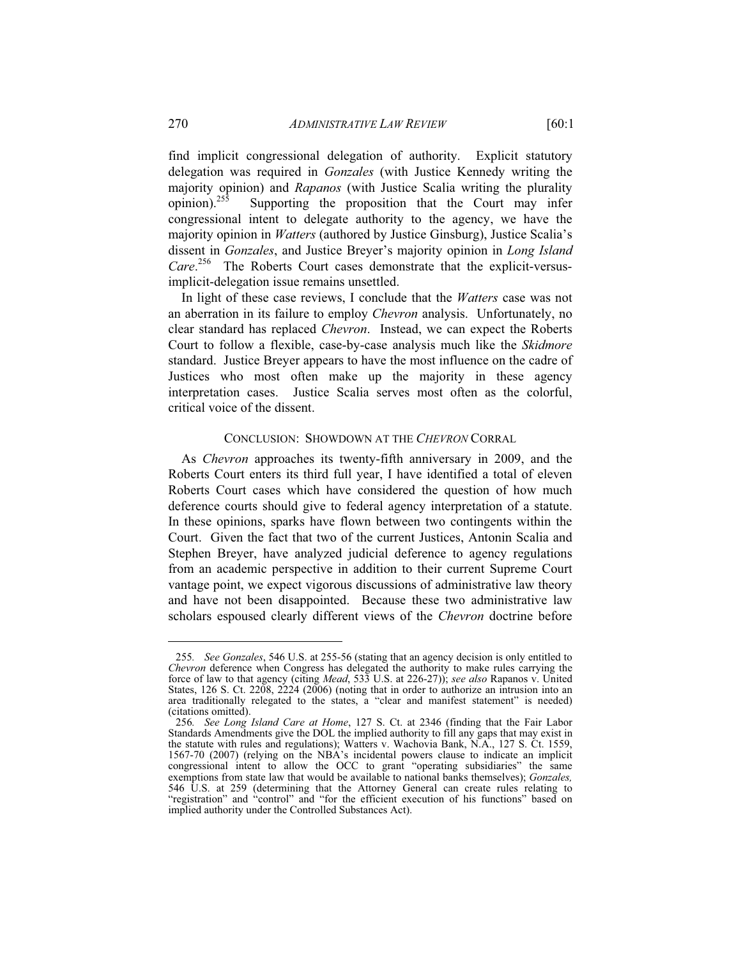find implicit congressional delegation of authority. Explicit statutory delegation was required in *Gonzales* (with Justice Kennedy writing the majority opinion) and *Rapanos* (with Justice Scalia writing the plurality opinion).<sup>255</sup> Supporting the proposition that the Court may infer

congressional intent to delegate authority to the agency, we have the majority opinion in *Watters* (authored by Justice Ginsburg), Justice Scalia's dissent in *Gonzales*, and Justice Breyer's majority opinion in *Long Island*  Care.<sup>256</sup> The Roberts Court cases demonstrate that the explicit-versusimplicit-delegation issue remains unsettled.

In light of these case reviews, I conclude that the *Watters* case was not an aberration in its failure to employ *Chevron* analysis. Unfortunately, no clear standard has replaced *Chevron*. Instead, we can expect the Roberts Court to follow a flexible, case-by-case analysis much like the *Skidmore* standard. Justice Breyer appears to have the most influence on the cadre of Justices who most often make up the majority in these agency interpretation cases. Justice Scalia serves most often as the colorful, critical voice of the dissent.

#### CONCLUSION: SHOWDOWN AT THE *CHEVRON* CORRAL

As *Chevron* approaches its twenty-fifth anniversary in 2009, and the Roberts Court enters its third full year, I have identified a total of eleven Roberts Court cases which have considered the question of how much deference courts should give to federal agency interpretation of a statute. In these opinions, sparks have flown between two contingents within the Court. Given the fact that two of the current Justices, Antonin Scalia and Stephen Breyer, have analyzed judicial deference to agency regulations from an academic perspective in addition to their current Supreme Court vantage point, we expect vigorous discussions of administrative law theory and have not been disappointed. Because these two administrative law scholars espoused clearly different views of the *Chevron* doctrine before

<sup>255</sup>*. See Gonzales*, 546 U.S. at 255-56 (stating that an agency decision is only entitled to *Chevron* deference when Congress has delegated the authority to make rules carrying the force of law to that agency (citing *Mead*, 533 U.S. at 226-27)); *see also* Rapanos v. United States, 126 S. Ct. 2208, 2224 (2006) (noting that in order to authorize an intrusion into an area traditionally relegated to the states, a "clear and manifest statement" is needed) (citations omitted).

<sup>256</sup>*. See Long Island Care at Home*, 127 S. Ct. at 2346 (finding that the Fair Labor Standards Amendments give the DOL the implied authority to fill any gaps that may exist in the statute with rules and regulations); Watters v. Wachovia Bank, N.A., 127 S. Ct. 1559, 1567-70 (2007) (relying on the NBA's incidental powers clause to indicate an implicit congressional intent to allow the OCC to grant "operating subsidiaries" the same exemptions from state law that would be available to national banks themselves); *Gonzales,* 546 U.S. at 259 (determining that the Attorney General can create rules relating to "registration" and "control" and "for the efficient execution of his functions" based on implied authority under the Controlled Substances Act).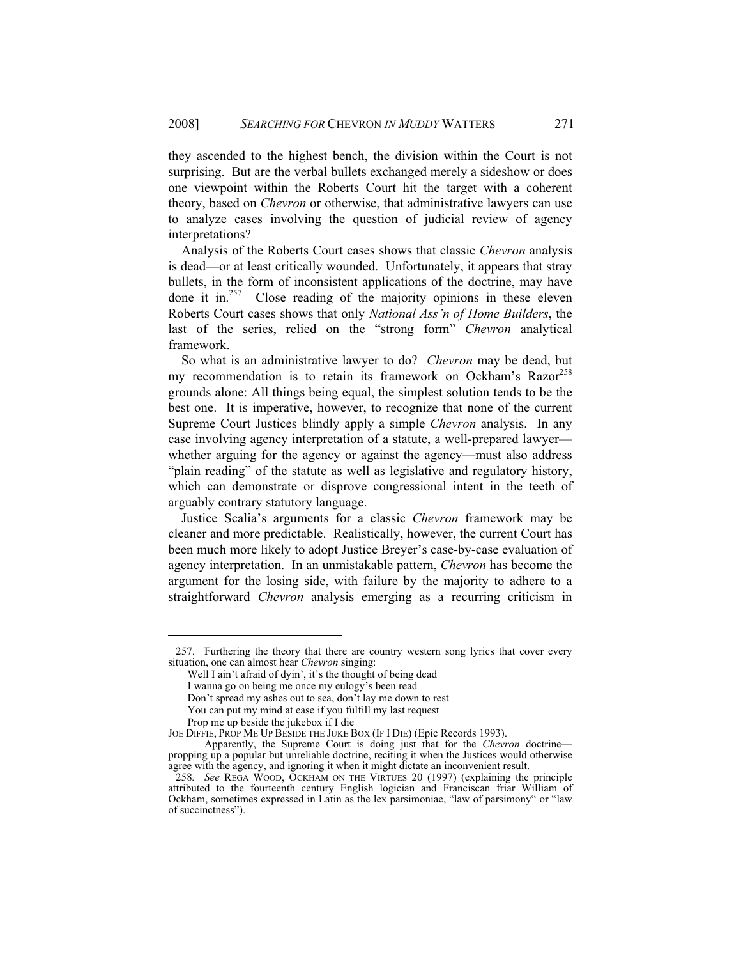they ascended to the highest bench, the division within the Court is not surprising. But are the verbal bullets exchanged merely a sideshow or does one viewpoint within the Roberts Court hit the target with a coherent theory, based on *Chevron* or otherwise, that administrative lawyers can use to analyze cases involving the question of judicial review of agency interpretations?

Analysis of the Roberts Court cases shows that classic *Chevron* analysis is dead—or at least critically wounded. Unfortunately, it appears that stray bullets, in the form of inconsistent applications of the doctrine, may have done it in.<sup>257</sup> Close reading of the majority opinions in these eleven Roberts Court cases shows that only *National Ass'n of Home Builders*, the last of the series, relied on the "strong form" *Chevron* analytical framework.

So what is an administrative lawyer to do? *Chevron* may be dead, but my recommendation is to retain its framework on Ockham's Razor<sup>258</sup> grounds alone: All things being equal, the simplest solution tends to be the best one. It is imperative, however, to recognize that none of the current Supreme Court Justices blindly apply a simple *Chevron* analysis. In any case involving agency interpretation of a statute, a well-prepared lawyer whether arguing for the agency or against the agency—must also address "plain reading" of the statute as well as legislative and regulatory history, which can demonstrate or disprove congressional intent in the teeth of arguably contrary statutory language.

Justice Scalia's arguments for a classic *Chevron* framework may be cleaner and more predictable. Realistically, however, the current Court has been much more likely to adopt Justice Breyer's case-by-case evaluation of agency interpretation. In an unmistakable pattern, *Chevron* has become the argument for the losing side, with failure by the majority to adhere to a straightforward *Chevron* analysis emerging as a recurring criticism in

 $\overline{a}$ 

 <sup>257.</sup> Furthering the theory that there are country western song lyrics that cover every situation, one can almost hear *Chevron* singing:

Well I ain't afraid of dyin', it's the thought of being dead

I wanna go on being me once my eulogy's been read

Don't spread my ashes out to sea, don't lay me down to rest

You can put my mind at ease if you fulfill my last request

Prop me up beside the jukebox if I die

JOE DIFFIE, PROP ME UP BESIDE THE JUKE BOX (IF I DIE) (Epic Records 1993).

Apparently, the Supreme Court is doing just that for the *Chevron* doctrine propping up a popular but unreliable doctrine, reciting it when the Justices would otherwise agree with the agency, and ignoring it when it might dictate an inconvenient result.

<sup>258</sup>*. See* REGA WOOD, OCKHAM ON THE VIRTUES 20 (1997) (explaining the principle attributed to the fourteenth century English logician and Franciscan friar William of Ockham, sometimes expressed in Latin as the lex parsimoniae, "law of parsimony" or "law of succinctness").